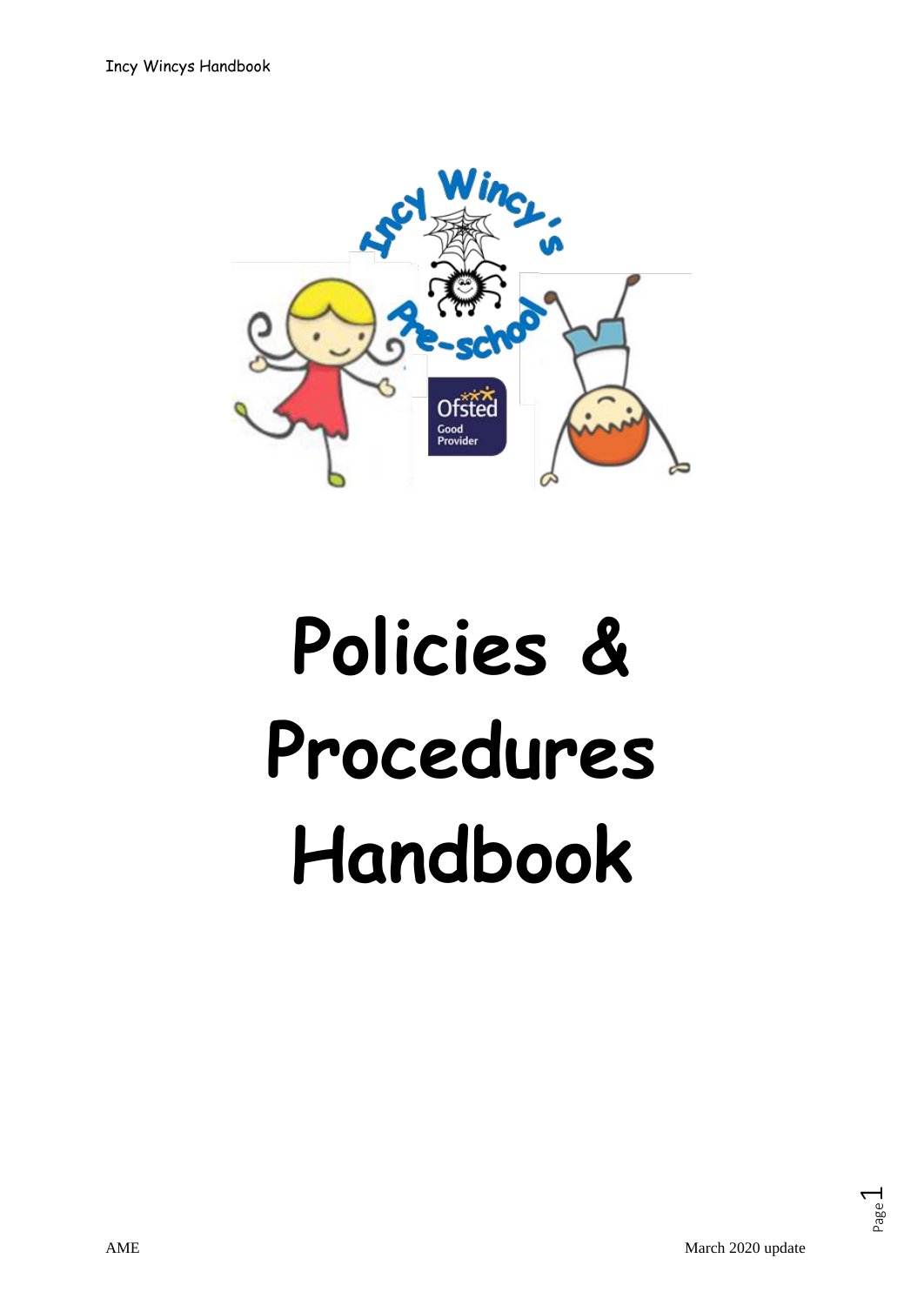

# **Policies & Procedures Handbook**

Page  $\overline{\phantom{0}}$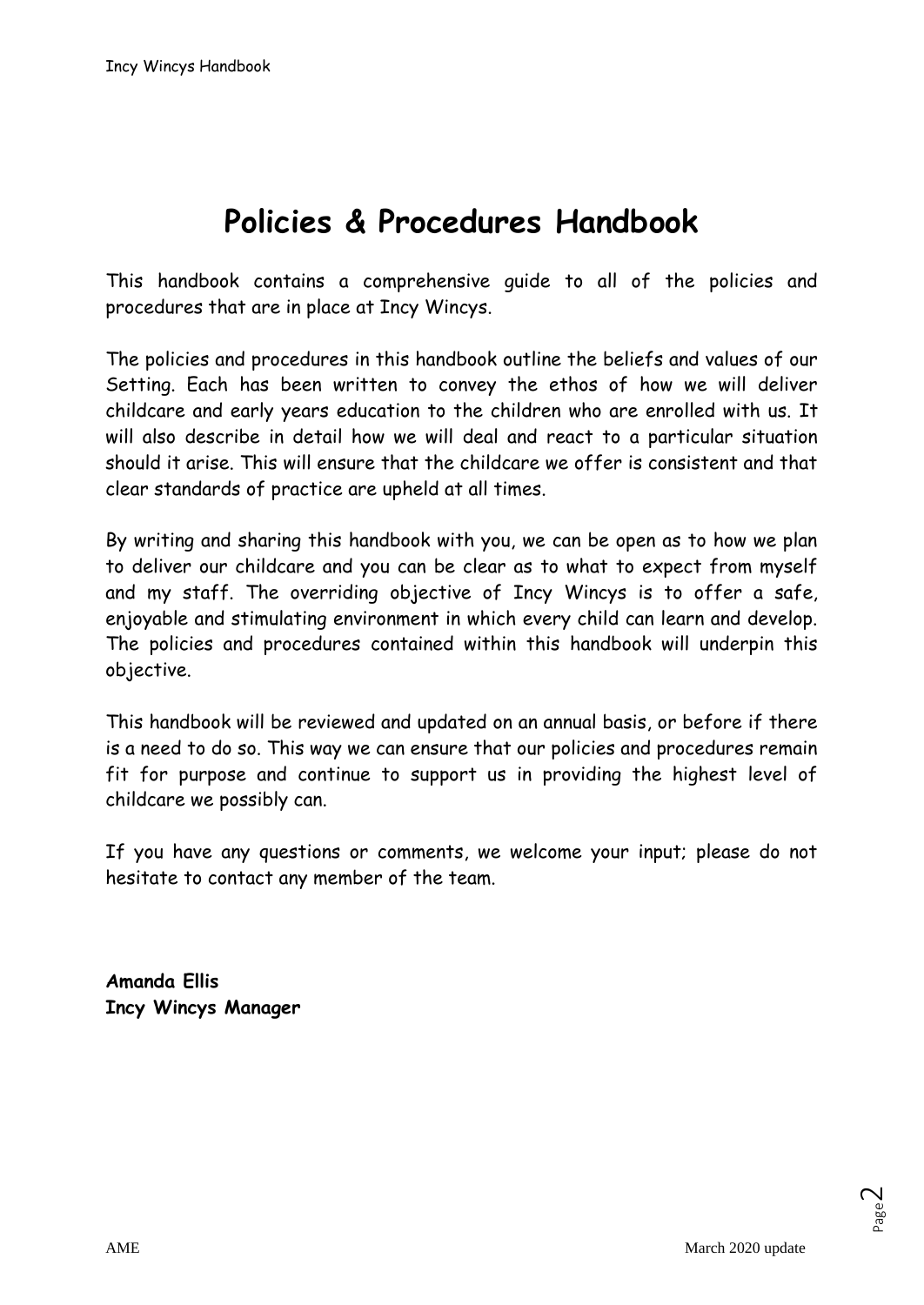# **Policies & Procedures Handbook**

This handbook contains a comprehensive guide to all of the policies and procedures that are in place at Incy Wincys.

The policies and procedures in this handbook outline the beliefs and values of our Setting. Each has been written to convey the ethos of how we will deliver childcare and early years education to the children who are enrolled with us. It will also describe in detail how we will deal and react to a particular situation should it arise. This will ensure that the childcare we offer is consistent and that clear standards of practice are upheld at all times.

By writing and sharing this handbook with you, we can be open as to how we plan to deliver our childcare and you can be clear as to what to expect from myself and my staff. The overriding objective of Incy Wincys is to offer a safe, enjoyable and stimulating environment in which every child can learn and develop. The policies and procedures contained within this handbook will underpin this objective.

This handbook will be reviewed and updated on an annual basis, or before if there is a need to do so. This way we can ensure that our policies and procedures remain fit for purpose and continue to support us in providing the highest level of childcare we possibly can.

If you have any questions or comments, we welcome your input; please do not hesitate to contact any member of the team.

**Amanda Ellis Incy Wincys Manager**

Page  $\mathrel{\sim}$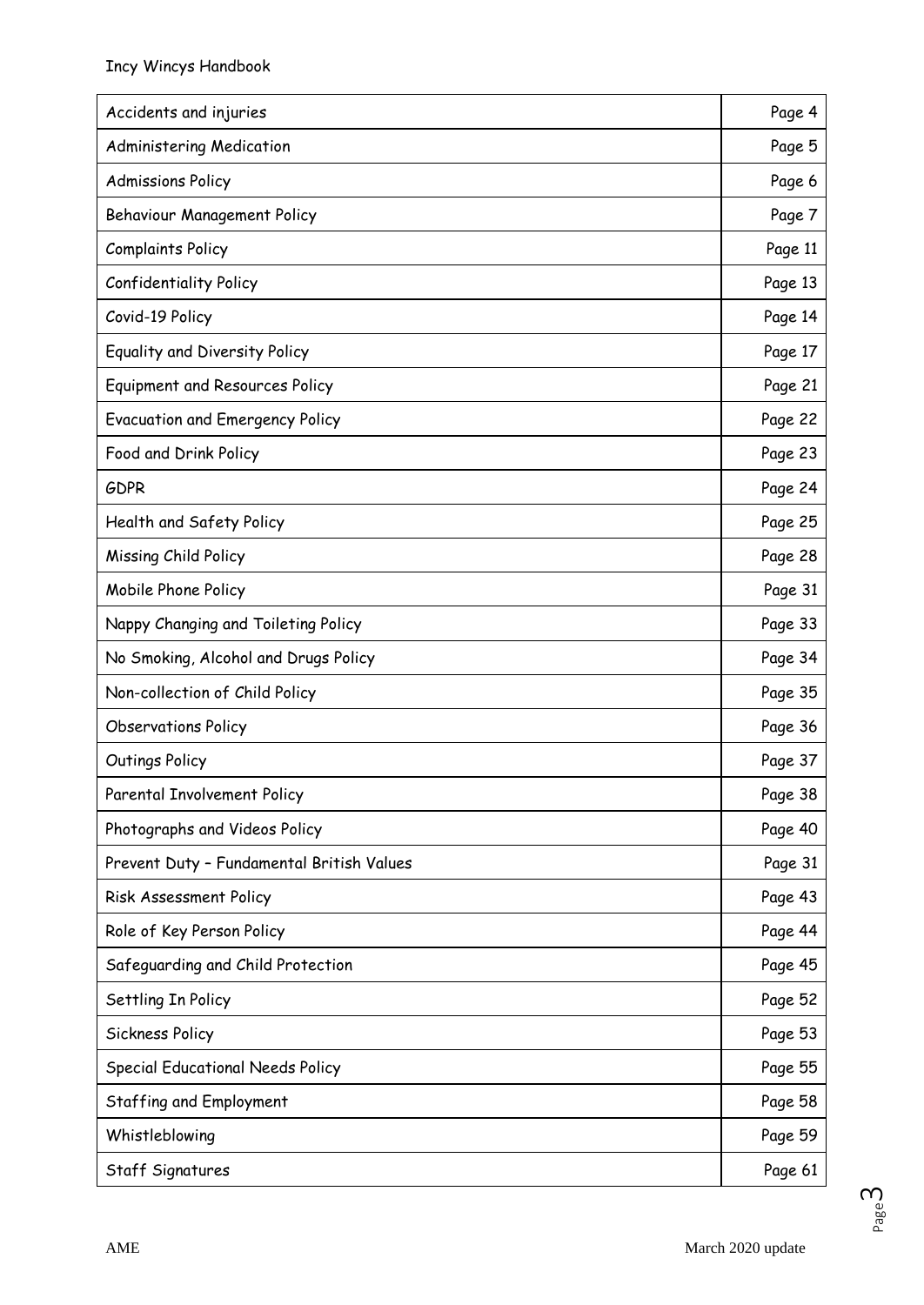| Accidents and injuries                    | Page 4  |
|-------------------------------------------|---------|
| Administering Medication                  | Page 5  |
| <b>Admissions Policy</b>                  | Page 6  |
| Behaviour Management Policy               | Page 7  |
| <b>Complaints Policy</b>                  | Page 11 |
| <b>Confidentiality Policy</b>             | Page 13 |
| Covid-19 Policy                           | Page 14 |
| Equality and Diversity Policy             | Page 17 |
| Equipment and Resources Policy            | Page 21 |
| <b>Evacuation and Emergency Policy</b>    | Page 22 |
| Food and Drink Policy                     | Page 23 |
| <b>GDPR</b>                               | Page 24 |
| Health and Safety Policy                  | Page 25 |
| Missing Child Policy                      | Page 28 |
| Mobile Phone Policy                       | Page 31 |
| Nappy Changing and Toileting Policy       | Page 33 |
| No Smoking, Alcohol and Drugs Policy      | Page 34 |
| Non-collection of Child Policy            | Page 35 |
| <b>Observations Policy</b>                | Page 36 |
| Outings Policy                            | Page 37 |
| Parental Involvement Policy               | Page 38 |
| Photographs and Videos Policy             | Page 40 |
| Prevent Duty - Fundamental British Values | Page 31 |
| Risk Assessment Policy                    | Page 43 |
| Role of Key Person Policy                 | Page 44 |
| Safeguarding and Child Protection         | Page 45 |
| Settling In Policy                        | Page 52 |
| Sickness Policy                           | Page 53 |
| <b>Special Educational Needs Policy</b>   | Page 55 |
| Staffing and Employment                   | Page 58 |
| Whistleblowing                            | Page 59 |
| Staff Signatures                          | Page 61 |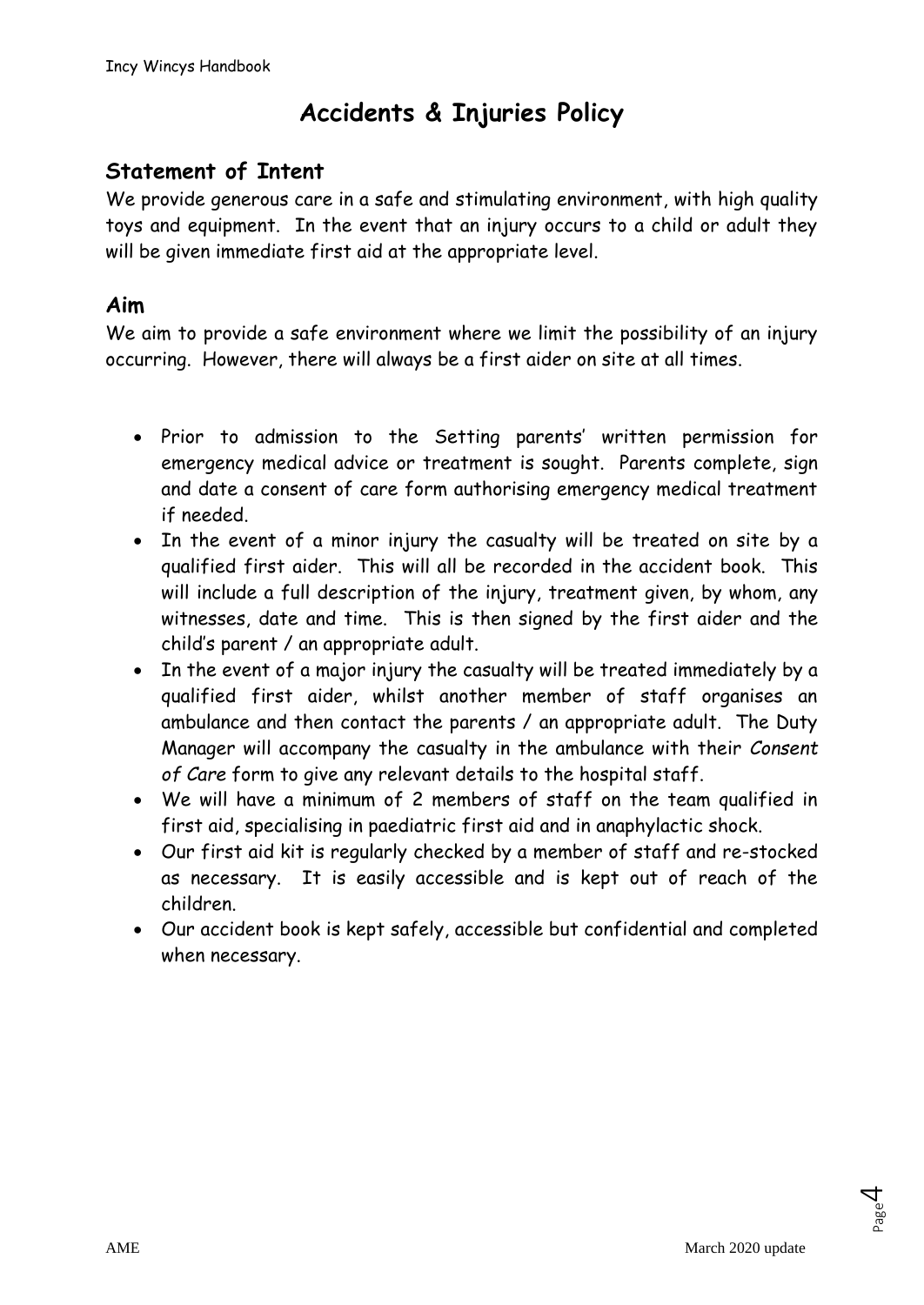# **Accidents & Injuries Policy**

# **Statement of Intent**

We provide generous care in a safe and stimulating environment, with high quality toys and equipment. In the event that an injury occurs to a child or adult they will be given immediate first aid at the appropriate level.

### **Aim**

We aim to provide a safe environment where we limit the possibility of an injury occurring. However, there will always be a first aider on site at all times.

- Prior to admission to the Setting parents' written permission for emergency medical advice or treatment is sought. Parents complete, sign and date a consent of care form authorising emergency medical treatment if needed.
- In the event of a minor injury the casualty will be treated on site by a qualified first aider. This will all be recorded in the accident book. This will include a full description of the injury, treatment given, by whom, any witnesses, date and time. This is then signed by the first aider and the child's parent / an appropriate adult.
- In the event of a major injury the casualty will be treated immediately by a qualified first aider, whilst another member of staff organises an ambulance and then contact the parents / an appropriate adult. The Duty Manager will accompany the casualty in the ambulance with their *Consent of Care* form to give any relevant details to the hospital staff.
- We will have a minimum of 2 members of staff on the team qualified in first aid, specialising in paediatric first aid and in anaphylactic shock.
- Our first aid kit is regularly checked by a member of staff and re-stocked as necessary. It is easily accessible and is kept out of reach of the children.
- Our accident book is kept safely, accessible but confidential and completed when necessary.

Page 4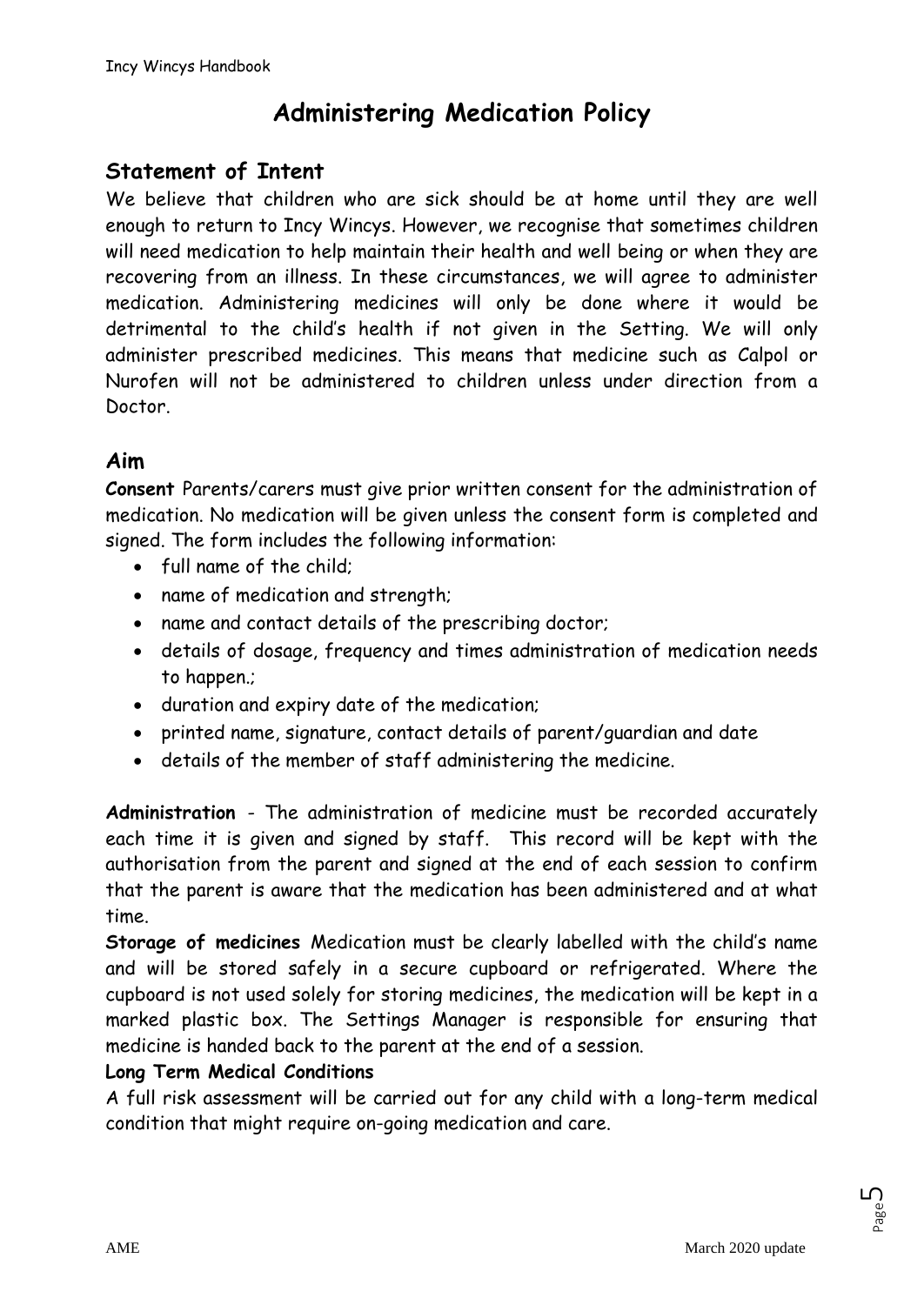# **Administering Medication Policy**

# **Statement of Intent**

We believe that children who are sick should be at home until they are well enough to return to Incy Wincys. However, we recognise that sometimes children will need medication to help maintain their health and well being or when they are recovering from an illness. In these circumstances, we will agree to administer medication. Administering medicines will only be done where it would be detrimental to the child's health if not given in the Setting. We will only administer prescribed medicines. This means that medicine such as Calpol or Nurofen will not be administered to children unless under direction from a Doctor.

# **Aim**

**Consent** Parents/carers must give prior written consent for the administration of medication. No medication will be given unless the consent form is completed and signed. The form includes the following information:

- full name of the child;
- name of medication and strength;
- name and contact details of the prescribing doctor;
- details of dosage, frequency and times administration of medication needs to happen.;
- duration and expiry date of the medication;
- printed name, signature, contact details of parent/guardian and date
- details of the member of staff administering the medicine.

**Administration** - The administration of medicine must be recorded accurately each time it is given and signed by staff. This record will be kept with the authorisation from the parent and signed at the end of each session to confirm that the parent is aware that the medication has been administered and at what time.

**Storage of medicines** Medication must be clearly labelled with the child's name and will be stored safely in a secure cupboard or refrigerated. Where the cupboard is not used solely for storing medicines, the medication will be kept in a marked plastic box. The Settings Manager is responsible for ensuring that medicine is handed back to the parent at the end of a session.

### **Long Term Medical Conditions**

A full risk assessment will be carried out for any child with a long-term medical condition that might require on-going medication and care.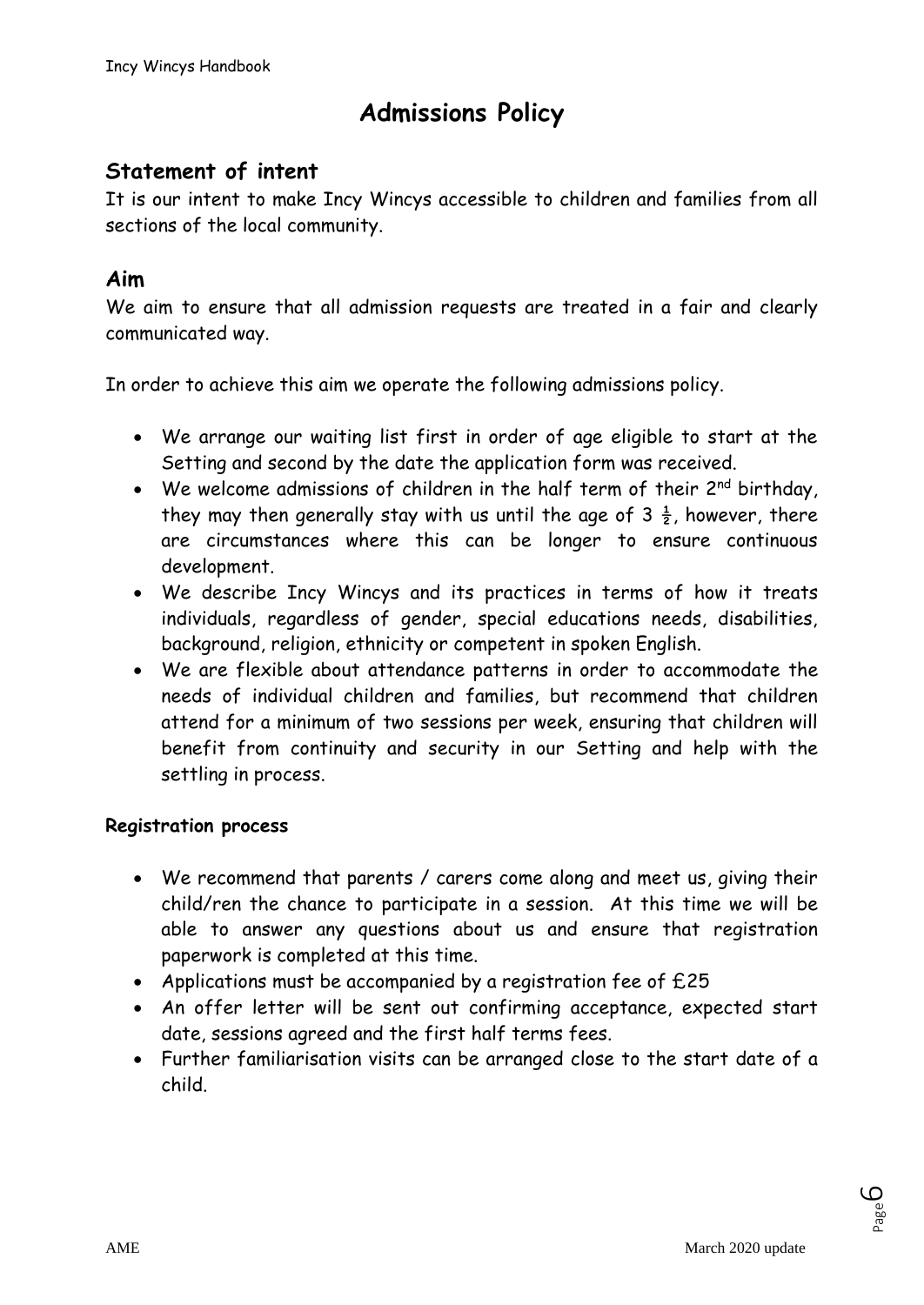# **Admissions Policy**

# **Statement of intent**

It is our intent to make Incy Wincys accessible to children and families from all sections of the local community.

# **Aim**

We aim to ensure that all admission requests are treated in a fair and clearly communicated way.

In order to achieve this aim we operate the following admissions policy.

- We arrange our waiting list first in order of age eligible to start at the Setting and second by the date the application form was received.
- We welcome admissions of children in the half term of their 2<sup>nd</sup> birthday, they may then generally stay with us until the age of  $3\frac{1}{2}$ , however, there are circumstances where this can be longer to ensure continuous development.
- We describe Incy Wincys and its practices in terms of how it treats individuals, regardless of gender, special educations needs, disabilities, background, religion, ethnicity or competent in spoken English.
- We are flexible about attendance patterns in order to accommodate the needs of individual children and families, but recommend that children attend for a minimum of two sessions per week, ensuring that children will benefit from continuity and security in our Setting and help with the settling in process.

#### **Registration process**

- We recommend that parents / carers come along and meet us, giving their child/ren the chance to participate in a session. At this time we will be able to answer any questions about us and ensure that registration paperwork is completed at this time.
- Applications must be accompanied by a registration fee of £25
- An offer letter will be sent out confirming acceptance, expected start date, sessions agreed and the first half terms fees.
- Further familiarisation visits can be arranged close to the start date of a child.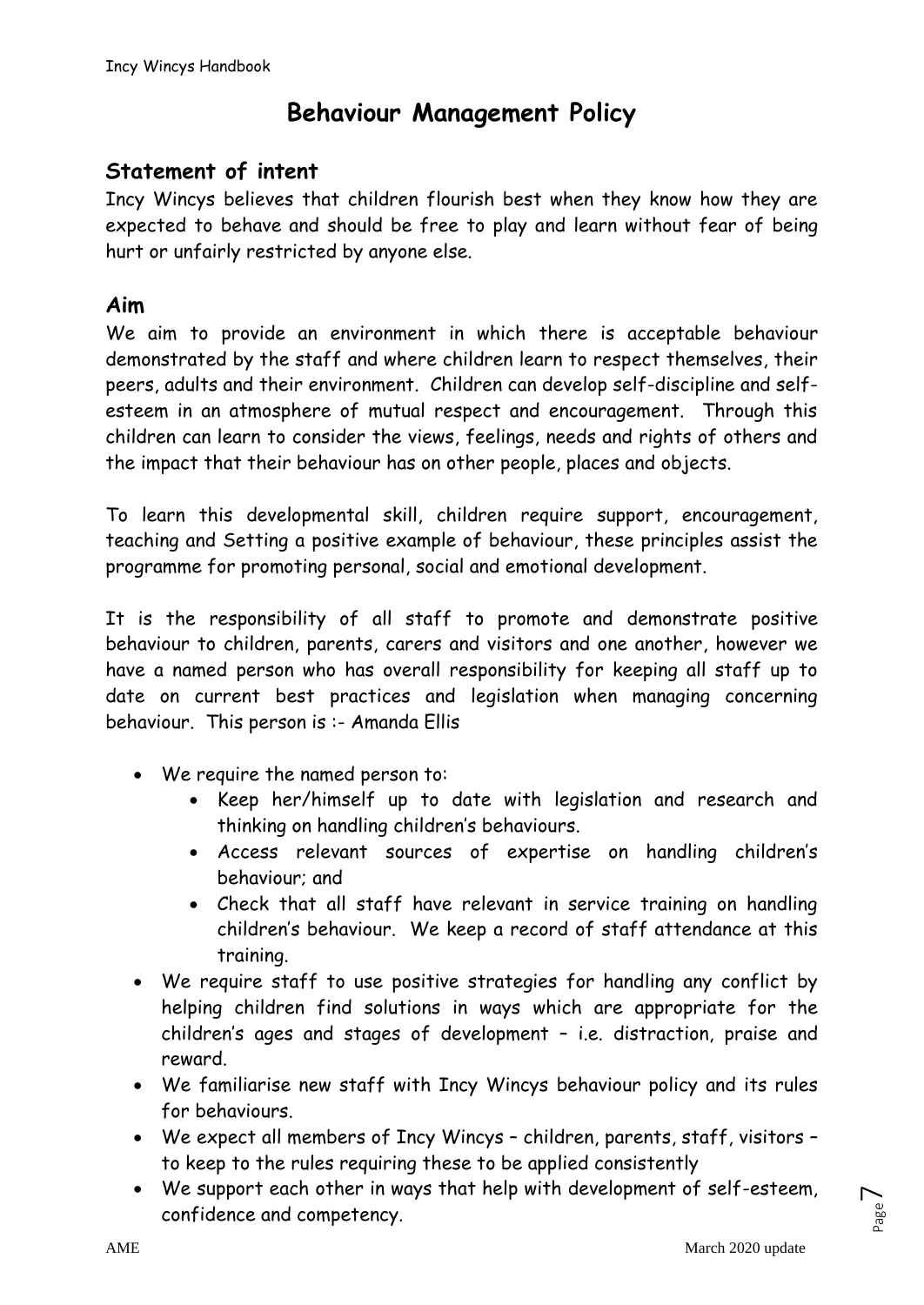# **Behaviour Management Policy**

### **Statement of intent**

Incy Wincys believes that children flourish best when they know how they are expected to behave and should be free to play and learn without fear of being hurt or unfairly restricted by anyone else.

### **Aim**

We aim to provide an environment in which there is acceptable behaviour demonstrated by the staff and where children learn to respect themselves, their peers, adults and their environment. Children can develop self-discipline and selfesteem in an atmosphere of mutual respect and encouragement. Through this children can learn to consider the views, feelings, needs and rights of others and the impact that their behaviour has on other people, places and objects.

To learn this developmental skill, children require support, encouragement, teaching and Setting a positive example of behaviour, these principles assist the programme for promoting personal, social and emotional development.

It is the responsibility of all staff to promote and demonstrate positive behaviour to children, parents, carers and visitors and one another, however we have a named person who has overall responsibility for keeping all staff up to date on current best practices and legislation when managing concerning behaviour. This person is :- Amanda Ellis

- We require the named person to:
	- Keep her/himself up to date with legislation and research and thinking on handling children's behaviours.
	- Access relevant sources of expertise on handling children's behaviour; and
	- Check that all staff have relevant in service training on handling children's behaviour. We keep a record of staff attendance at this training.
- We require staff to use positive strategies for handling any conflict by helping children find solutions in ways which are appropriate for the children's ages and stages of development – i.e. distraction, praise and reward.
- We familiarise new staff with Incy Wincys behaviour policy and its rules for behaviours.
- We expect all members of Incy Wincys children, parents, staff, visitors to keep to the rules requiring these to be applied consistently
- We support each other in ways that help with development of self-esteem, confidence and competency.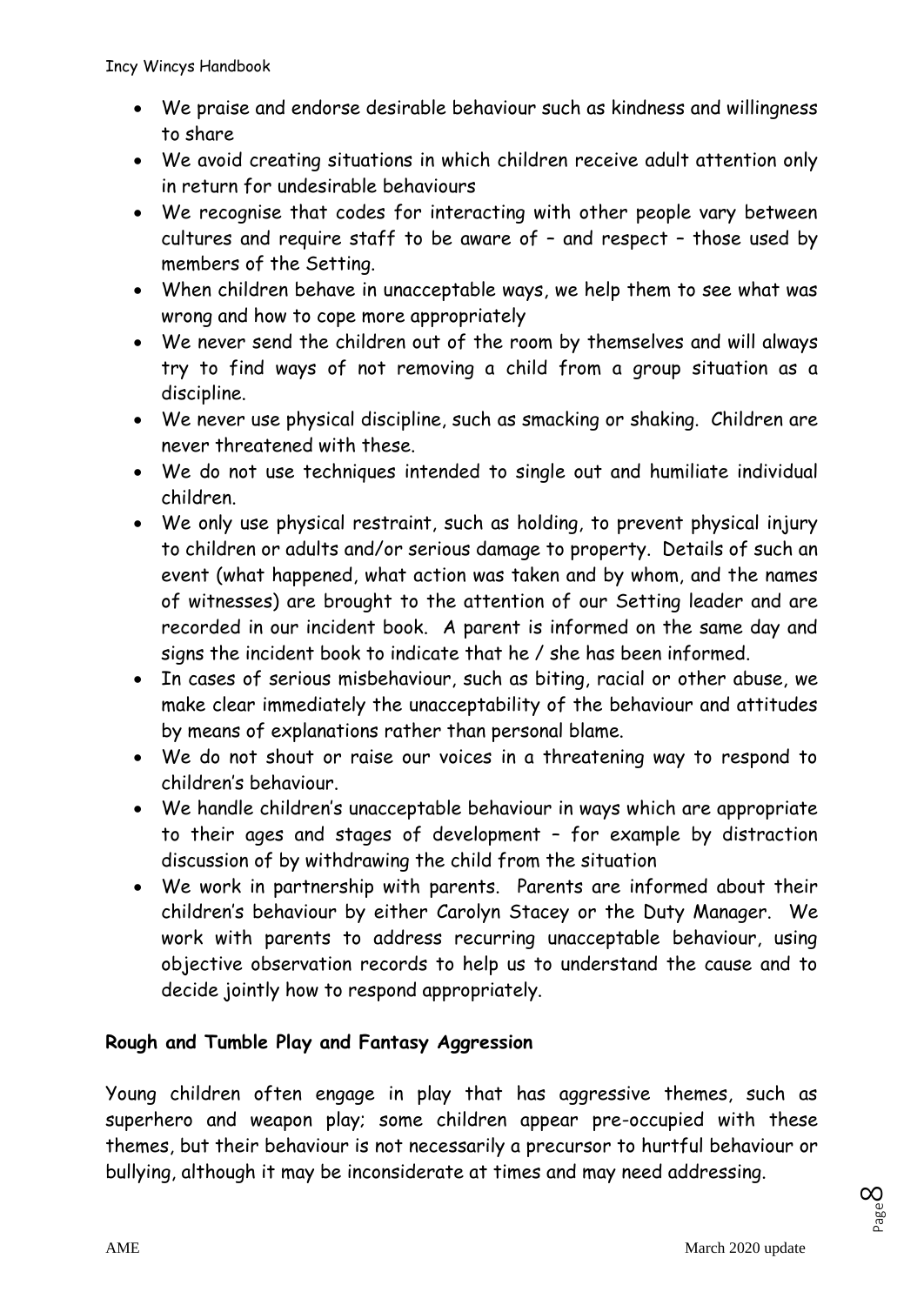- We praise and endorse desirable behaviour such as kindness and willingness to share
- We avoid creating situations in which children receive adult attention only in return for undesirable behaviours
- We recognise that codes for interacting with other people vary between cultures and require staff to be aware of – and respect – those used by members of the Setting.
- When children behave in unacceptable ways, we help them to see what was wrong and how to cope more appropriately
- We never send the children out of the room by themselves and will always try to find ways of not removing a child from a group situation as a discipline.
- We never use physical discipline, such as smacking or shaking. Children are never threatened with these.
- We do not use techniques intended to single out and humiliate individual children.
- We only use physical restraint, such as holding, to prevent physical injury to children or adults and/or serious damage to property. Details of such an event (what happened, what action was taken and by whom, and the names of witnesses) are brought to the attention of our Setting leader and are recorded in our incident book. A parent is informed on the same day and signs the incident book to indicate that he / she has been informed.
- In cases of serious misbehaviour, such as biting, racial or other abuse, we make clear immediately the unacceptability of the behaviour and attitudes by means of explanations rather than personal blame.
- We do not shout or raise our voices in a threatening way to respond to children's behaviour.
- We handle children's unacceptable behaviour in ways which are appropriate to their ages and stages of development – for example by distraction discussion of by withdrawing the child from the situation
- We work in partnership with parents. Parents are informed about their children's behaviour by either Carolyn Stacey or the Duty Manager. We work with parents to address recurring unacceptable behaviour, using objective observation records to help us to understand the cause and to decide jointly how to respond appropriately.

### **Rough and Tumble Play and Fantasy Aggression**

Young children often engage in play that has aggressive themes, such as superhero and weapon play; some children appear pre-occupied with these themes, but their behaviour is not necessarily a precursor to hurtful behaviour or bullying, although it may be inconsiderate at times and may need addressing.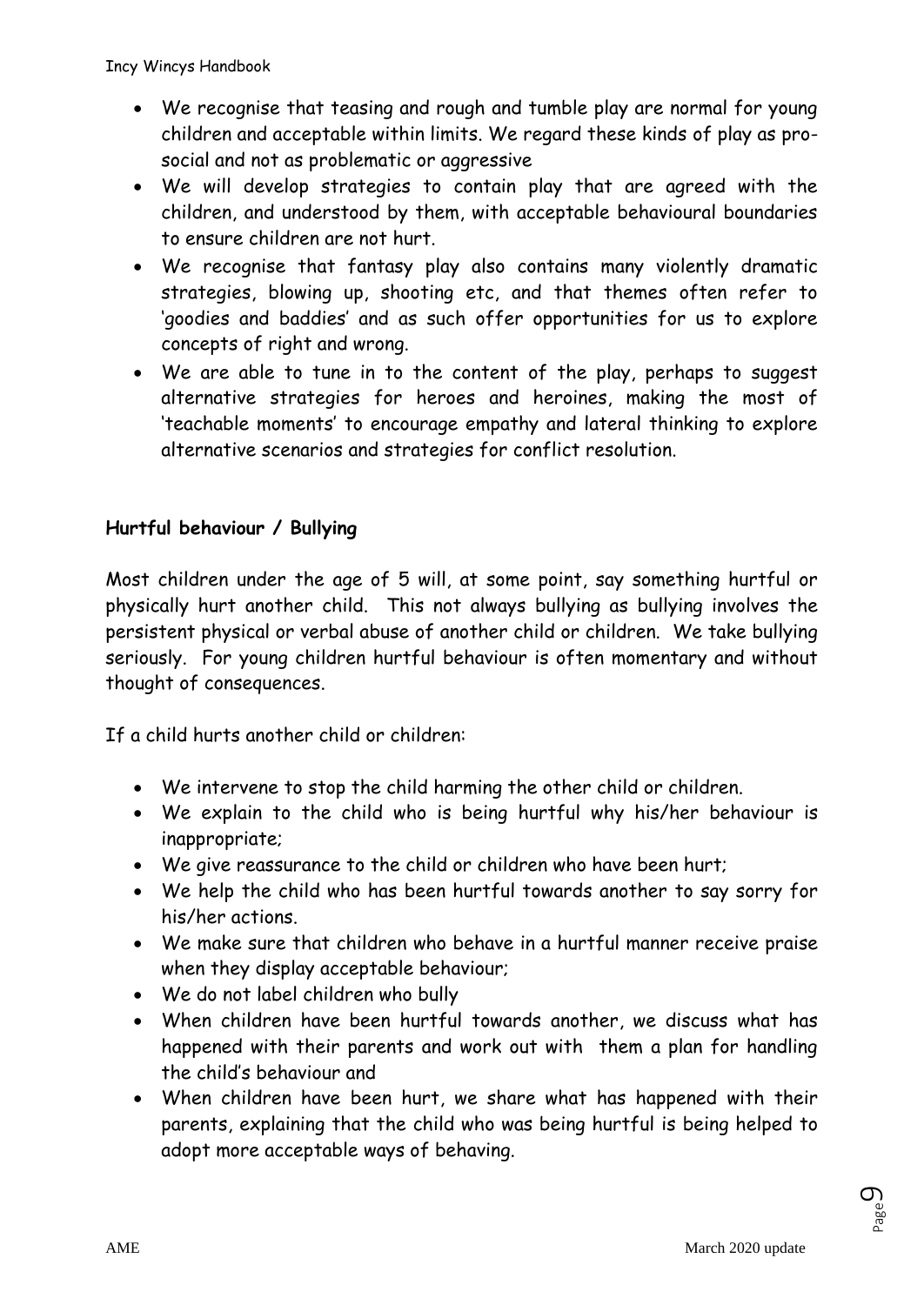- We recognise that teasing and rough and tumble play are normal for young children and acceptable within limits. We regard these kinds of play as prosocial and not as problematic or aggressive
- We will develop strategies to contain play that are agreed with the children, and understood by them, with acceptable behavioural boundaries to ensure children are not hurt.
- We recognise that fantasy play also contains many violently dramatic strategies, blowing up, shooting etc, and that themes often refer to 'goodies and baddies' and as such offer opportunities for us to explore concepts of right and wrong.
- We are able to tune in to the content of the play, perhaps to suggest alternative strategies for heroes and heroines, making the most of 'teachable moments' to encourage empathy and lateral thinking to explore alternative scenarios and strategies for conflict resolution.

### **Hurtful behaviour / Bullying**

Most children under the age of 5 will, at some point, say something hurtful or physically hurt another child. This not always bullying as bullying involves the persistent physical or verbal abuse of another child or children. We take bullying seriously. For young children hurtful behaviour is often momentary and without thought of consequences.

If a child hurts another child or children:

- We intervene to stop the child harming the other child or children.
- We explain to the child who is being hurtful why his/her behaviour is inappropriate;
- We give reassurance to the child or children who have been hurt;
- We help the child who has been hurtful towards another to say sorry for his/her actions.
- We make sure that children who behave in a hurtful manner receive praise when they display acceptable behaviour;
- We do not label children who bully
- When children have been hurtful towards another, we discuss what has happened with their parents and work out with them a plan for handling the child's behaviour and
- When children have been hurt, we share what has happened with their parents, explaining that the child who was being hurtful is being helped to adopt more acceptable ways of behaving.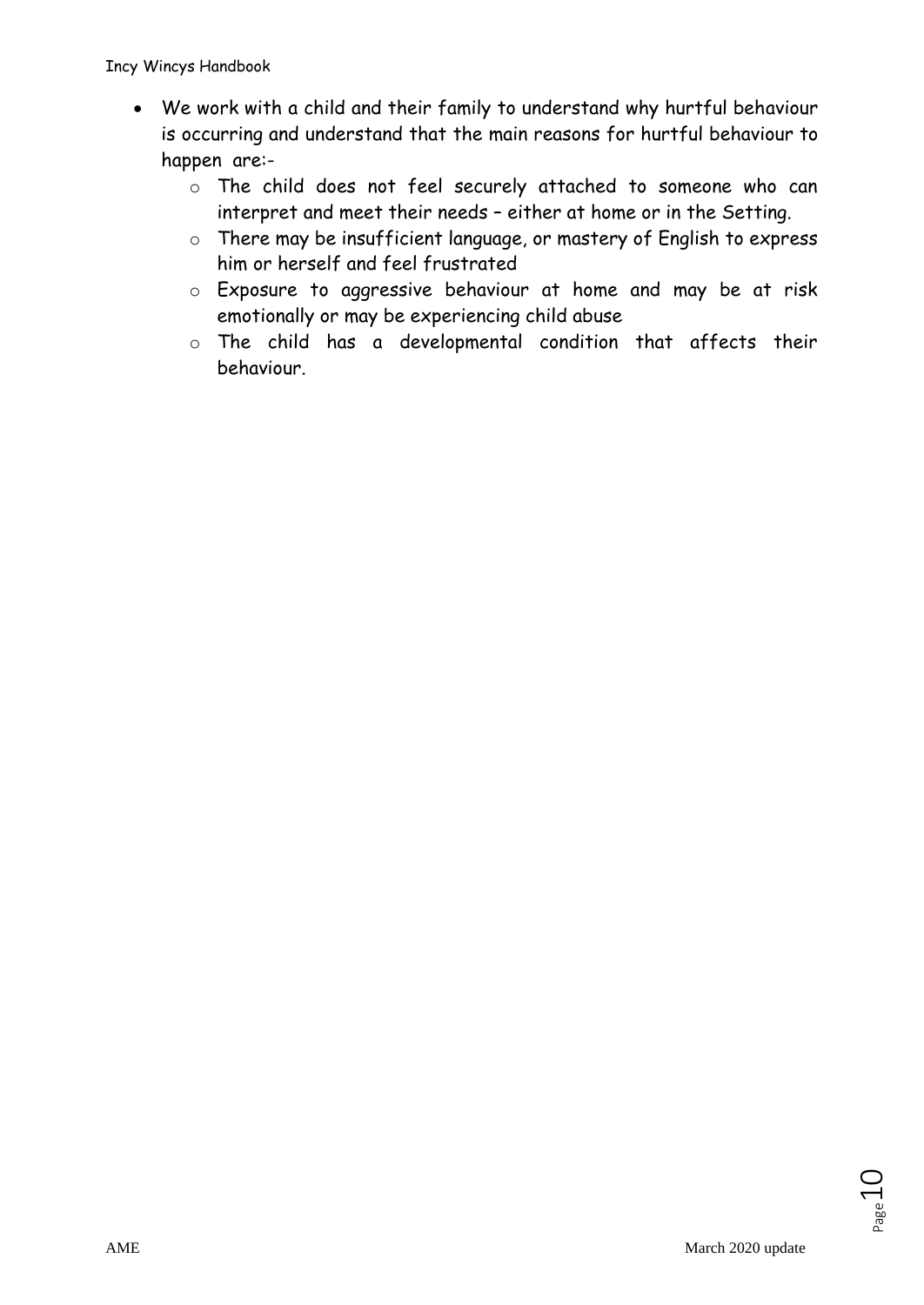- We work with a child and their family to understand why hurtful behaviour is occurring and understand that the main reasons for hurtful behaviour to happen are:
	- o The child does not feel securely attached to someone who can interpret and meet their needs – either at home or in the Setting.
	- o There may be insufficient language, or mastery of English to express him or herself and feel frustrated
	- o Exposure to aggressive behaviour at home and may be at risk emotionally or may be experiencing child abuse
	- o The child has a developmental condition that affects their behaviour.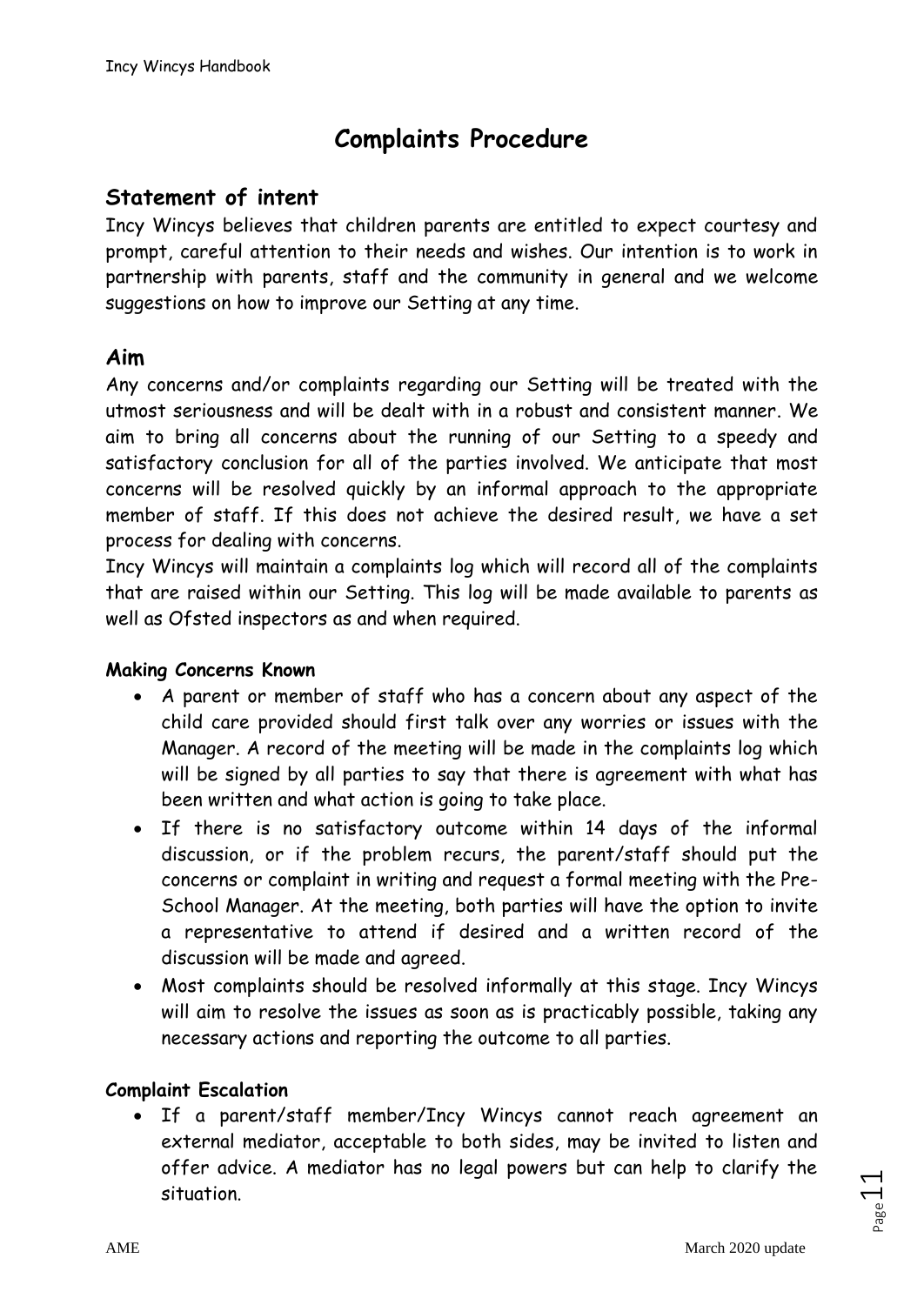# **Complaints Procedure**

### **Statement of intent**

Incy Wincys believes that children parents are entitled to expect courtesy and prompt, careful attention to their needs and wishes. Our intention is to work in partnership with parents, staff and the community in general and we welcome suggestions on how to improve our Setting at any time.

### **Aim**

Any concerns and/or complaints regarding our Setting will be treated with the utmost seriousness and will be dealt with in a robust and consistent manner. We aim to bring all concerns about the running of our Setting to a speedy and satisfactory conclusion for all of the parties involved. We anticipate that most concerns will be resolved quickly by an informal approach to the appropriate member of staff. If this does not achieve the desired result, we have a set process for dealing with concerns.

Incy Wincys will maintain a complaints log which will record all of the complaints that are raised within our Setting. This log will be made available to parents as well as Ofsted inspectors as and when required.

#### **Making Concerns Known**

- A parent or member of staff who has a concern about any aspect of the child care provided should first talk over any worries or issues with the Manager. A record of the meeting will be made in the complaints log which will be signed by all parties to say that there is agreement with what has been written and what action is going to take place.
- If there is no satisfactory outcome within 14 days of the informal discussion, or if the problem recurs, the parent/staff should put the concerns or complaint in writing and request a formal meeting with the Pre-School Manager. At the meeting, both parties will have the option to invite a representative to attend if desired and a written record of the discussion will be made and agreed.
- Most complaints should be resolved informally at this stage. Incy Wincys will aim to resolve the issues as soon as is practicably possible, taking any necessary actions and reporting the outcome to all parties.

#### **Complaint Escalation**

• If a parent/staff member/Incy Wincys cannot reach agreement an external mediator, acceptable to both sides, may be invited to listen and offer advice. A mediator has no legal powers but can help to clarify the situation.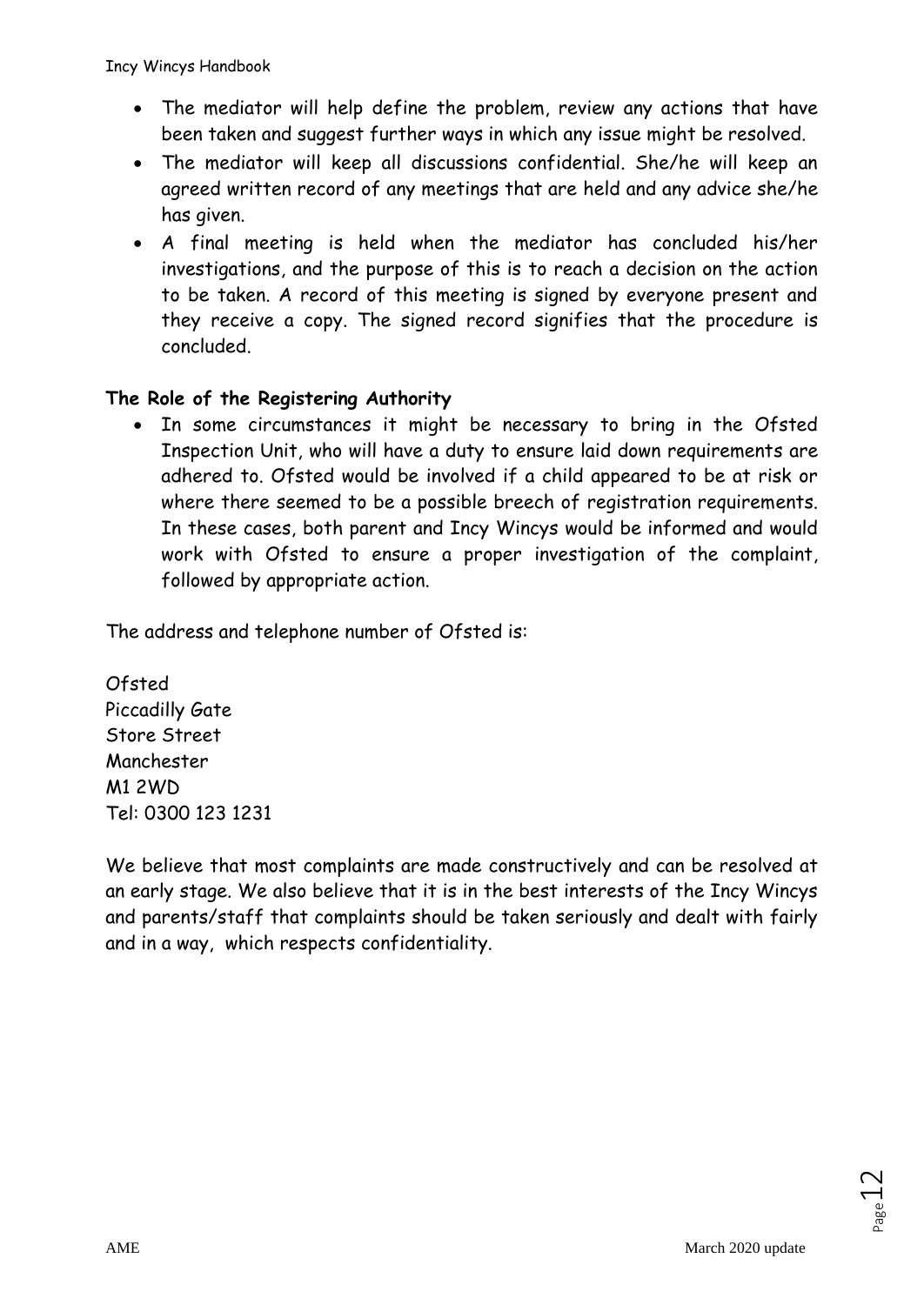- The mediator will help define the problem, review any actions that have been taken and suggest further ways in which any issue might be resolved.
- The mediator will keep all discussions confidential. She/he will keep an agreed written record of any meetings that are held and any advice she/he has given.
- A final meeting is held when the mediator has concluded his/her investigations, and the purpose of this is to reach a decision on the action to be taken. A record of this meeting is signed by everyone present and they receive a copy. The signed record signifies that the procedure is concluded.

### **The Role of the Registering Authority**

• In some circumstances it might be necessary to bring in the Ofsted Inspection Unit, who will have a duty to ensure laid down requirements are adhered to. Ofsted would be involved if a child appeared to be at risk or where there seemed to be a possible breech of registration requirements. In these cases, both parent and Incy Wincys would be informed and would work with Ofsted to ensure a proper investigation of the complaint, followed by appropriate action.

The address and telephone number of Ofsted is:

Ofsted Piccadilly Gate Store Street Manchester M1 2WD Tel: 0300 123 1231

We believe that most complaints are made constructively and can be resolved at an early stage. We also believe that it is in the best interests of the Incy Wincys and parents/staff that complaints should be taken seriously and dealt with fairly and in a way, which respects confidentiality.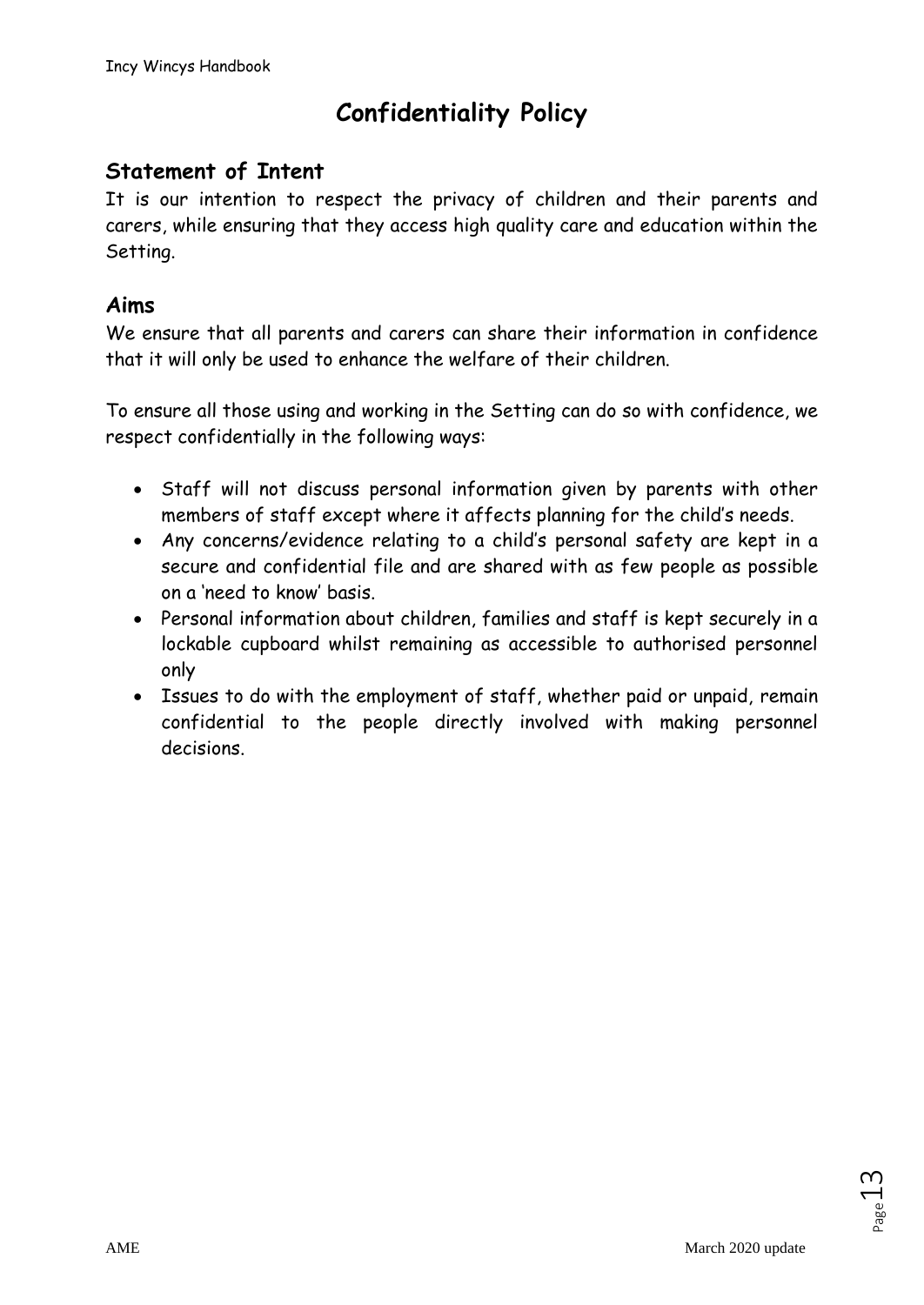# **Confidentiality Policy**

# **Statement of Intent**

It is our intention to respect the privacy of children and their parents and carers, while ensuring that they access high quality care and education within the Setting.

### **Aims**

We ensure that all parents and carers can share their information in confidence that it will only be used to enhance the welfare of their children.

To ensure all those using and working in the Setting can do so with confidence, we respect confidentially in the following ways:

- Staff will not discuss personal information given by parents with other members of staff except where it affects planning for the child's needs.
- Any concerns/evidence relating to a child's personal safety are kept in a secure and confidential file and are shared with as few people as possible on a 'need to know' basis.
- Personal information about children, families and staff is kept securely in a lockable cupboard whilst remaining as accessible to authorised personnel only
- Issues to do with the employment of staff, whether paid or unpaid, remain confidential to the people directly involved with making personnel decisions.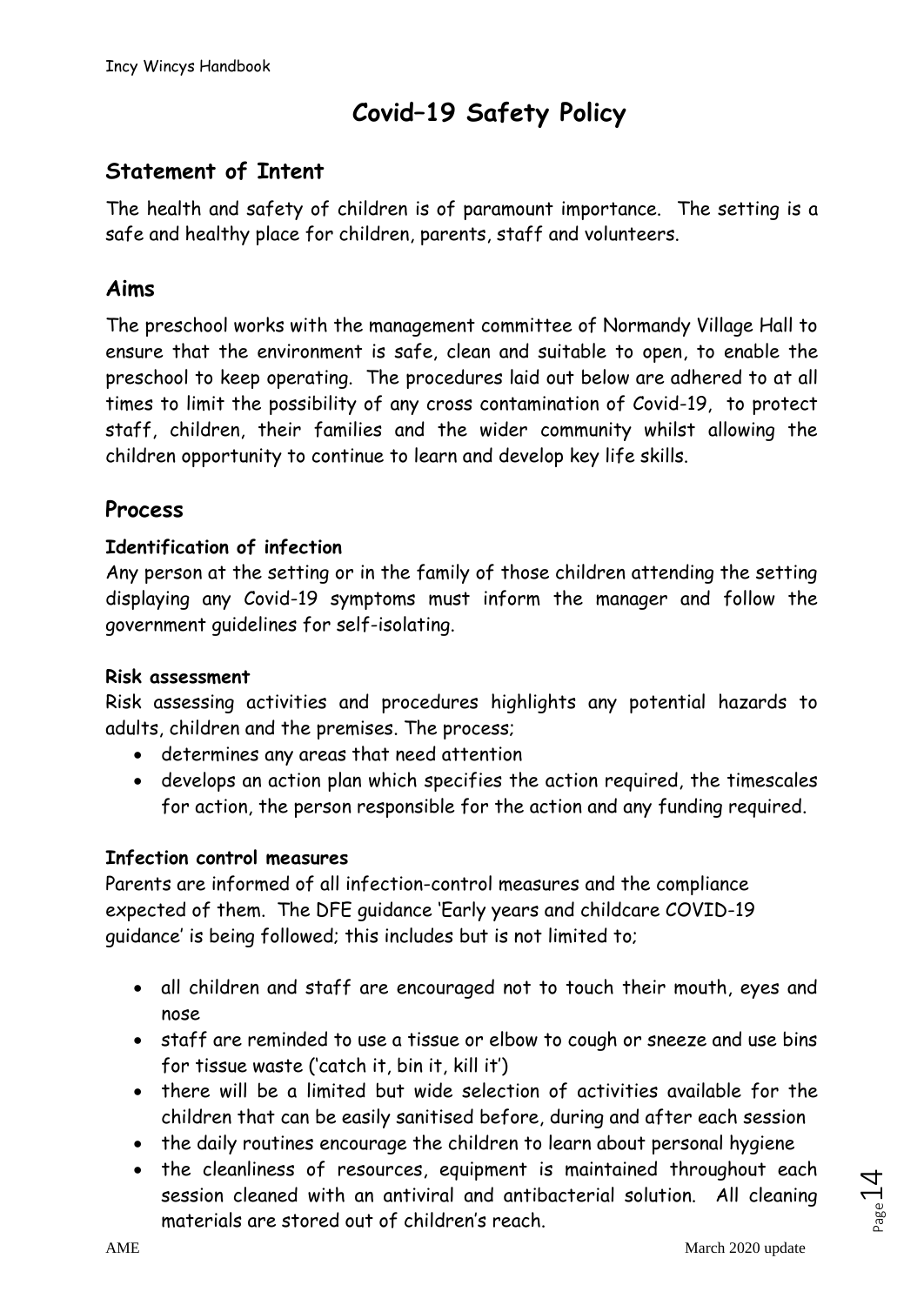# **Covid–19 Safety Policy**

### **Statement of Intent**

The health and safety of children is of paramount importance. The setting is a safe and healthy place for children, parents, staff and volunteers.

### **Aims**

The preschool works with the management committee of Normandy Village Hall to ensure that the environment is safe, clean and suitable to open, to enable the preschool to keep operating. The procedures laid out below are adhered to at all times to limit the possibility of any cross contamination of Covid-19, to protect staff, children, their families and the wider community whilst allowing the children opportunity to continue to learn and develop key life skills.

### **Process**

#### **Identification of infection**

Any person at the setting or in the family of those children attending the setting displaying any Covid-19 symptoms must inform the manager and follow the government guidelines for self-isolating.

#### **Risk assessment**

Risk assessing activities and procedures highlights any potential hazards to adults, children and the premises. The process;

- determines any areas that need attention
- develops an action plan which specifies the action required, the timescales for action, the person responsible for the action and any funding required.

#### **Infection control measures**

Parents are informed of all infection-control measures and the compliance expected of them. The DFE guidance 'Early years and childcare COVID-19 guidance' is being followed; this includes but is not limited to;

- all children and staff are encouraged not to touch their mouth, eyes and nose
- staff are reminded to use a tissue or elbow to cough or sneeze and use bins for tissue waste ('catch it, bin it, kill it')
- there will be a limited but wide selection of activities available for the children that can be easily sanitised before, during and after each session
- the daily routines encourage the children to learn about personal hygiene
- the cleanliness of resources, equipment is maintained throughout each session cleaned with an antiviral and antibacterial solution. All cleaning materials are stored out of children's reach.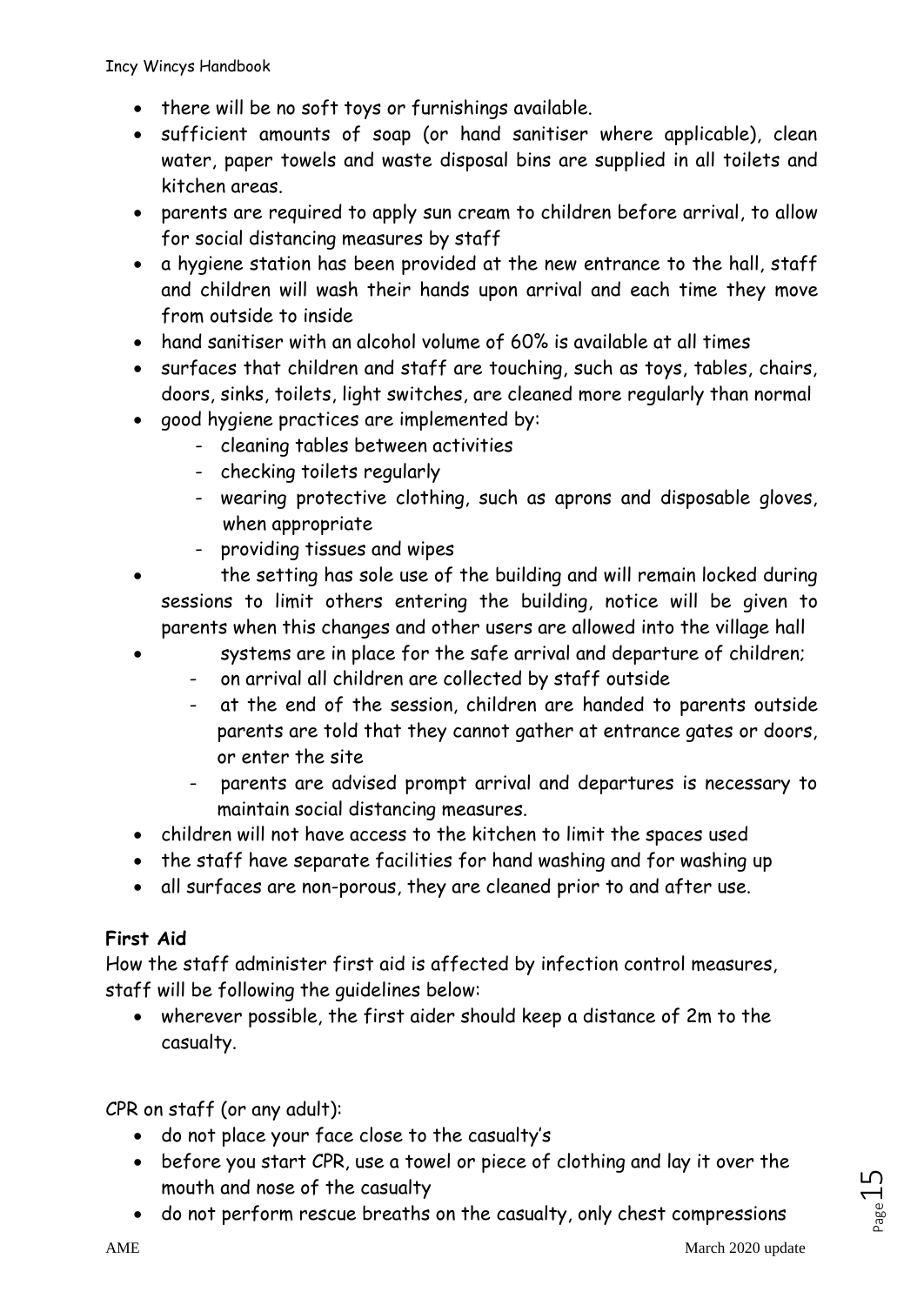- there will be no soft toys or furnishings available.
- sufficient amounts of soap (or hand sanitiser where applicable), clean water, paper towels and waste disposal bins are supplied in all toilets and kitchen areas.
- parents are required to apply sun cream to children before arrival, to allow for social distancing measures by staff
- a hygiene station has been provided at the new entrance to the hall, staff and children will wash their hands upon arrival and each time they move from outside to inside
- hand sanitiser with an alcohol volume of 60% is available at all times
- surfaces that children and staff are touching, such as toys, tables, chairs, doors, sinks, toilets, light switches, are cleaned more regularly than normal
- good hygiene practices are implemented by:
	- cleaning tables between activities
	- checking toilets regularly
	- wearing protective clothing, such as aprons and disposable gloves, when appropriate
	- providing tissues and wipes
- the setting has sole use of the building and will remain locked during sessions to limit others entering the building, notice will be given to parents when this changes and other users are allowed into the village hall
	- systems are in place for the safe arrival and departure of children;
		- on arrival all children are collected by staff outside
		- at the end of the session, children are handed to parents outside parents are told that they cannot gather at entrance gates or doors, or enter the site
		- parents are advised prompt arrival and departures is necessary to maintain social distancing measures.
- children will not have access to the kitchen to limit the spaces used
- the staff have separate facilities for hand washing and for washing up
- all surfaces are non-porous, they are cleaned prior to and after use.

### **First Aid**

How the staff administer first aid is affected by infection control measures, staff will be following the guidelines below:

• wherever possible, the first aider should keep a distance of 2m to the casualty.

CPR on staff (or any adult):

- do not place your face close to the casualty's
- before you start CPR, use a towel or piece of clothing and lay it over the mouth and nose of the casualty
- do not perform rescue breaths on the casualty, only chest compressions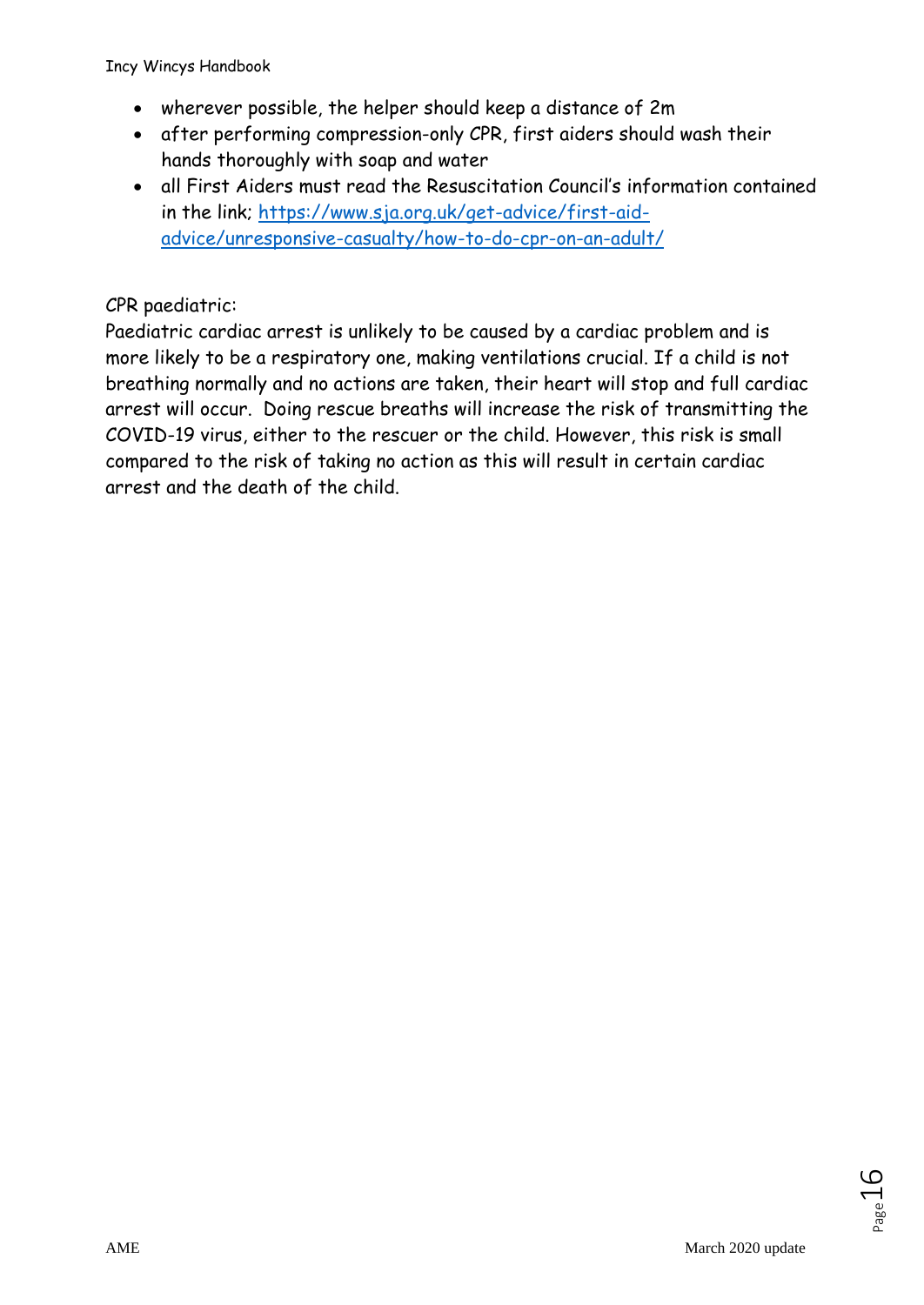- wherever possible, the helper should keep a distance of 2m
- after performing compression-only CPR, first aiders should wash their hands thoroughly with soap and water
- all First Aiders must read the Resuscitation Council's information contained in the link; [https://www.sja.org.uk/get-advice/first-aid](https://www.sja.org.uk/get-advice/first-aid-advice/unresponsive-casualty/how-to-do-cpr-on-an-adult/)[advice/unresponsive-casualty/how-to-do-cpr-on-an-adult/](https://www.sja.org.uk/get-advice/first-aid-advice/unresponsive-casualty/how-to-do-cpr-on-an-adult/)

#### CPR paediatric:

Paediatric cardiac arrest is unlikely to be caused by a cardiac problem and is more likely to be a respiratory one, making ventilations crucial. If a child is not breathing normally and no actions are taken, their heart will stop and full cardiac arrest will occur. Doing rescue breaths will increase the risk of transmitting the COVID-19 virus, either to the rescuer or the child. However, this risk is small compared to the risk of taking no action as this will result in certain cardiac arrest and the death of the child.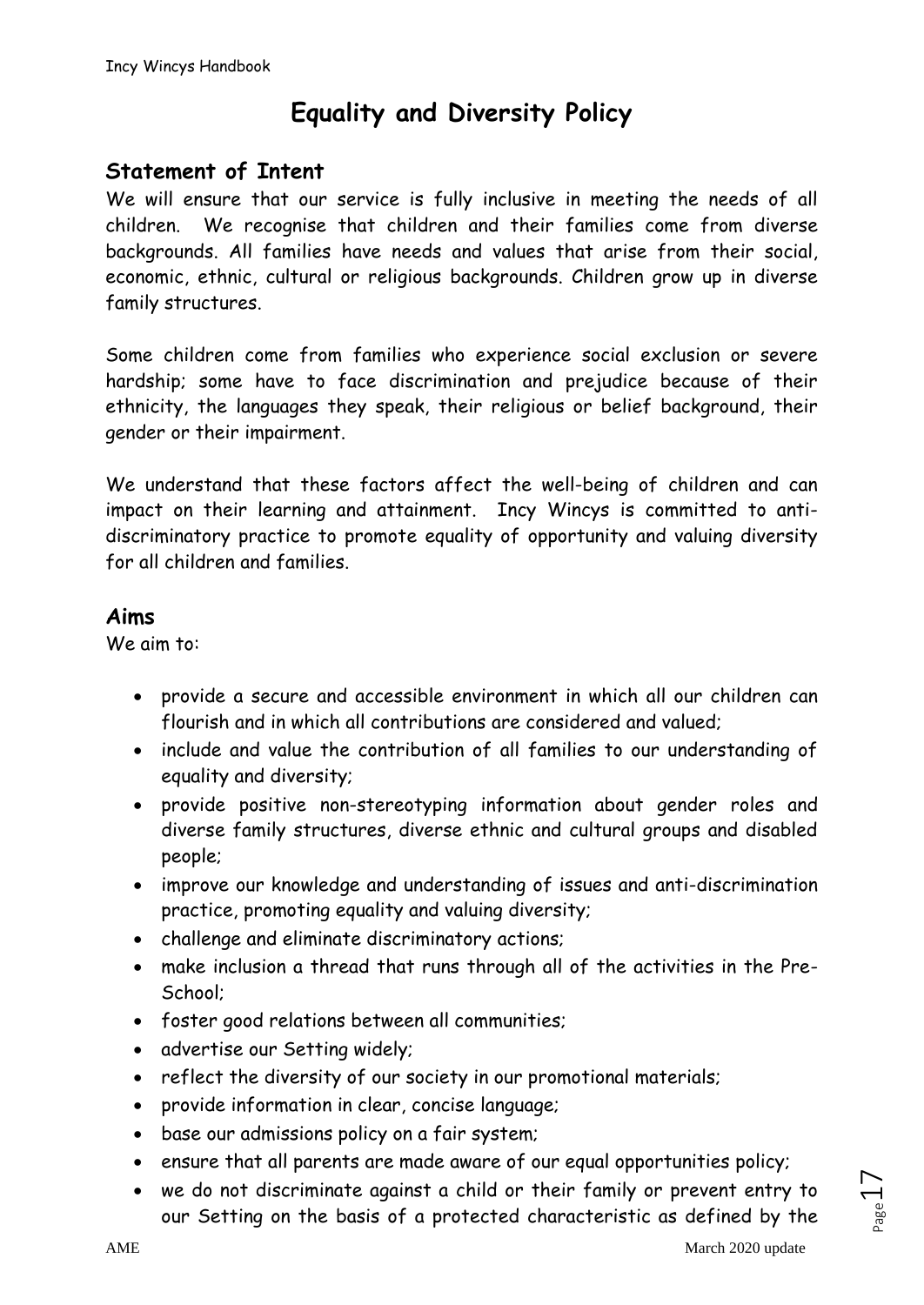# **Equality and Diversity Policy**

### **Statement of Intent**

We will ensure that our service is fully inclusive in meeting the needs of all children. We recognise that children and their families come from diverse backgrounds. All families have needs and values that arise from their social, economic, ethnic, cultural or religious backgrounds. Children grow up in diverse family structures.

Some children come from families who experience social exclusion or severe hardship; some have to face discrimination and prejudice because of their ethnicity, the languages they speak, their religious or belief background, their gender or their impairment.

We understand that these factors affect the well-being of children and can impact on their learning and attainment. Incy Wincys is committed to antidiscriminatory practice to promote equality of opportunity and valuing diversity for all children and families.

### **Aims**

We aim to:

- provide a secure and accessible environment in which all our children can flourish and in which all contributions are considered and valued;
- include and value the contribution of all families to our understanding of equality and diversity;
- provide positive non-stereotyping information about gender roles and diverse family structures, diverse ethnic and cultural groups and disabled people;
- improve our knowledge and understanding of issues and anti-discrimination practice, promoting equality and valuing diversity;
- challenge and eliminate discriminatory actions;
- make inclusion a thread that runs through all of the activities in the Pre-School;
- foster good relations between all communities;
- advertise our Setting widely;
- reflect the diversity of our society in our promotional materials;
- provide information in clear, concise language;
- base our admissions policy on a fair system;
- ensure that all parents are made aware of our equal opportunities policy;
- we do not discriminate against a child or their family or prevent entry to our Setting on the basis of a protected characteristic as defined by the

 $L_{\text{age}}$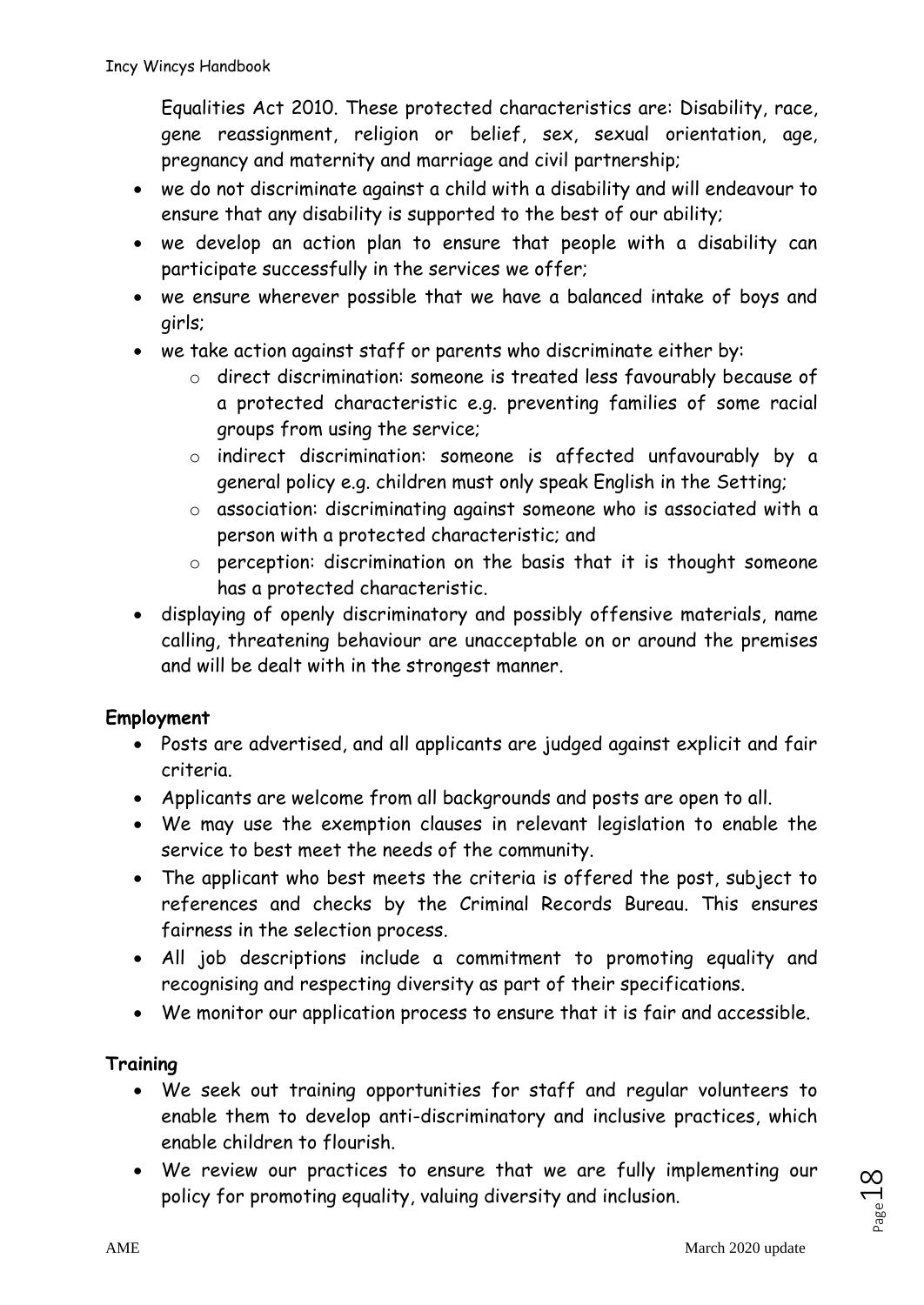Equalities Act 2010. These protected characteristics are: Disability, race, gene reassignment, religion or belief, sex, sexual orientation, age, pregnancy and maternity and marriage and civil partnership;

- we do not discriminate against a child with a disability and will endeavour to ensure that any disability is supported to the best of our ability;
- we develop an action plan to ensure that people with a disability can participate successfully in the services we offer;
- we ensure wherever possible that we have a balanced intake of boys and girls;
- we take action against staff or parents who discriminate either by:
	- o direct discrimination: someone is treated less favourably because of a protected characteristic e.g. preventing families of some racial groups from using the service;
	- o indirect discrimination: someone is affected unfavourably by a general policy e.g. children must only speak English in the Setting;
	- o association: discriminating against someone who is associated with a person with a protected characteristic; and
	- o perception: discrimination on the basis that it is thought someone has a protected characteristic.
- displaying of openly discriminatory and possibly offensive materials, name calling, threatening behaviour are unacceptable on or around the premises and will be dealt with in the strongest manner.

### **Employment**

- Posts are advertised, and all applicants are judged against explicit and fair criteria.
- Applicants are welcome from all backgrounds and posts are open to all.
- We may use the exemption clauses in relevant legislation to enable the service to best meet the needs of the community.
- The applicant who best meets the criteria is offered the post, subject to references and checks by the Criminal Records Bureau. This ensures fairness in the selection process.
- All job descriptions include a commitment to promoting equality and recognising and respecting diversity as part of their specifications.
- We monitor our application process to ensure that it is fair and accessible.

### **Training**

- We seek out training opportunities for staff and regular volunteers to enable them to develop anti-discriminatory and inclusive practices, which enable children to flourish.
- We review our practices to ensure that we are fully implementing our policy for promoting equality, valuing diversity and inclusion.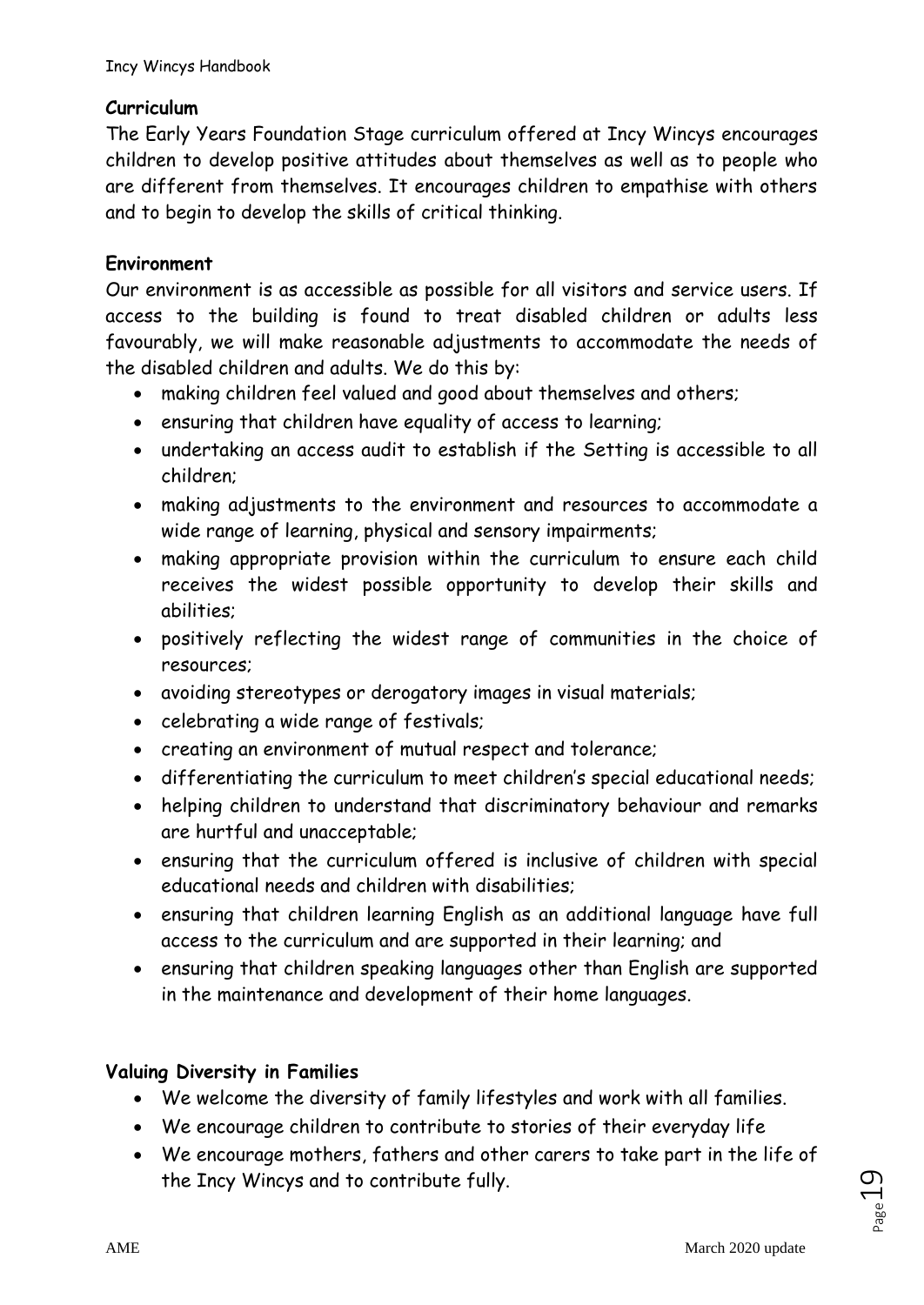### **Curriculum**

The Early Years Foundation Stage curriculum offered at Incy Wincys encourages children to develop positive attitudes about themselves as well as to people who are different from themselves. It encourages children to empathise with others and to begin to develop the skills of critical thinking.

### **Environment**

Our environment is as accessible as possible for all visitors and service users. If access to the building is found to treat disabled children or adults less favourably, we will make reasonable adjustments to accommodate the needs of the disabled children and adults. We do this by:

- making children feel valued and good about themselves and others;
- ensuring that children have equality of access to learning;
- undertaking an access audit to establish if the Setting is accessible to all children;
- making adjustments to the environment and resources to accommodate a wide range of learning, physical and sensory impairments;
- making appropriate provision within the curriculum to ensure each child receives the widest possible opportunity to develop their skills and abilities;
- positively reflecting the widest range of communities in the choice of resources;
- avoiding stereotypes or derogatory images in visual materials;
- celebrating a wide range of festivals;
- creating an environment of mutual respect and tolerance;
- differentiating the curriculum to meet children's special educational needs;
- helping children to understand that discriminatory behaviour and remarks are hurtful and unacceptable;
- ensuring that the curriculum offered is inclusive of children with special educational needs and children with disabilities;
- ensuring that children learning English as an additional language have full access to the curriculum and are supported in their learning; and
- ensuring that children speaking languages other than English are supported in the maintenance and development of their home languages.

# **Valuing Diversity in Families**

- We welcome the diversity of family lifestyles and work with all families.
- We encourage children to contribute to stories of their everyday life
- We encourage mothers, fathers and other carers to take part in the life of the Incy Wincys and to contribute fully.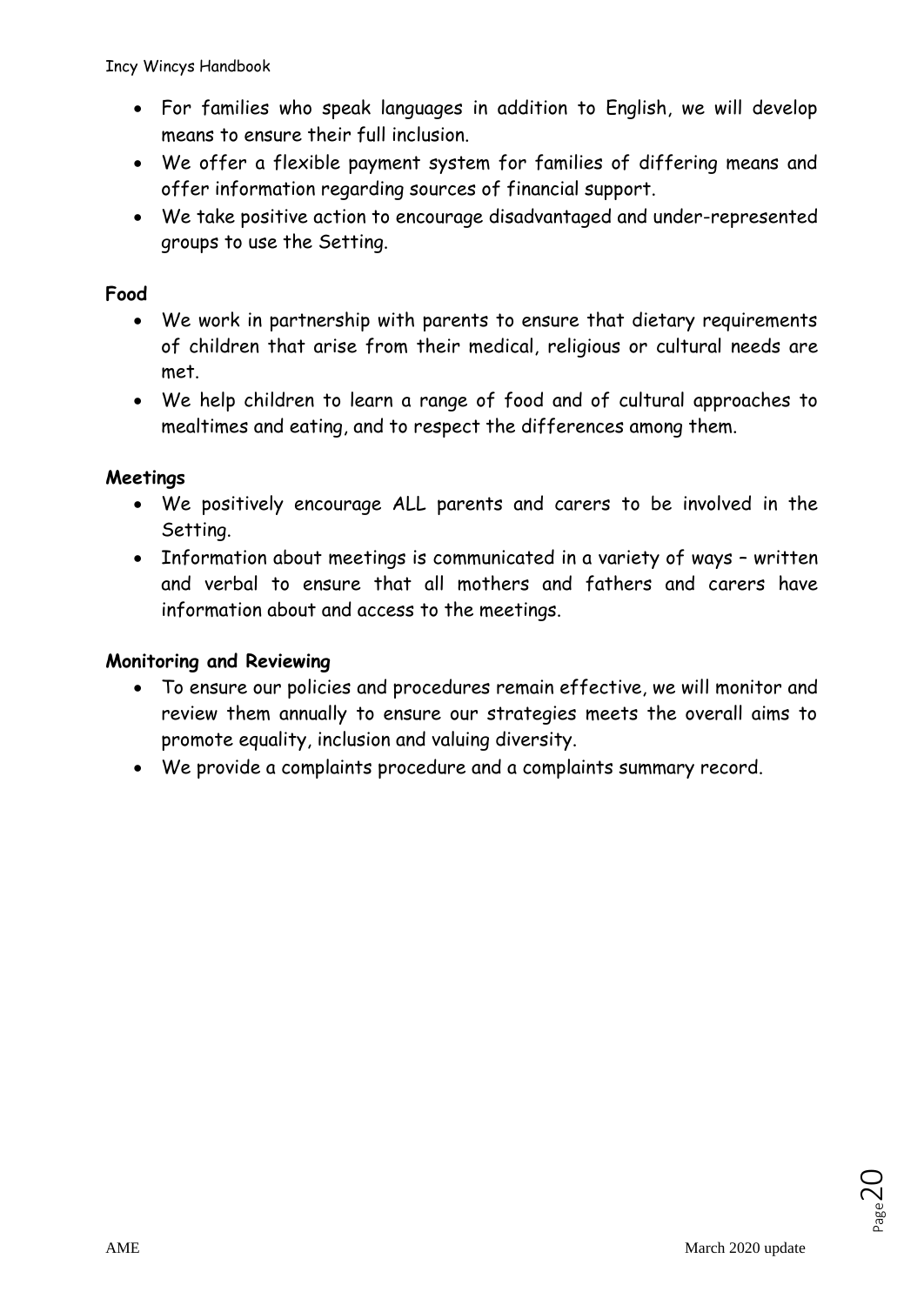Incy Wincys Handbook

- For families who speak languages in addition to English, we will develop means to ensure their full inclusion.
- We offer a flexible payment system for families of differing means and offer information regarding sources of financial support.
- We take positive action to encourage disadvantaged and under-represented groups to use the Setting.

#### **Food**

- We work in partnership with parents to ensure that dietary requirements of children that arise from their medical, religious or cultural needs are met.
- We help children to learn a range of food and of cultural approaches to mealtimes and eating, and to respect the differences among them.

#### **Meetings**

- We positively encourage ALL parents and carers to be involved in the Setting.
- Information about meetings is communicated in a variety of ways written and verbal to ensure that all mothers and fathers and carers have information about and access to the meetings.

#### **Monitoring and Reviewing**

- To ensure our policies and procedures remain effective, we will monitor and review them annually to ensure our strategies meets the overall aims to promote equality, inclusion and valuing diversity.
- We provide a complaints procedure and a complaints summary record.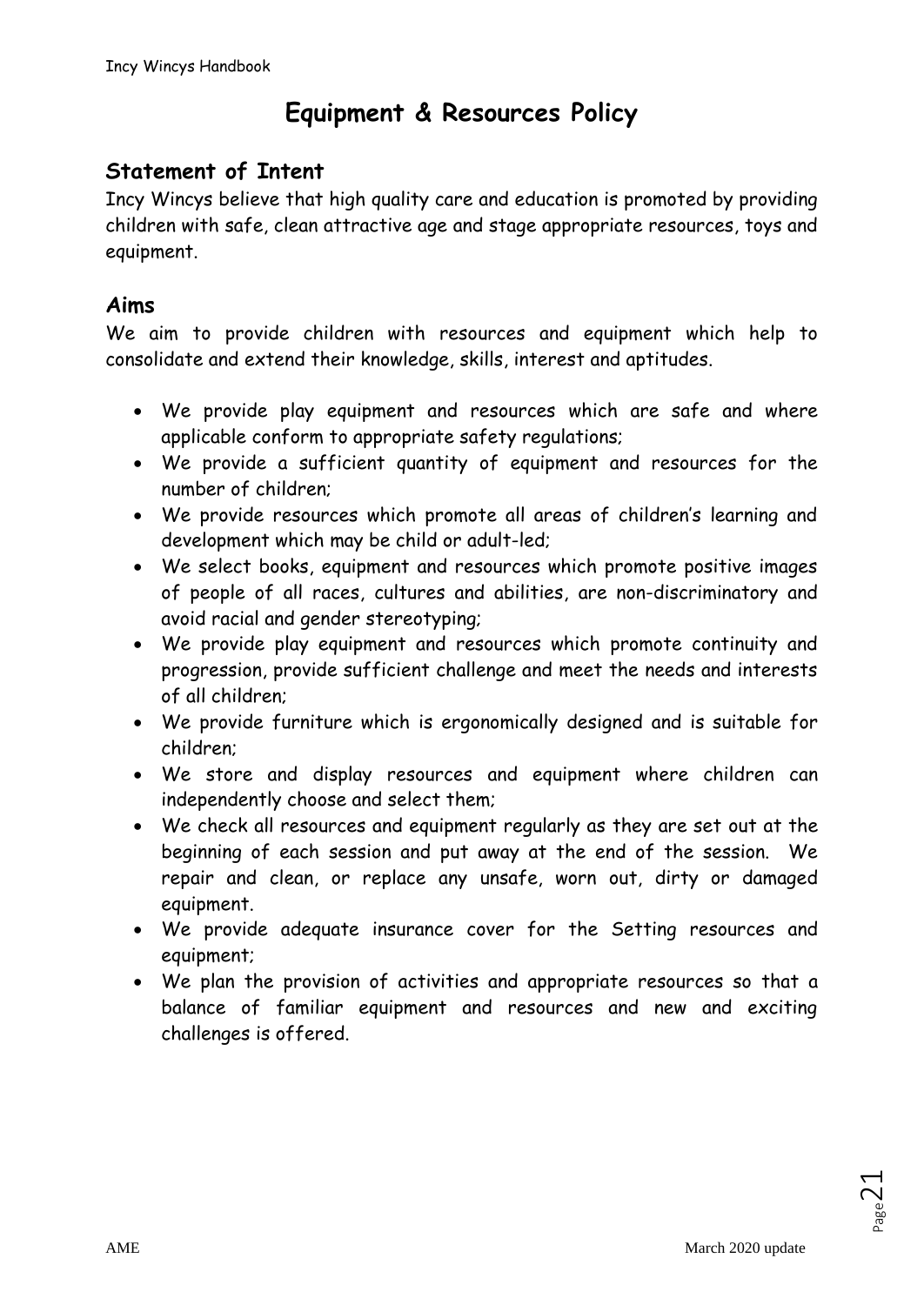# **Equipment & Resources Policy**

# **Statement of Intent**

Incy Wincys believe that high quality care and education is promoted by providing children with safe, clean attractive age and stage appropriate resources, toys and equipment.

### **Aims**

We aim to provide children with resources and equipment which help to consolidate and extend their knowledge, skills, interest and aptitudes.

- We provide play equipment and resources which are safe and where applicable conform to appropriate safety regulations;
- We provide a sufficient quantity of equipment and resources for the number of children;
- We provide resources which promote all areas of children's learning and development which may be child or adult-led;
- We select books, equipment and resources which promote positive images of people of all races, cultures and abilities, are non-discriminatory and avoid racial and gender stereotyping;
- We provide play equipment and resources which promote continuity and progression, provide sufficient challenge and meet the needs and interests of all children;
- We provide furniture which is ergonomically designed and is suitable for children;
- We store and display resources and equipment where children can independently choose and select them;
- We check all resources and equipment regularly as they are set out at the beginning of each session and put away at the end of the session. We repair and clean, or replace any unsafe, worn out, dirty or damaged equipment.
- We provide adequate insurance cover for the Setting resources and equipment;
- We plan the provision of activities and appropriate resources so that a balance of familiar equipment and resources and new and exciting challenges is offered.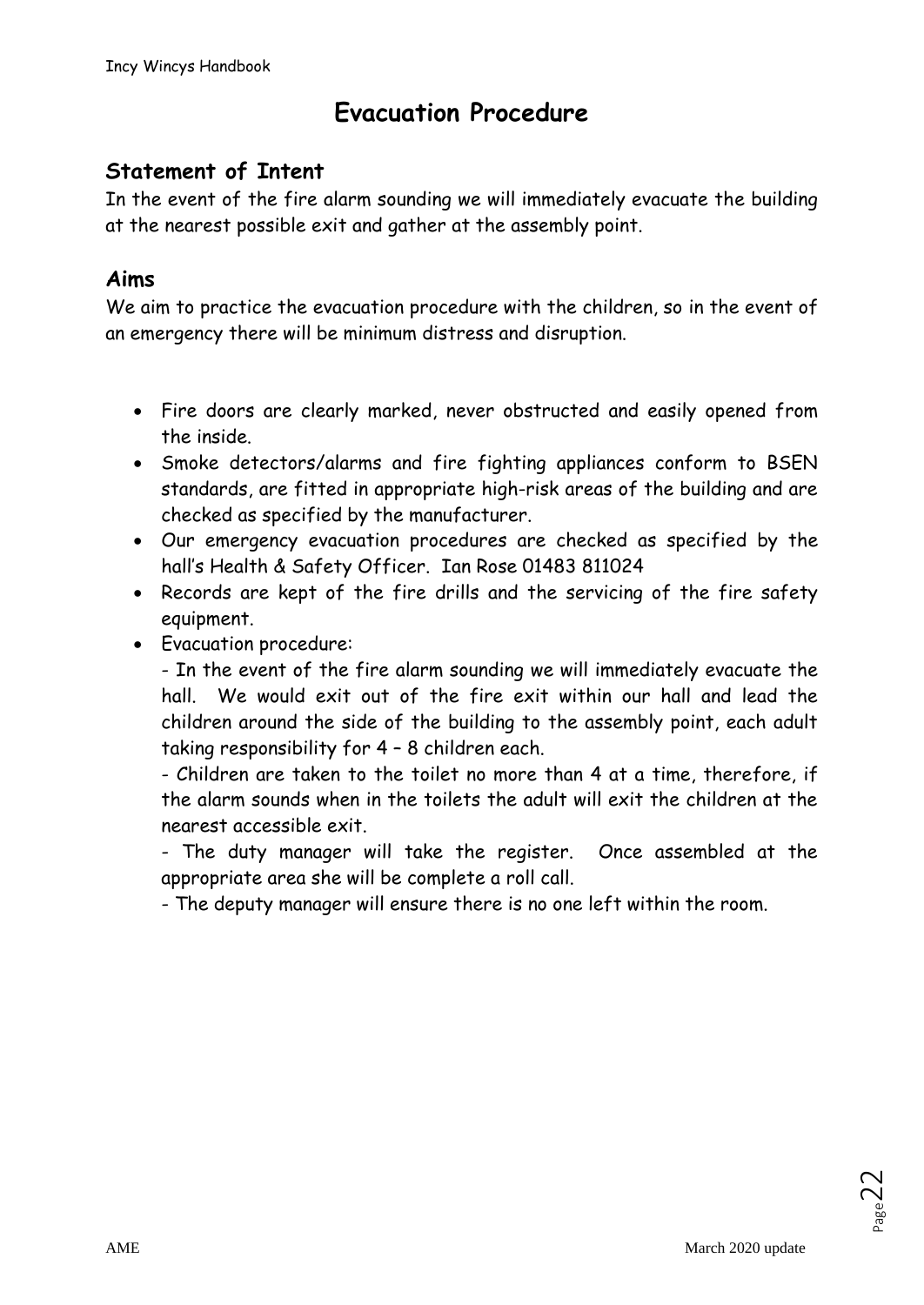# **Evacuation Procedure**

# **Statement of Intent**

In the event of the fire alarm sounding we will immediately evacuate the building at the nearest possible exit and gather at the assembly point.

# **Aims**

We aim to practice the evacuation procedure with the children, so in the event of an emergency there will be minimum distress and disruption.

- Fire doors are clearly marked, never obstructed and easily opened from the inside.
- Smoke detectors/alarms and fire fighting appliances conform to BSEN standards, are fitted in appropriate high-risk areas of the building and are checked as specified by the manufacturer.
- Our emergency evacuation procedures are checked as specified by the hall's Health & Safety Officer. Ian Rose 01483 811024
- Records are kept of the fire drills and the servicing of the fire safety equipment.
- Evacuation procedure:

- In the event of the fire alarm sounding we will immediately evacuate the hall. We would exit out of the fire exit within our hall and lead the children around the side of the building to the assembly point, each adult taking responsibility for 4 – 8 children each.

- Children are taken to the toilet no more than 4 at a time, therefore, if the alarm sounds when in the toilets the adult will exit the children at the nearest accessible exit.

- The duty manager will take the register. Once assembled at the appropriate area she will be complete a roll call.

- The deputy manager will ensure there is no one left within the room.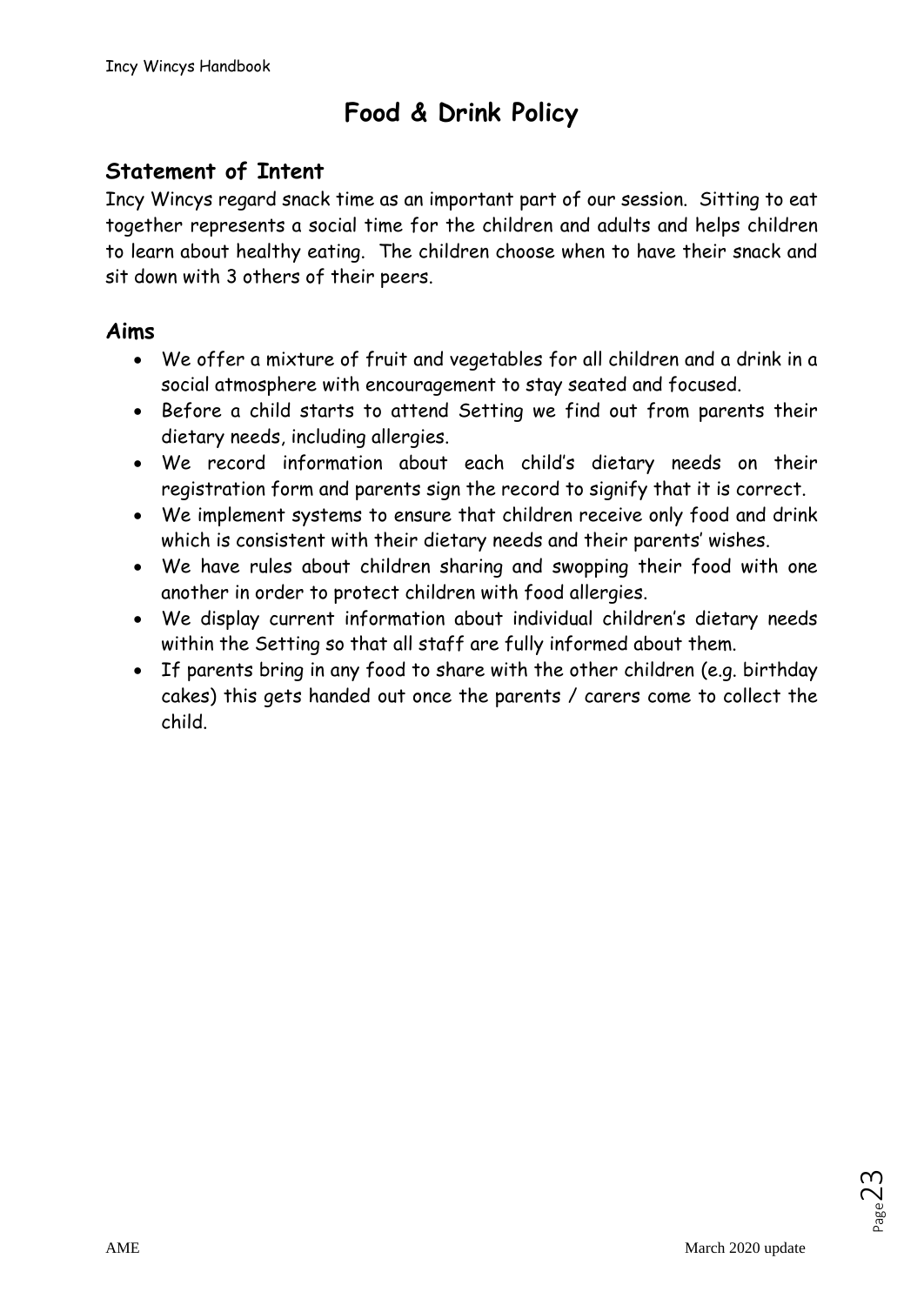# **Food & Drink Policy**

# **Statement of Intent**

Incy Wincys regard snack time as an important part of our session. Sitting to eat together represents a social time for the children and adults and helps children to learn about healthy eating. The children choose when to have their snack and sit down with 3 others of their peers.

### **Aims**

- We offer a mixture of fruit and vegetables for all children and a drink in a social atmosphere with encouragement to stay seated and focused.
- Before a child starts to attend Setting we find out from parents their dietary needs, including allergies.
- We record information about each child's dietary needs on their registration form and parents sign the record to signify that it is correct.
- We implement systems to ensure that children receive only food and drink which is consistent with their dietary needs and their parents' wishes.
- We have rules about children sharing and swopping their food with one another in order to protect children with food allergies.
- We display current information about individual children's dietary needs within the Setting so that all staff are fully informed about them.
- If parents bring in any food to share with the other children (e.g. birthday cakes) this gets handed out once the parents / carers come to collect the child.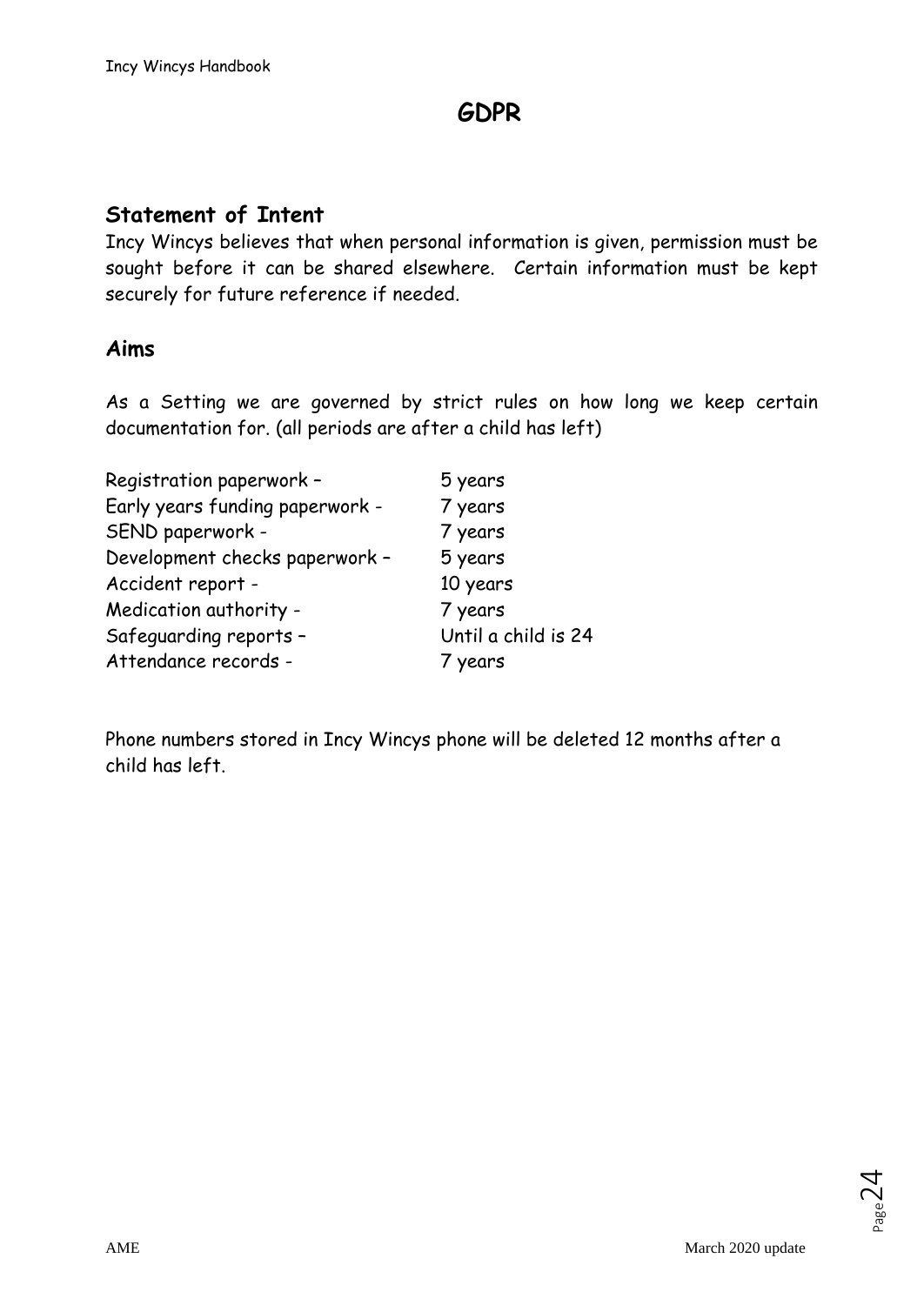# **GDPR**

### **Statement of Intent**

Incy Wincys believes that when personal information is given, permission must be sought before it can be shared elsewhere. Certain information must be kept securely for future reference if needed.

### **Aims**

As a Setting we are governed by strict rules on how long we keep certain documentation for. (all periods are after a child has left)

| 5 years             |
|---------------------|
| 7 years             |
| 7 years             |
| 5 years             |
| 10 years            |
| 7 years             |
| Until a child is 24 |
| 7 years             |
|                     |

Phone numbers stored in Incy Wincys phone will be deleted 12 months after a child has left.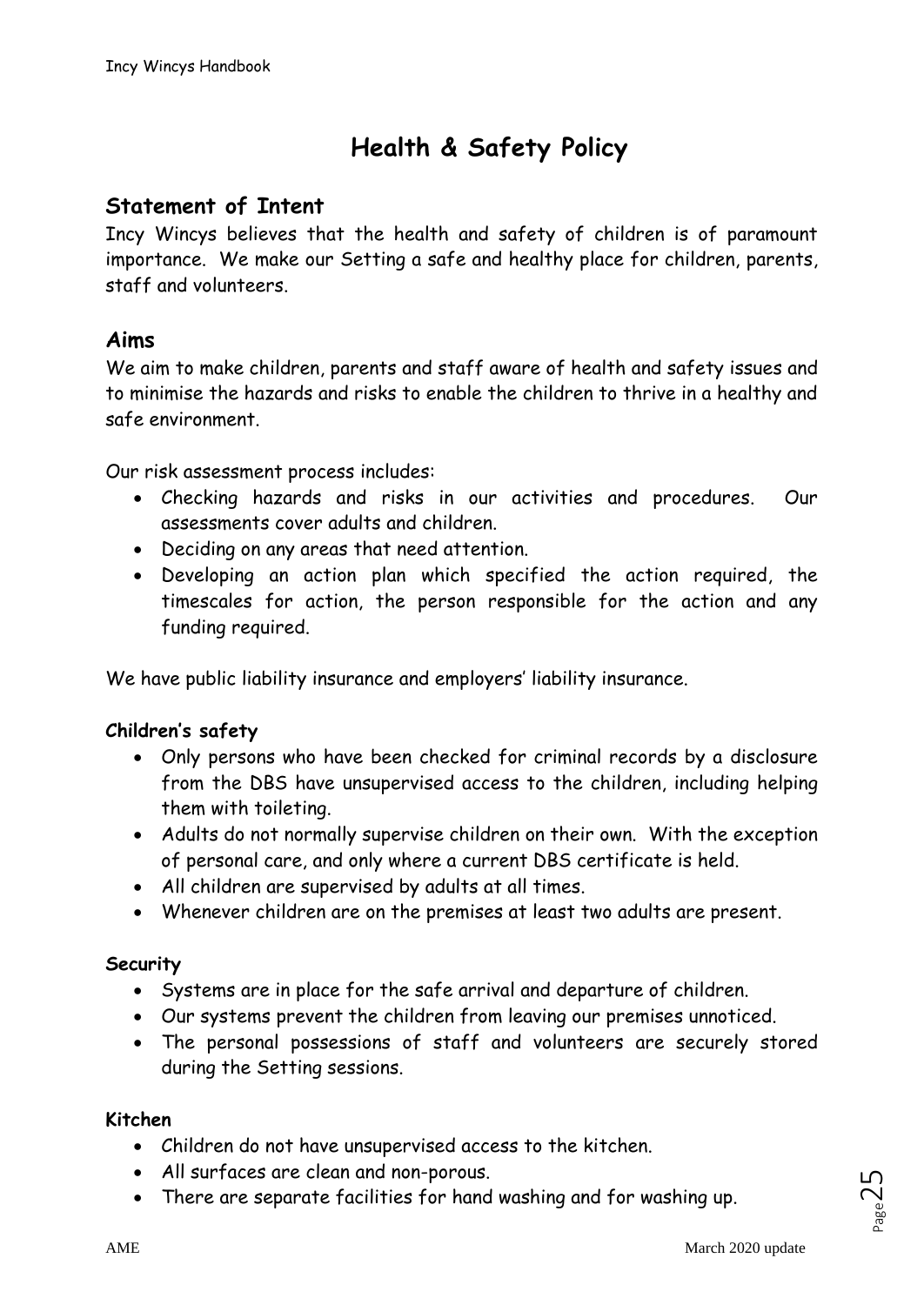# **Health & Safety Policy**

# **Statement of Intent**

Incy Wincys believes that the health and safety of children is of paramount importance. We make our Setting a safe and healthy place for children, parents, staff and volunteers.

### **Aims**

We aim to make children, parents and staff aware of health and safety issues and to minimise the hazards and risks to enable the children to thrive in a healthy and safe environment.

Our risk assessment process includes:

- Checking hazards and risks in our activities and procedures. Our assessments cover adults and children.
- Deciding on any areas that need attention.
- Developing an action plan which specified the action required, the timescales for action, the person responsible for the action and any funding required.

We have public liability insurance and employers' liability insurance.

#### **Children's safety**

- Only persons who have been checked for criminal records by a disclosure from the DBS have unsupervised access to the children, including helping them with toileting.
- Adults do not normally supervise children on their own. With the exception of personal care, and only where a current DBS certificate is held.
- All children are supervised by adults at all times.
- Whenever children are on the premises at least two adults are present.

#### **Security**

- Systems are in place for the safe arrival and departure of children.
- Our systems prevent the children from leaving our premises unnoticed.
- The personal possessions of staff and volunteers are securely stored during the Setting sessions.

#### **Kitchen**

- Children do not have unsupervised access to the kitchen.
- All surfaces are clean and non-porous.
- There are separate facilities for hand washing and for washing up.

 $P_{\text{age}}$ 25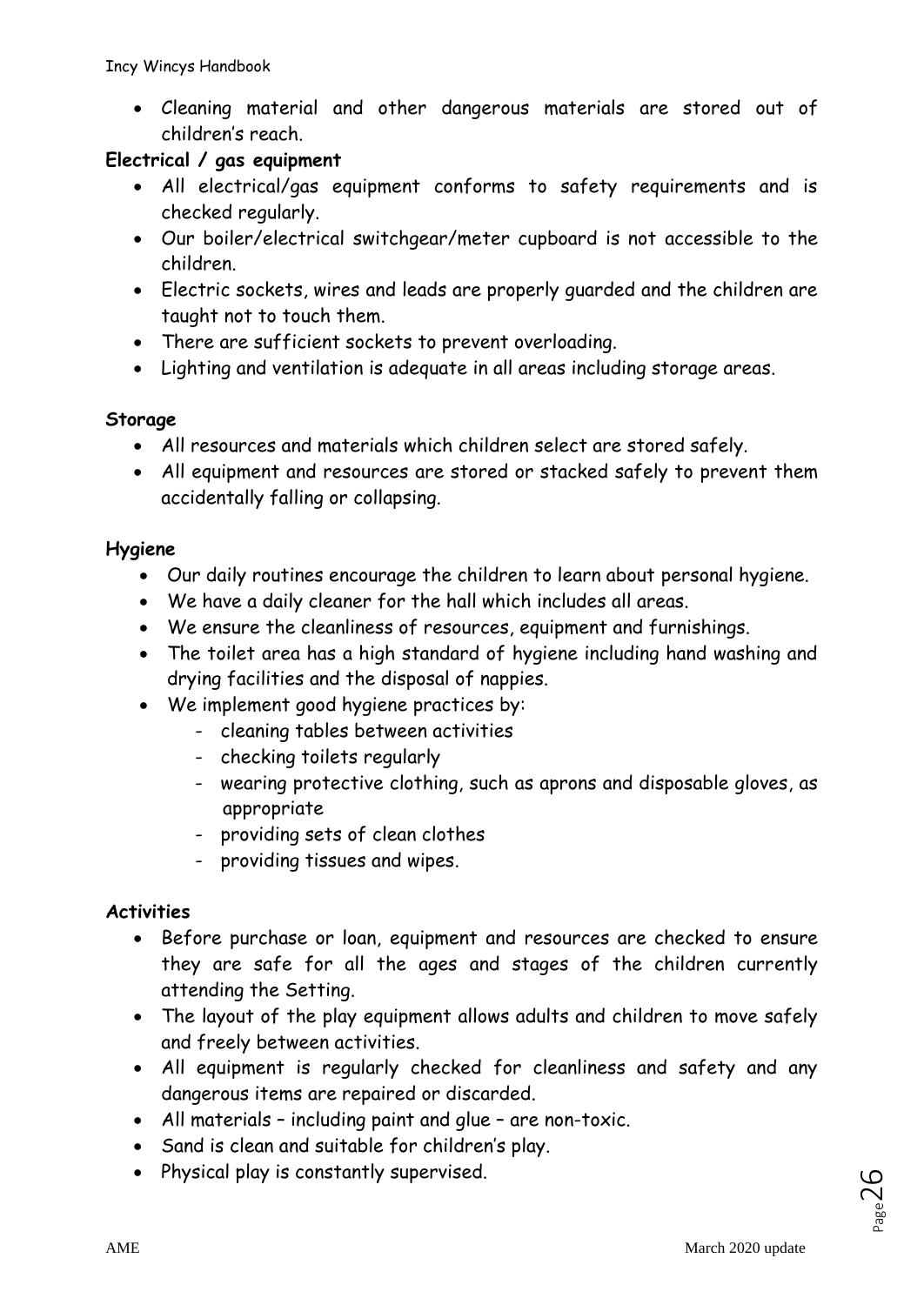• Cleaning material and other dangerous materials are stored out of children's reach.

### **Electrical / gas equipment**

- All electrical/gas equipment conforms to safety requirements and is checked regularly.
- Our boiler/electrical switchgear/meter cupboard is not accessible to the children.
- Electric sockets, wires and leads are properly guarded and the children are taught not to touch them.
- There are sufficient sockets to prevent overloading.
- Lighting and ventilation is adequate in all areas including storage areas.

### **Storage**

- All resources and materials which children select are stored safely.
- All equipment and resources are stored or stacked safely to prevent them accidentally falling or collapsing.

### **Hygiene**

- Our daily routines encourage the children to learn about personal hygiene.
- We have a daily cleaner for the hall which includes all areas.
- We ensure the cleanliness of resources, equipment and furnishings.
- The toilet area has a high standard of hygiene including hand washing and drying facilities and the disposal of nappies.
- We implement good hygiene practices by:
	- cleaning tables between activities
	- checking toilets regularly
	- wearing protective clothing, such as aprons and disposable gloves, as appropriate
	- providing sets of clean clothes
	- providing tissues and wipes.

# **Activities**

- Before purchase or loan, equipment and resources are checked to ensure they are safe for all the ages and stages of the children currently attending the Setting.
- The layout of the play equipment allows adults and children to move safely and freely between activities.
- All equipment is regularly checked for cleanliness and safety and any dangerous items are repaired or discarded.
- All materials including paint and glue are non-toxic.
- Sand is clean and suitable for children's play.
- Physical play is constantly supervised.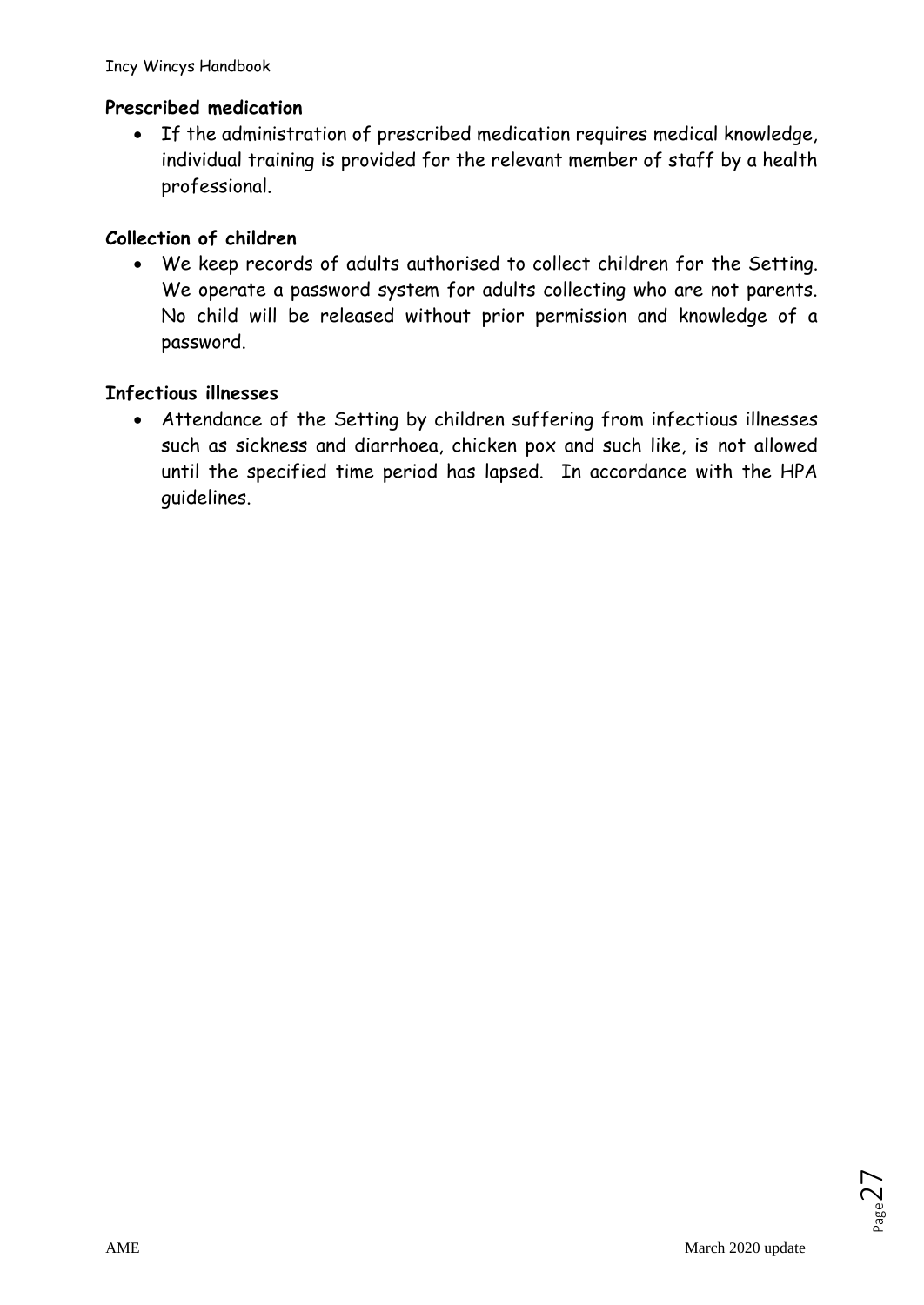### **Prescribed medication**

• If the administration of prescribed medication requires medical knowledge, individual training is provided for the relevant member of staff by a health professional.

### **Collection of children**

• We keep records of adults authorised to collect children for the Setting. We operate a password system for adults collecting who are not parents. No child will be released without prior permission and knowledge of a password.

### **Infectious illnesses**

• Attendance of the Setting by children suffering from infectious illnesses such as sickness and diarrhoea, chicken pox and such like, is not allowed until the specified time period has lapsed. In accordance with the HPA guidelines.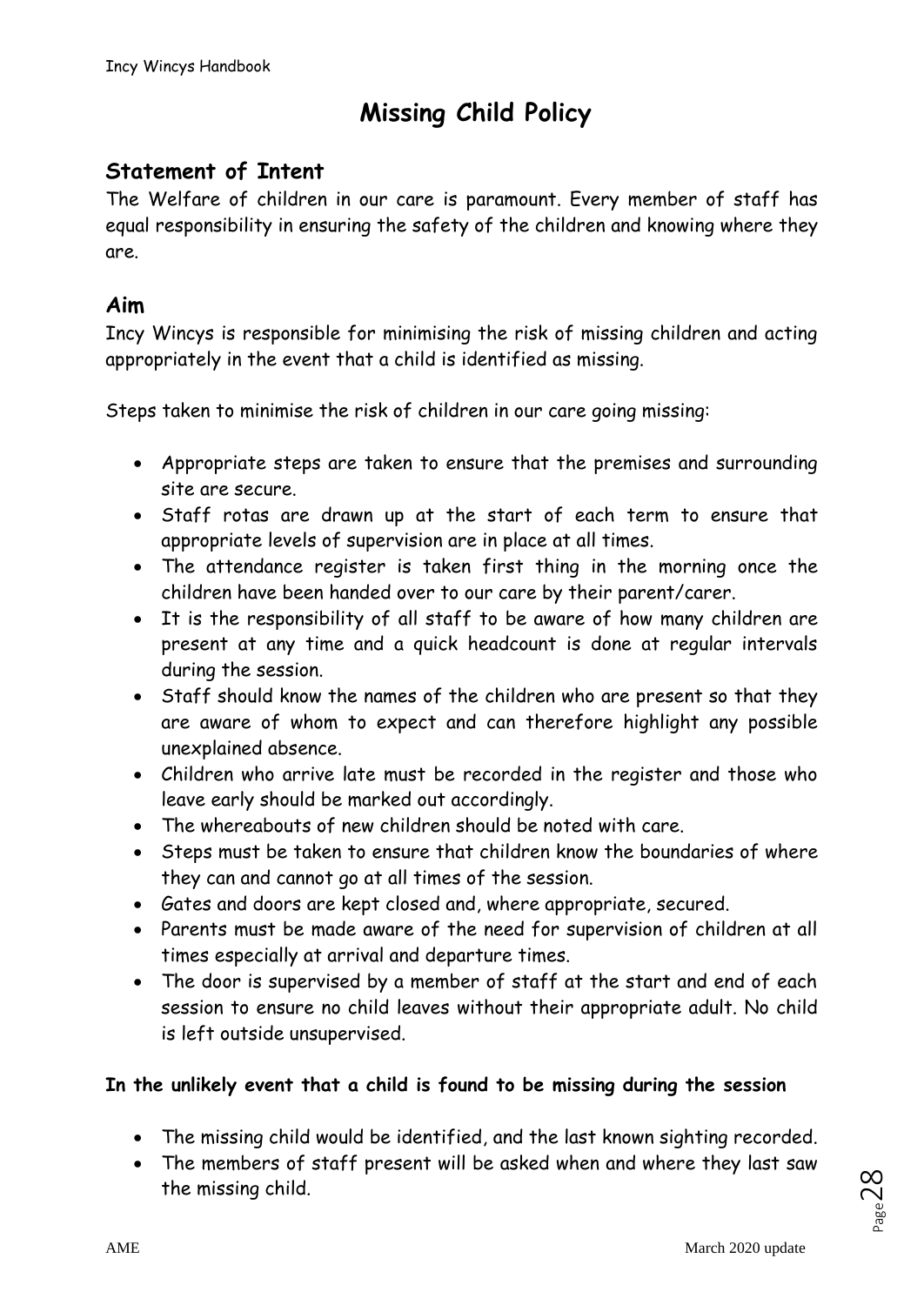# **Missing Child Policy**

# **Statement of Intent**

The Welfare of children in our care is paramount. Every member of staff has equal responsibility in ensuring the safety of the children and knowing where they are.

### **Aim**

Incy Wincys is responsible for minimising the risk of missing children and acting appropriately in the event that a child is identified as missing.

Steps taken to minimise the risk of children in our care going missing:

- Appropriate steps are taken to ensure that the premises and surrounding site are secure.
- Staff rotas are drawn up at the start of each term to ensure that appropriate levels of supervision are in place at all times.
- The attendance register is taken first thing in the morning once the children have been handed over to our care by their parent/carer.
- It is the responsibility of all staff to be aware of how many children are present at any time and a quick headcount is done at regular intervals during the session.
- Staff should know the names of the children who are present so that they are aware of whom to expect and can therefore highlight any possible unexplained absence.
- Children who arrive late must be recorded in the register and those who leave early should be marked out accordingly.
- The whereabouts of new children should be noted with care.
- Steps must be taken to ensure that children know the boundaries of where they can and cannot go at all times of the session.
- Gates and doors are kept closed and, where appropriate, secured.
- Parents must be made aware of the need for supervision of children at all times especially at arrival and departure times.
- The door is supervised by a member of staff at the start and end of each session to ensure no child leaves without their appropriate adult. No child is left outside unsupervised.

### **In the unlikely event that a child is found to be missing during the session**

- The missing child would be identified, and the last known sighting recorded.
- The members of staff present will be asked when and where they last saw the missing child.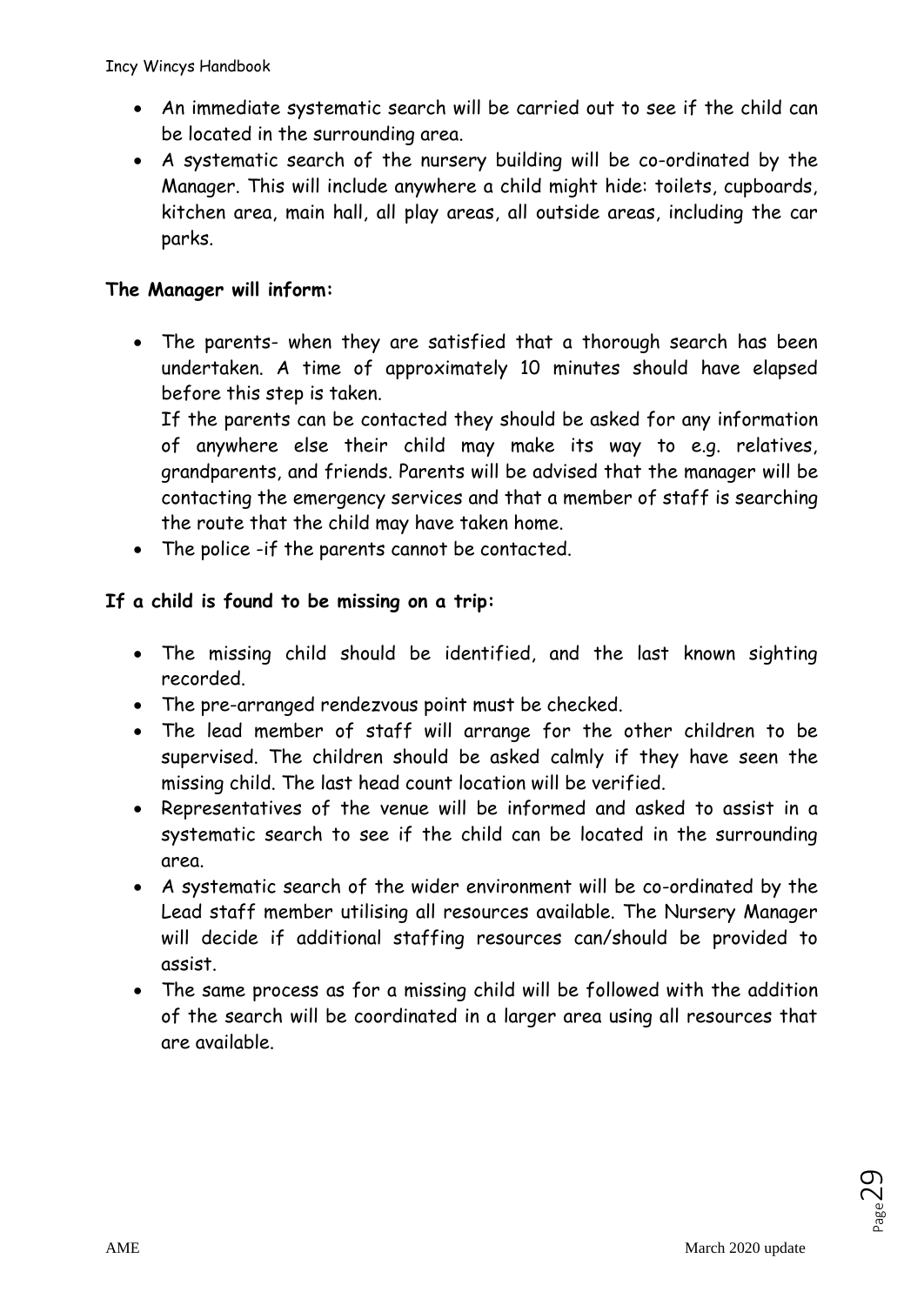- An immediate systematic search will be carried out to see if the child can be located in the surrounding area.
- A systematic search of the nursery building will be co-ordinated by the Manager. This will include anywhere a child might hide: toilets, cupboards, kitchen area, main hall, all play areas, all outside areas, including the car parks.

### **The Manager will inform:**

• The parents- when they are satisfied that a thorough search has been undertaken. A time of approximately 10 minutes should have elapsed before this step is taken.

If the parents can be contacted they should be asked for any information of anywhere else their child may make its way to e.g. relatives, grandparents, and friends. Parents will be advised that the manager will be contacting the emergency services and that a member of staff is searching the route that the child may have taken home.

• The police -if the parents cannot be contacted.

### **If a child is found to be missing on a trip:**

- The missing child should be identified, and the last known sighting recorded.
- The pre-arranged rendezvous point must be checked.
- The lead member of staff will arrange for the other children to be supervised. The children should be asked calmly if they have seen the missing child. The last head count location will be verified.
- Representatives of the venue will be informed and asked to assist in a systematic search to see if the child can be located in the surrounding area.
- A systematic search of the wider environment will be co-ordinated by the Lead staff member utilising all resources available. The Nursery Manager will decide if additional staffing resources can/should be provided to assist.
- The same process as for a missing child will be followed with the addition of the search will be coordinated in a larger area using all resources that are available.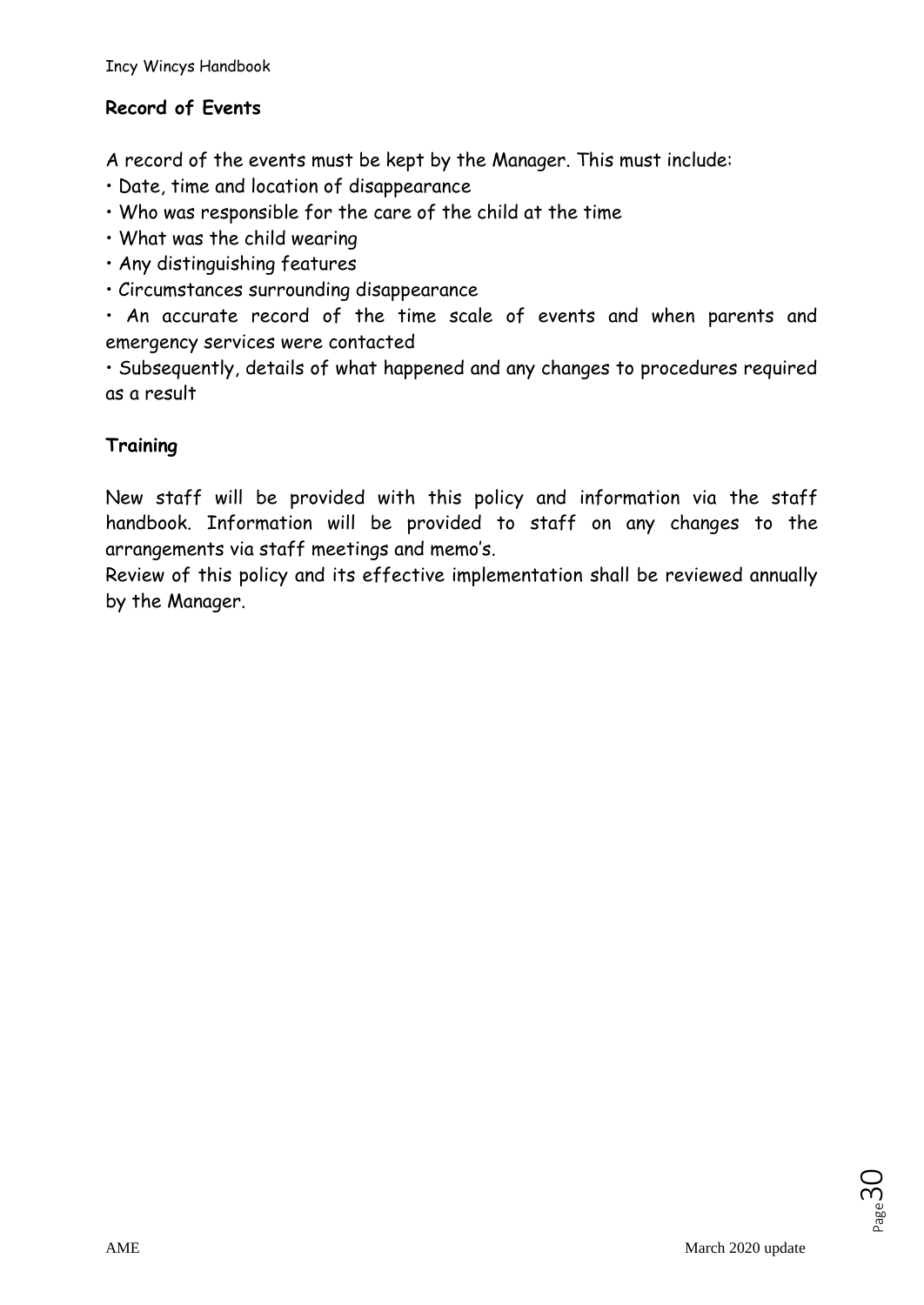# **Record of Events**

A record of the events must be kept by the Manager. This must include:

- Date, time and location of disappearance
- Who was responsible for the care of the child at the time
- What was the child wearing
- Any distinguishing features
- Circumstances surrounding disappearance

• An accurate record of the time scale of events and when parents and emergency services were contacted

• Subsequently, details of what happened and any changes to procedures required as a result

### **Training**

New staff will be provided with this policy and information via the staff handbook. Information will be provided to staff on any changes to the arrangements via staff meetings and memo's.

Review of this policy and its effective implementation shall be reviewed annually by the Manager.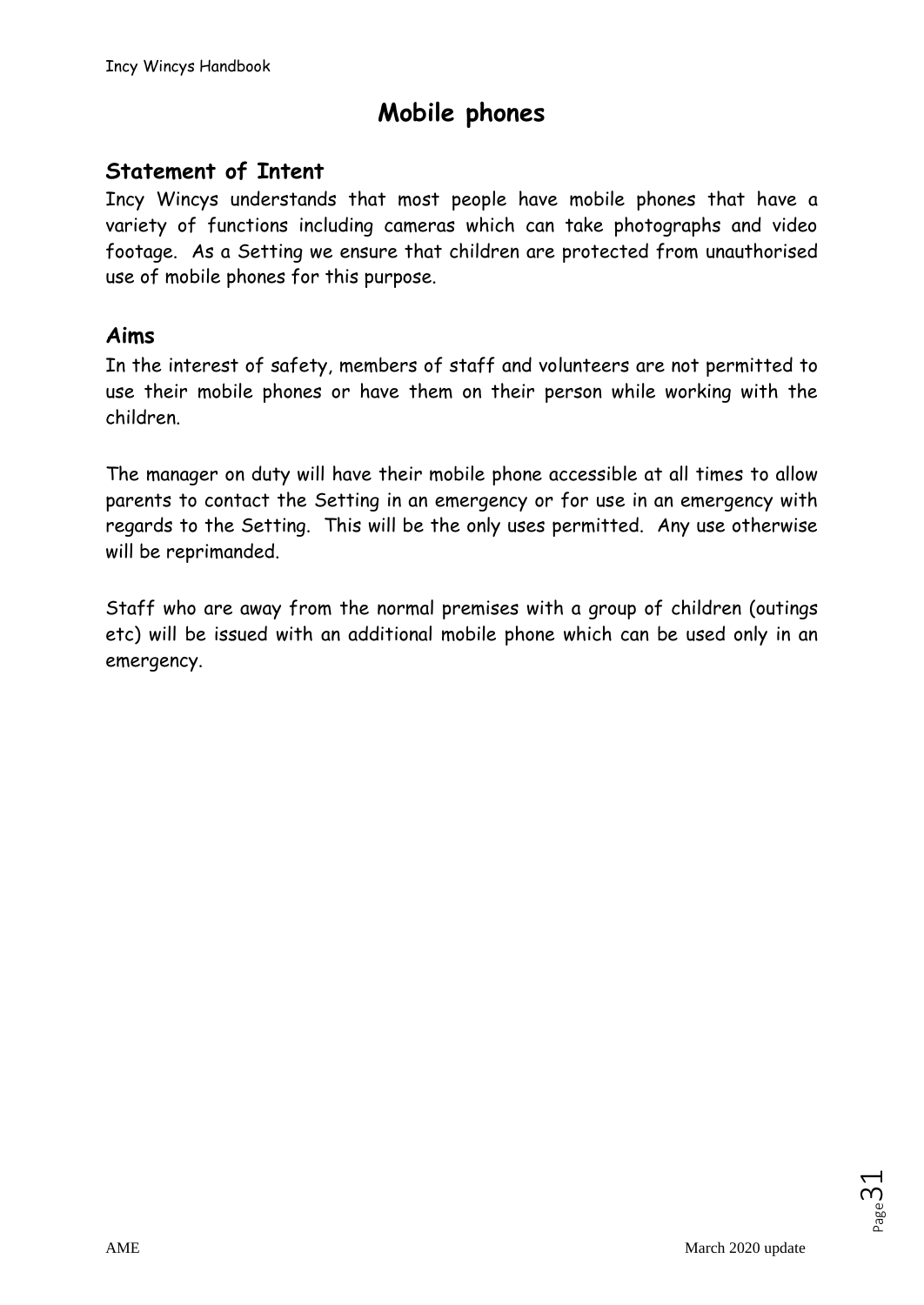# **Mobile phones**

# **Statement of Intent**

Incy Wincys understands that most people have mobile phones that have a variety of functions including cameras which can take photographs and video footage. As a Setting we ensure that children are protected from unauthorised use of mobile phones for this purpose.

### **Aims**

In the interest of safety, members of staff and volunteers are not permitted to use their mobile phones or have them on their person while working with the children.

The manager on duty will have their mobile phone accessible at all times to allow parents to contact the Setting in an emergency or for use in an emergency with regards to the Setting. This will be the only uses permitted. Any use otherwise will be reprimanded.

Staff who are away from the normal premises with a group of children (outings etc) will be issued with an additional mobile phone which can be used only in an emergency.

 $_{\tiny{\text{Page}}}$ 31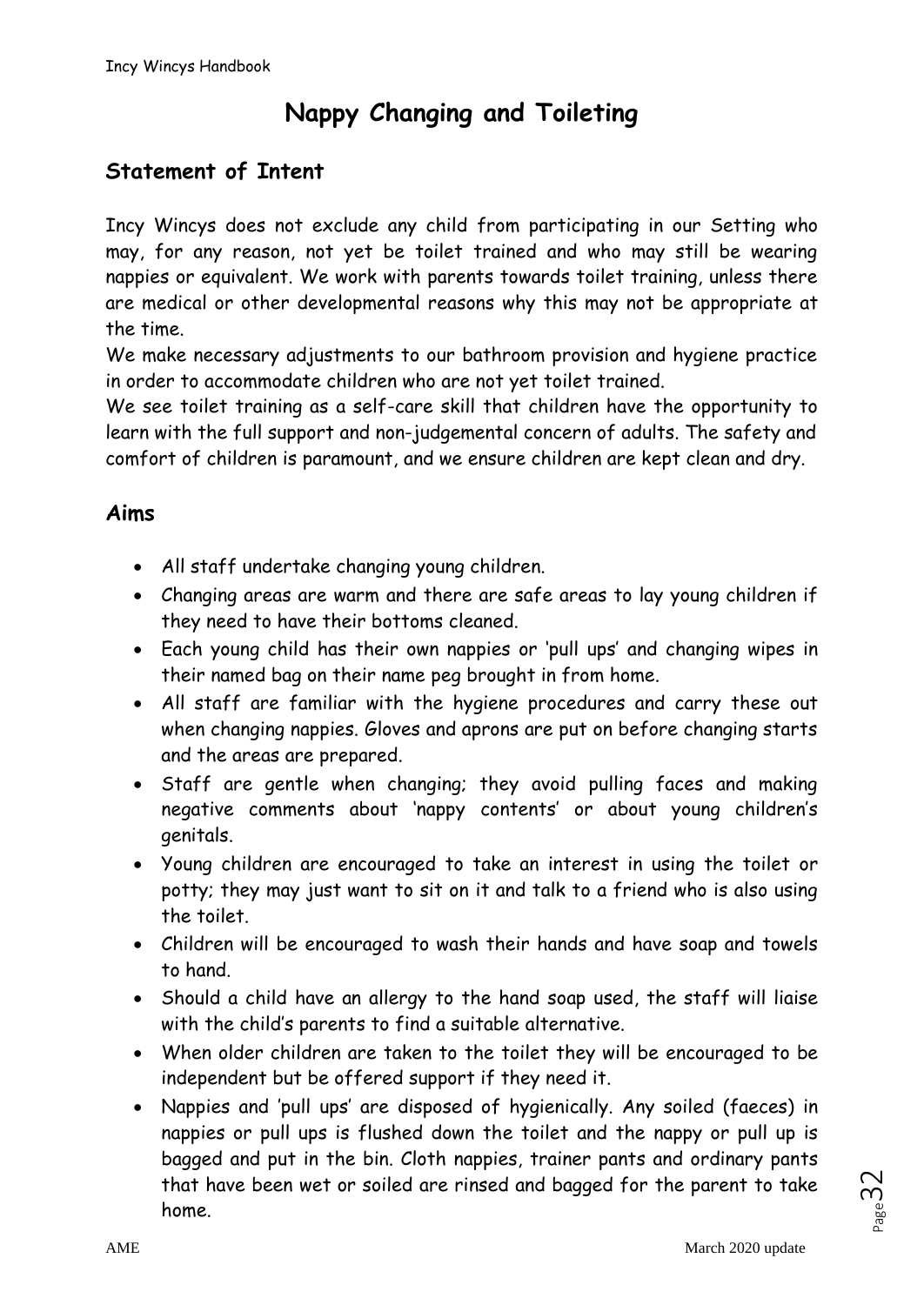# **Nappy Changing and Toileting**

# **Statement of Intent**

Incy Wincys does not exclude any child from participating in our Setting who may, for any reason, not yet be toilet trained and who may still be wearing nappies or equivalent. We work with parents towards toilet training, unless there are medical or other developmental reasons why this may not be appropriate at the time.

We make necessary adjustments to our bathroom provision and hygiene practice in order to accommodate children who are not yet toilet trained.

We see toilet training as a self-care skill that children have the opportunity to learn with the full support and non-judgemental concern of adults. The safety and comfort of children is paramount, and we ensure children are kept clean and dry.

# **Aims**

- All staff undertake changing young children.
- Changing areas are warm and there are safe areas to lay young children if they need to have their bottoms cleaned.
- Each young child has their own nappies or 'pull ups' and changing wipes in their named bag on their name peg brought in from home.
- All staff are familiar with the hygiene procedures and carry these out when changing nappies. Gloves and aprons are put on before changing starts and the areas are prepared.
- Staff are gentle when changing; they avoid pulling faces and making negative comments about 'nappy contents' or about young children's genitals.
- Young children are encouraged to take an interest in using the toilet or potty; they may just want to sit on it and talk to a friend who is also using the toilet.
- Children will be encouraged to wash their hands and have soap and towels to hand.
- Should a child have an allergy to the hand soap used, the staff will liaise with the child's parents to find a suitable alternative.
- When older children are taken to the toilet they will be encouraged to be independent but be offered support if they need it.
- Nappies and 'pull ups' are disposed of hygienically. Any soiled (faeces) in nappies or pull ups is flushed down the toilet and the nappy or pull up is bagged and put in the bin. Cloth nappies, trainer pants and ordinary pants that have been wet or soiled are rinsed and bagged for the parent to take home.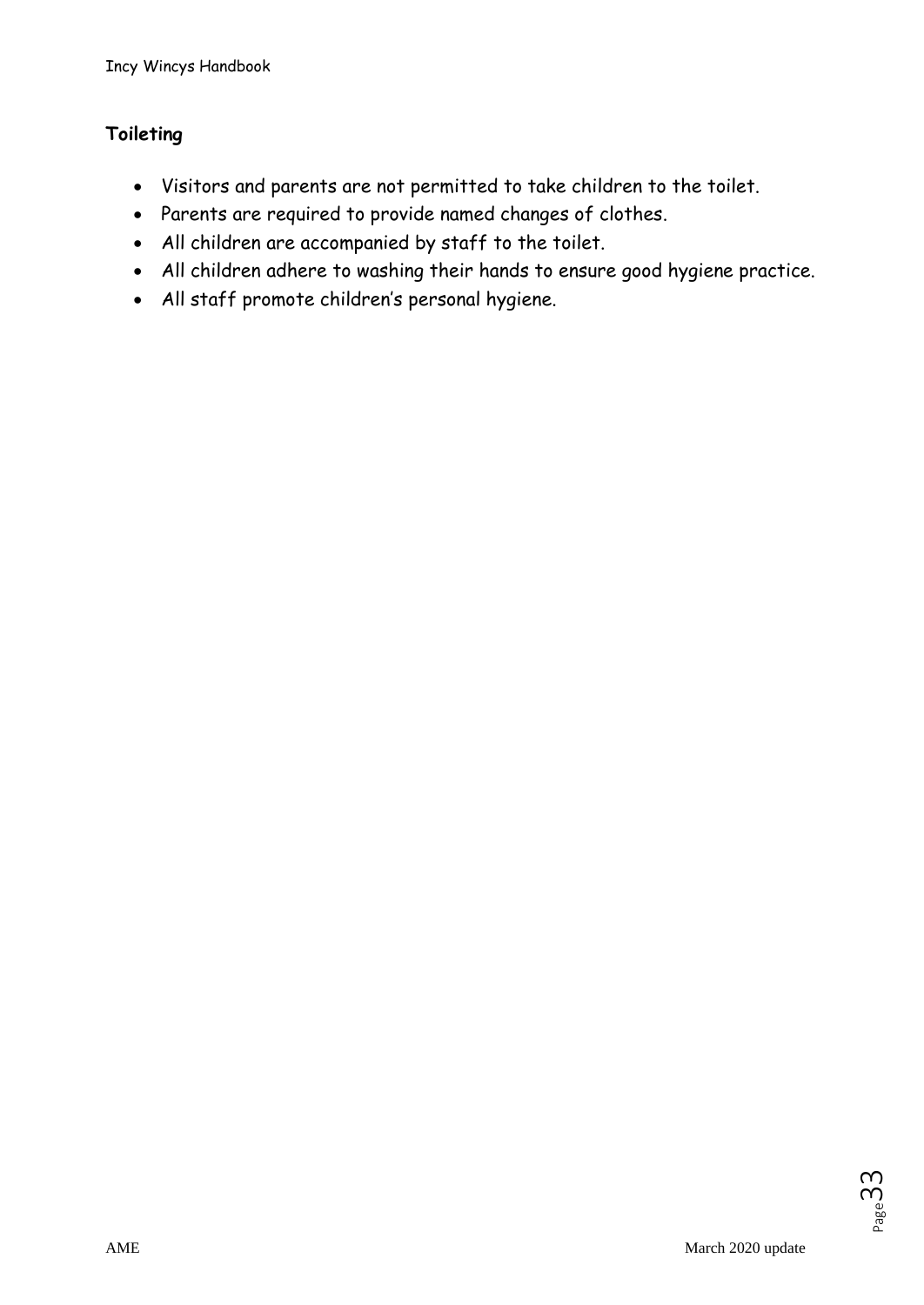# **Toileting**

- Visitors and parents are not permitted to take children to the toilet.
- Parents are required to provide named changes of clothes.
- All children are accompanied by staff to the toilet.
- All children adhere to washing their hands to ensure good hygiene practice.
- All staff promote children's personal hygiene.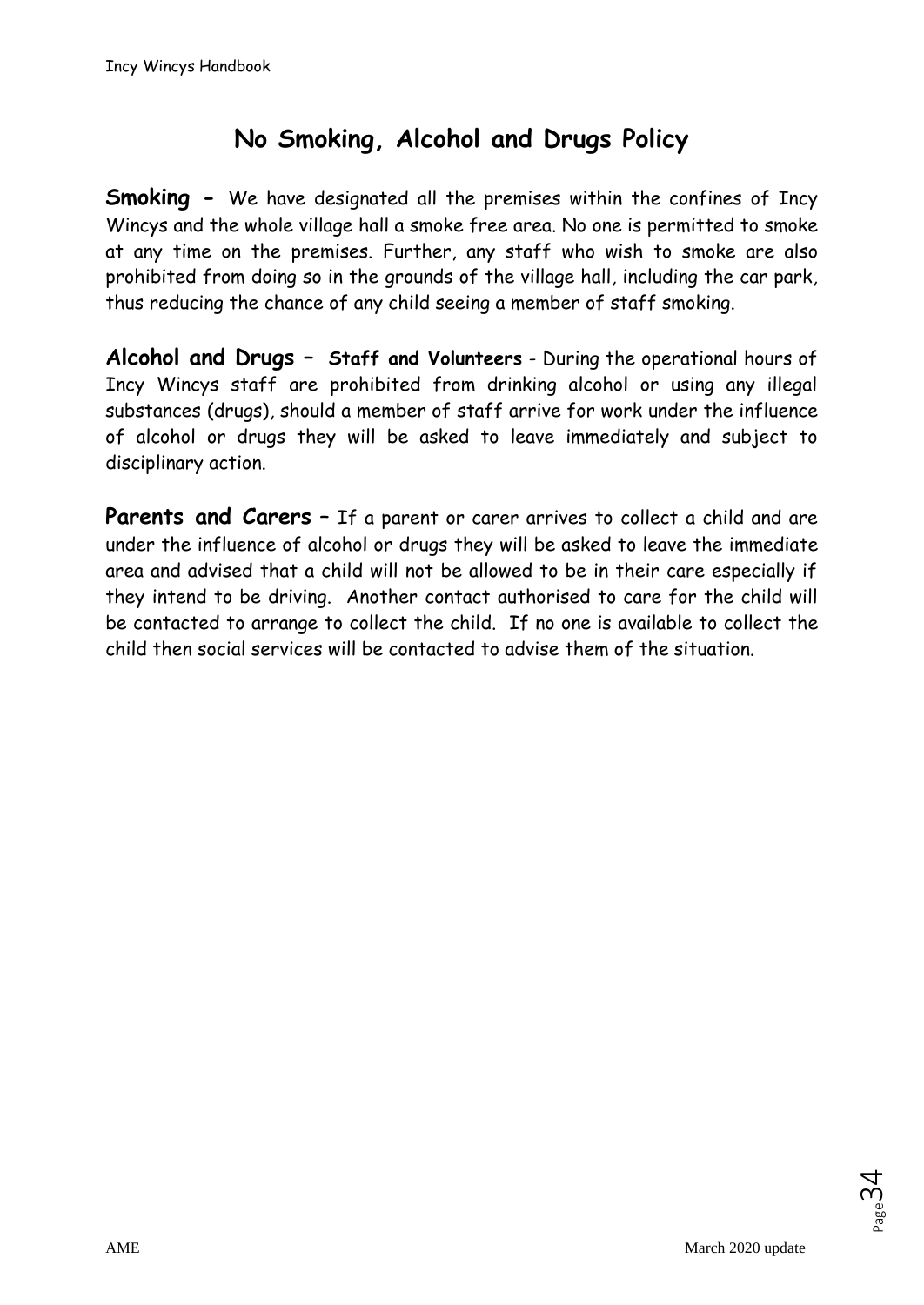# **No Smoking, Alcohol and Drugs Policy**

**Smoking -** We have designated all the premises within the confines of Incy Wincys and the whole village hall a smoke free area. No one is permitted to smoke at any time on the premises. Further, any staff who wish to smoke are also prohibited from doing so in the grounds of the village hall, including the car park, thus reducing the chance of any child seeing a member of staff smoking.

**Alcohol and Drugs – Staff and Volunteers** - During the operational hours of Incy Wincys staff are prohibited from drinking alcohol or using any illegal substances (drugs), should a member of staff arrive for work under the influence of alcohol or drugs they will be asked to leave immediately and subject to disciplinary action.

**Parents and Carers** – If a parent or carer arrives to collect a child and are under the influence of alcohol or drugs they will be asked to leave the immediate area and advised that a child will not be allowed to be in their care especially if they intend to be driving. Another contact authorised to care for the child will be contacted to arrange to collect the child. If no one is available to collect the child then social services will be contacted to advise them of the situation.

 $_{\tiny{\text{Page}}}$ 34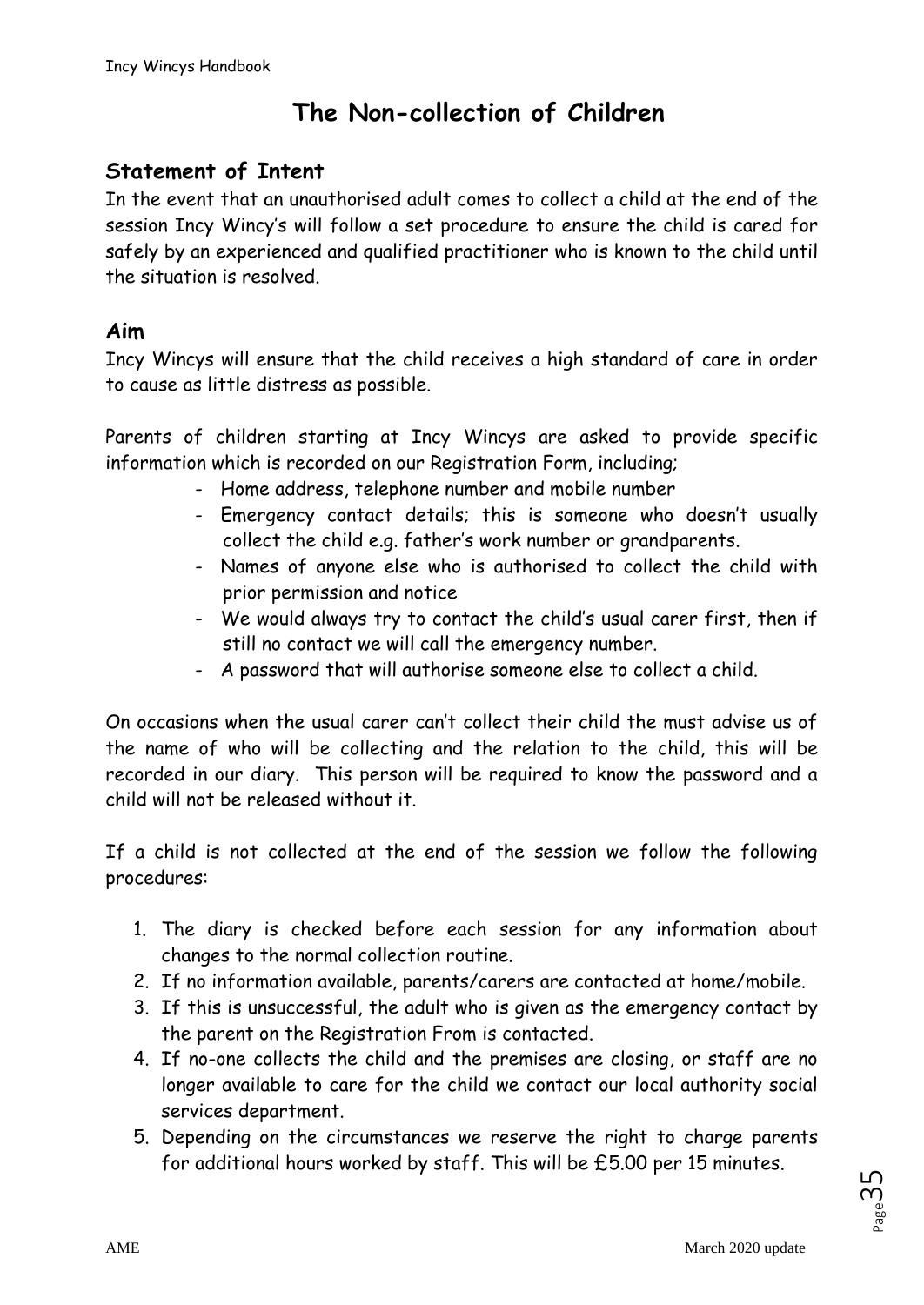# **The Non-collection of Children**

# **Statement of Intent**

In the event that an unauthorised adult comes to collect a child at the end of the session Incy Wincy's will follow a set procedure to ensure the child is cared for safely by an experienced and qualified practitioner who is known to the child until the situation is resolved.

### **Aim**

Incy Wincys will ensure that the child receives a high standard of care in order to cause as little distress as possible.

Parents of children starting at Incy Wincys are asked to provide specific information which is recorded on our Registration Form, including;

- Home address, telephone number and mobile number
- Emergency contact details; this is someone who doesn't usually collect the child e.g. father's work number or grandparents.
- Names of anyone else who is authorised to collect the child with prior permission and notice
- We would always try to contact the child's usual carer first, then if still no contact we will call the emergency number.
- A password that will authorise someone else to collect a child.

On occasions when the usual carer can't collect their child the must advise us of the name of who will be collecting and the relation to the child, this will be recorded in our diary. This person will be required to know the password and a child will not be released without it.

If a child is not collected at the end of the session we follow the following procedures:

- 1. The diary is checked before each session for any information about changes to the normal collection routine.
- 2. If no information available, parents/carers are contacted at home/mobile.
- 3. If this is unsuccessful, the adult who is given as the emergency contact by the parent on the Registration From is contacted.
- 4. If no-one collects the child and the premises are closing, or staff are no longer available to care for the child we contact our local authority social services department.
- 5. Depending on the circumstances we reserve the right to charge parents for additional hours worked by staff. This will be £5.00 per 15 minutes.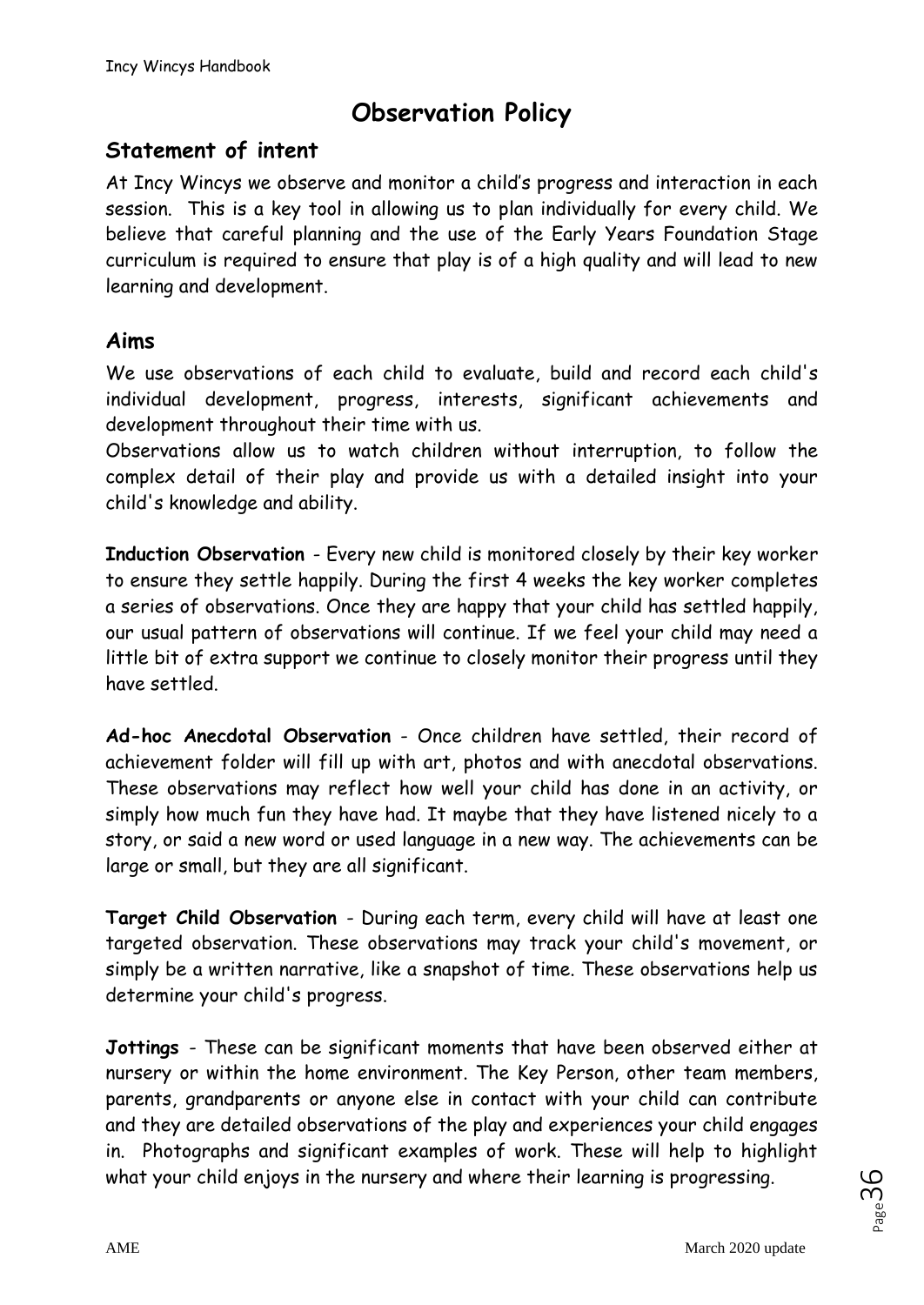# **Observation Policy**

### **Statement of intent**

At Incy Wincys we observe and monitor a child's progress and interaction in each session. This is a key tool in allowing us to plan individually for every child. We believe that careful planning and the use of the Early Years Foundation Stage curriculum is required to ensure that play is of a high quality and will lead to new learning and development.

### **Aims**

We use observations of each child to evaluate, build and record each child's individual development, progress, interests, significant achievements and development throughout their time with us.

Observations allow us to watch children without interruption, to follow the complex detail of their play and provide us with a detailed insight into your child's knowledge and ability.

**Induction Observation** - Every new child is monitored closely by their key worker to ensure they settle happily. During the first 4 weeks the key worker completes a series of observations. Once they are happy that your child has settled happily, our usual pattern of observations will continue. If we feel your child may need a little bit of extra support we continue to closely monitor their progress until they have settled.

**Ad-hoc Anecdotal Observation** - Once children have settled, their record of achievement folder will fill up with art, photos and with anecdotal observations. These observations may reflect how well your child has done in an activity, or simply how much fun they have had. It maybe that they have listened nicely to a story, or said a new word or used language in a new way. The achievements can be large or small, but they are all significant.

**Target Child Observation** - During each term, every child will have at least one targeted observation. These observations may track your child's movement, or simply be a written narrative, like a snapshot of time. These observations help us determine your child's progress.

**Jottings** - These can be significant moments that have been observed either at nursery or within the home environment. The Key Person, other team members, parents, grandparents or anyone else in contact with your child can contribute and they are detailed observations of the play and experiences your child engages in. Photographs and significant examples of work. These will help to highlight what your child enjoys in the nursery and where their learning is progressing.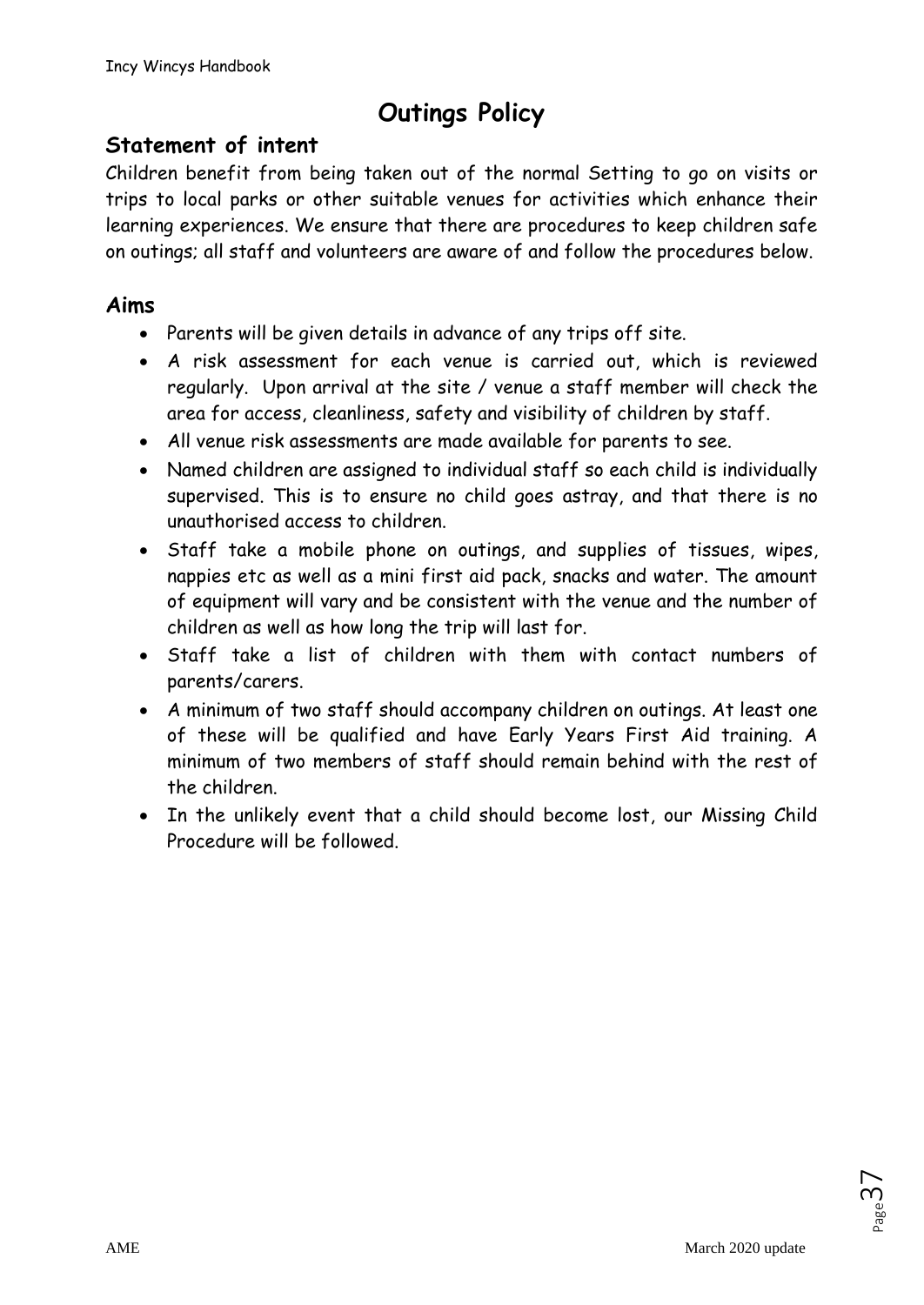# **Outings Policy**

# **Statement of intent**

Children benefit from being taken out of the normal Setting to go on visits or trips to local parks or other suitable venues for activities which enhance their learning experiences. We ensure that there are procedures to keep children safe on outings; all staff and volunteers are aware of and follow the procedures below.

# **Aims**

- Parents will be given details in advance of any trips off site.
- A risk assessment for each venue is carried out, which is reviewed regularly. Upon arrival at the site / venue a staff member will check the area for access, cleanliness, safety and visibility of children by staff.
- All venue risk assessments are made available for parents to see.
- Named children are assigned to individual staff so each child is individually supervised. This is to ensure no child goes astray, and that there is no unauthorised access to children.
- Staff take a mobile phone on outings, and supplies of tissues, wipes, nappies etc as well as a mini first aid pack, snacks and water. The amount of equipment will vary and be consistent with the venue and the number of children as well as how long the trip will last for.
- Staff take a list of children with them with contact numbers of parents/carers.
- A minimum of two staff should accompany children on outings. At least one of these will be qualified and have Early Years First Aid training. A minimum of two members of staff should remain behind with the rest of the children.
- In the unlikely event that a child should become lost, our Missing Child Procedure will be followed.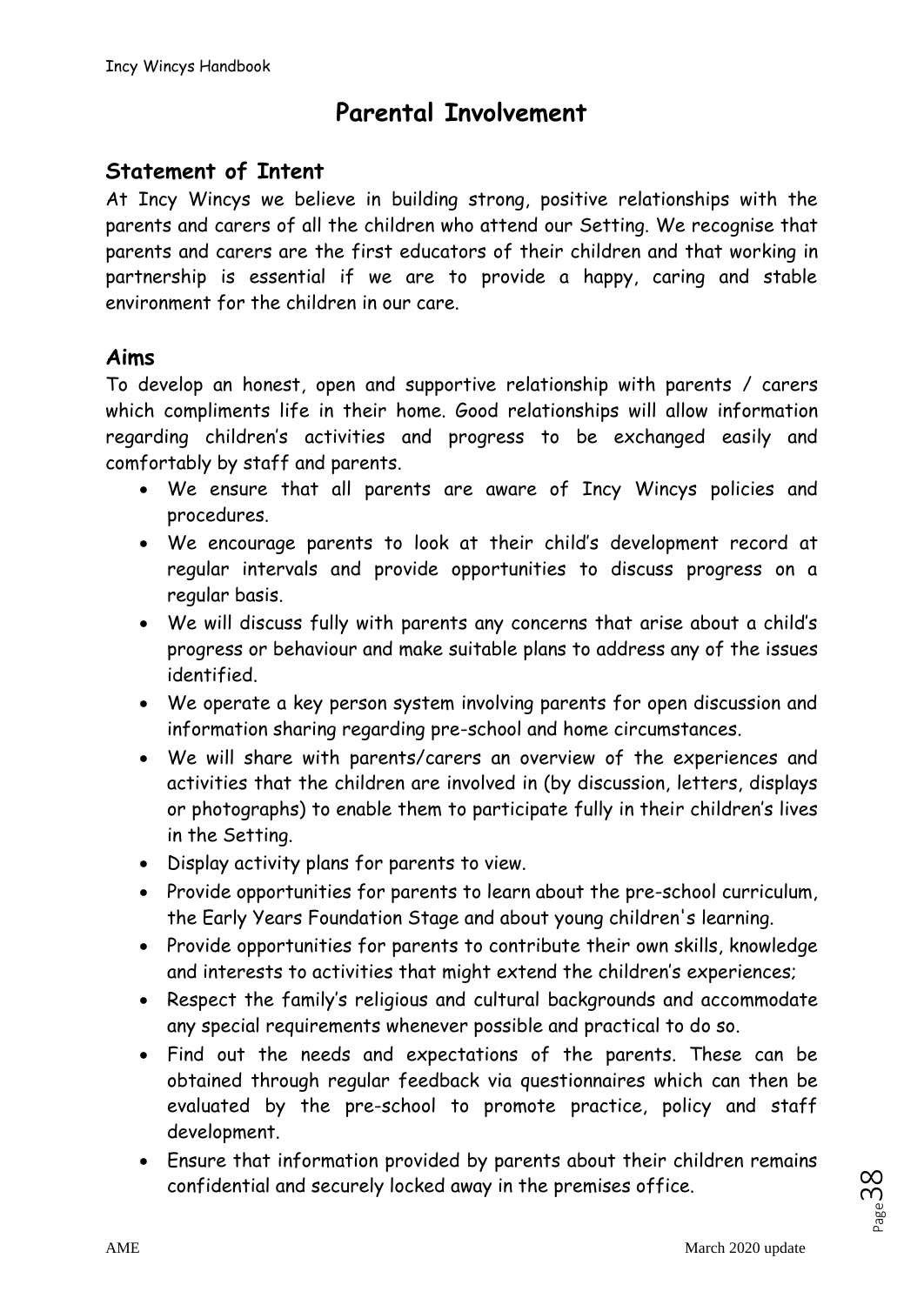# **Parental Involvement**

### **Statement of Intent**

At Incy Wincys we believe in building strong, positive relationships with the parents and carers of all the children who attend our Setting. We recognise that parents and carers are the first educators of their children and that working in partnership is essential if we are to provide a happy, caring and stable environment for the children in our care.

### **Aims**

To develop an honest, open and supportive relationship with parents / carers which compliments life in their home. Good relationships will allow information regarding children's activities and progress to be exchanged easily and comfortably by staff and parents.

- We ensure that all parents are aware of Incy Wincys policies and procedures.
- We encourage parents to look at their child's development record at regular intervals and provide opportunities to discuss progress on a regular basis.
- We will discuss fully with parents any concerns that arise about a child's progress or behaviour and make suitable plans to address any of the issues identified.
- We operate a key person system involving parents for open discussion and information sharing regarding pre-school and home circumstances.
- We will share with parents/carers an overview of the experiences and activities that the children are involved in (by discussion, letters, displays or photographs) to enable them to participate fully in their children's lives in the Setting.
- Display activity plans for parents to view.
- Provide opportunities for parents to learn about the pre-school curriculum, the Early Years Foundation Stage and about young children's learning.
- Provide opportunities for parents to contribute their own skills, knowledge and interests to activities that might extend the children's experiences;
- Respect the family's religious and cultural backgrounds and accommodate any special requirements whenever possible and practical to do so.
- Find out the needs and expectations of the parents. These can be obtained through regular feedback via questionnaires which can then be evaluated by the pre-school to promote practice, policy and staff development.
- Ensure that information provided by parents about their children remains confidential and securely locked away in the premises office.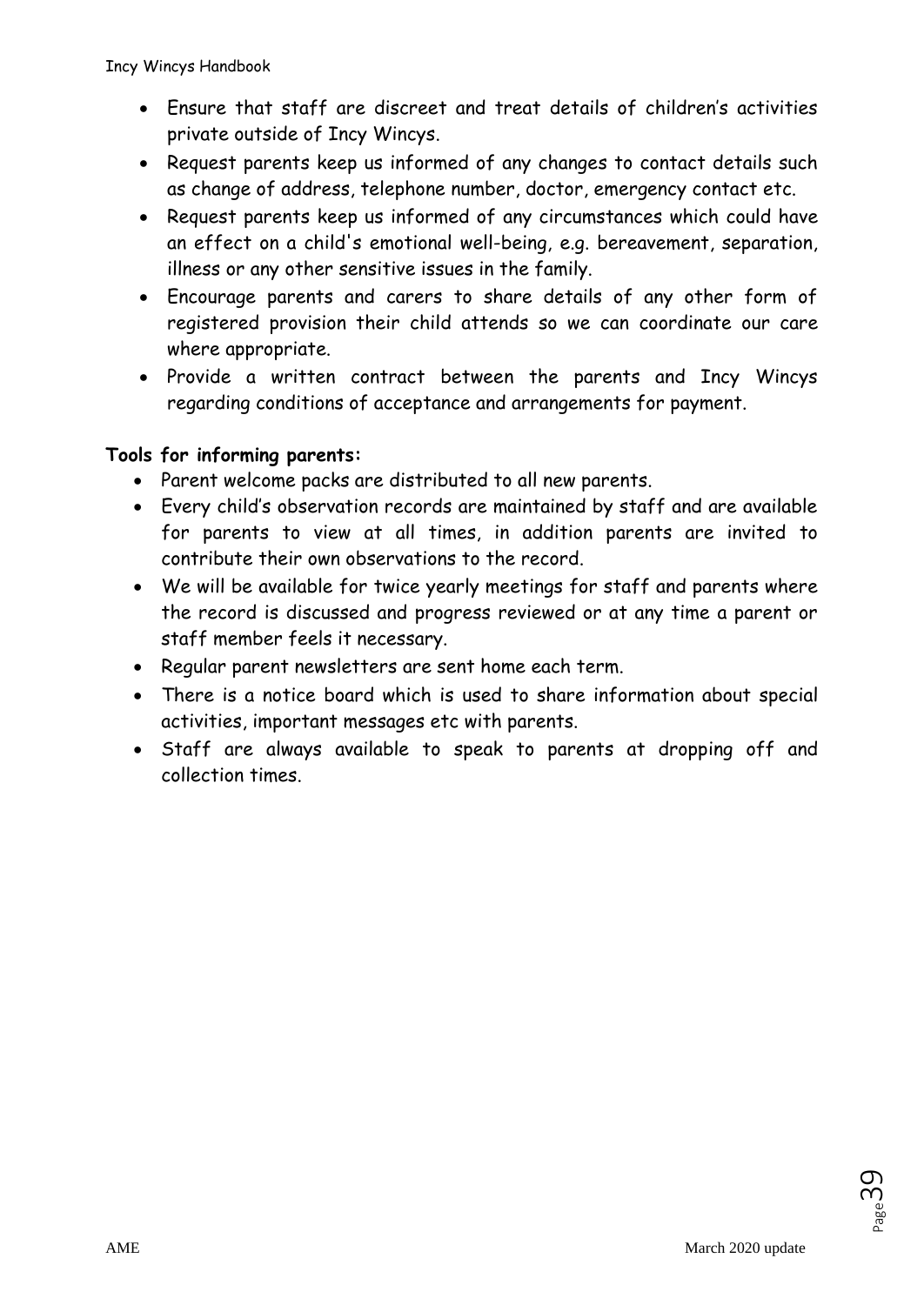- Ensure that staff are discreet and treat details of children's activities private outside of Incy Wincys.
- Request parents keep us informed of any changes to contact details such as change of address, telephone number, doctor, emergency contact etc.
- Request parents keep us informed of any circumstances which could have an effect on a child's emotional well-being, e.g. bereavement, separation, illness or any other sensitive issues in the family.
- Encourage parents and carers to share details of any other form of registered provision their child attends so we can coordinate our care where appropriate.
- Provide a written contract between the parents and Incy Wincys regarding conditions of acceptance and arrangements for payment.

### **Tools for informing parents:**

- Parent welcome packs are distributed to all new parents.
- Every child's observation records are maintained by staff and are available for parents to view at all times, in addition parents are invited to contribute their own observations to the record.
- We will be available for twice yearly meetings for staff and parents where the record is discussed and progress reviewed or at any time a parent or staff member feels it necessary.
- Regular parent newsletters are sent home each term.
- There is a notice board which is used to share information about special activities, important messages etc with parents.
- Staff are always available to speak to parents at dropping off and collection times.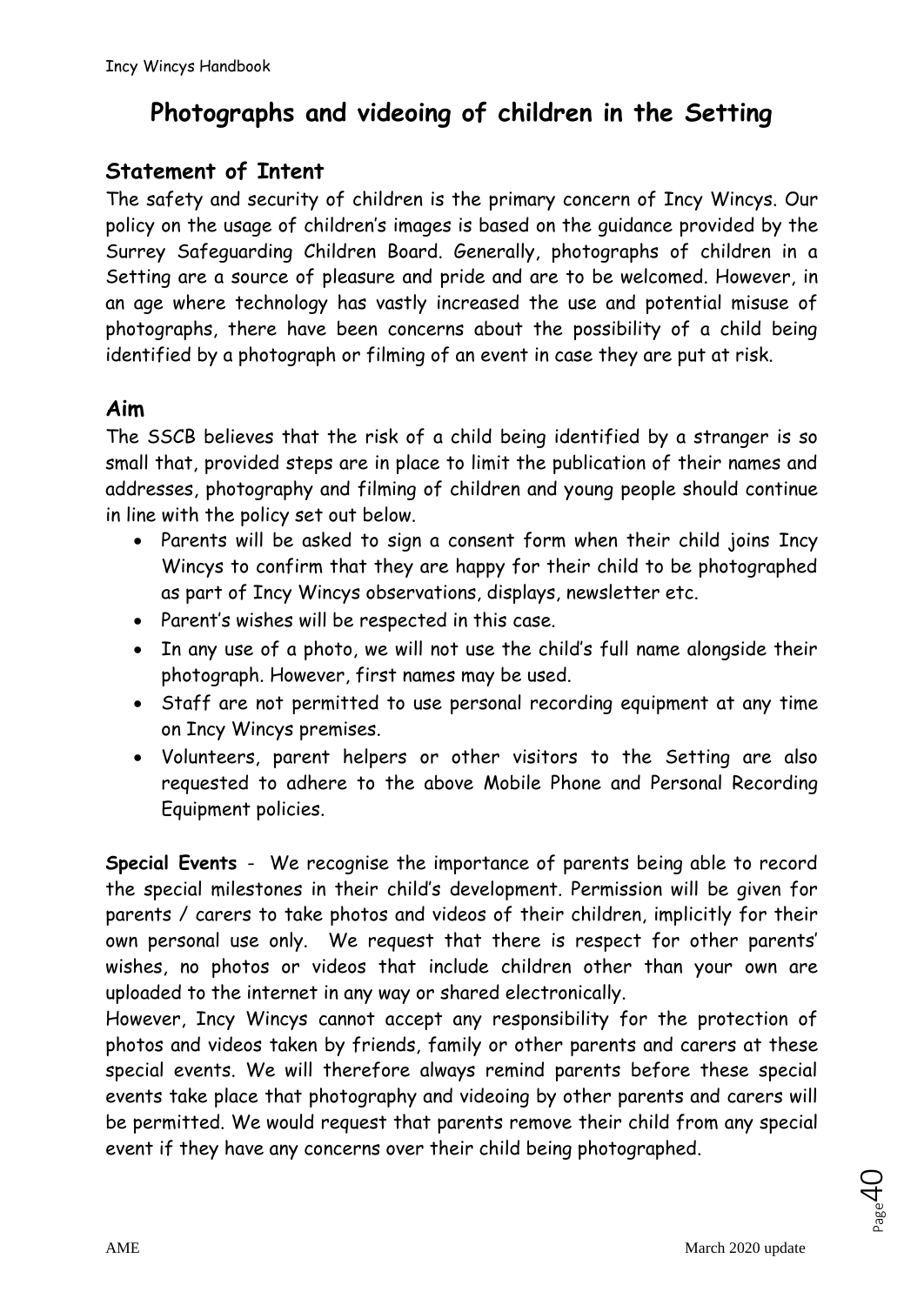# **Photographs and videoing of children in the Setting**

# **Statement of Intent**

The safety and security of children is the primary concern of Incy Wincys. Our policy on the usage of children's images is based on the guidance provided by the Surrey Safeguarding Children Board. Generally, photographs of children in a Setting are a source of pleasure and pride and are to be welcomed. However, in an age where technology has vastly increased the use and potential misuse of photographs, there have been concerns about the possibility of a child being identified by a photograph or filming of an event in case they are put at risk.

# **Aim**

The SSCB believes that the risk of a child being identified by a stranger is so small that, provided steps are in place to limit the publication of their names and addresses, photography and filming of children and young people should continue in line with the policy set out below.

- Parents will be asked to sign a consent form when their child joins Incy Wincys to confirm that they are happy for their child to be photographed as part of Incy Wincys observations, displays, newsletter etc.
- Parent's wishes will be respected in this case.
- In any use of a photo, we will not use the child's full name alongside their photograph. However, first names may be used.
- Staff are not permitted to use personal recording equipment at any time on Incy Wincys premises.
- Volunteers, parent helpers or other visitors to the Setting are also requested to adhere to the above Mobile Phone and Personal Recording Equipment policies.

**Special Events** - We recognise the importance of parents being able to record the special milestones in their child's development. Permission will be given for parents / carers to take photos and videos of their children, implicitly for their own personal use only. We request that there is respect for other parents' wishes, no photos or videos that include children other than your own are uploaded to the internet in any way or shared electronically.

However, Incy Wincys cannot accept any responsibility for the protection of photos and videos taken by friends, family or other parents and carers at these special events. We will therefore always remind parents before these special events take place that photography and videoing by other parents and carers will be permitted. We would request that parents remove their child from any special event if they have any concerns over their child being photographed.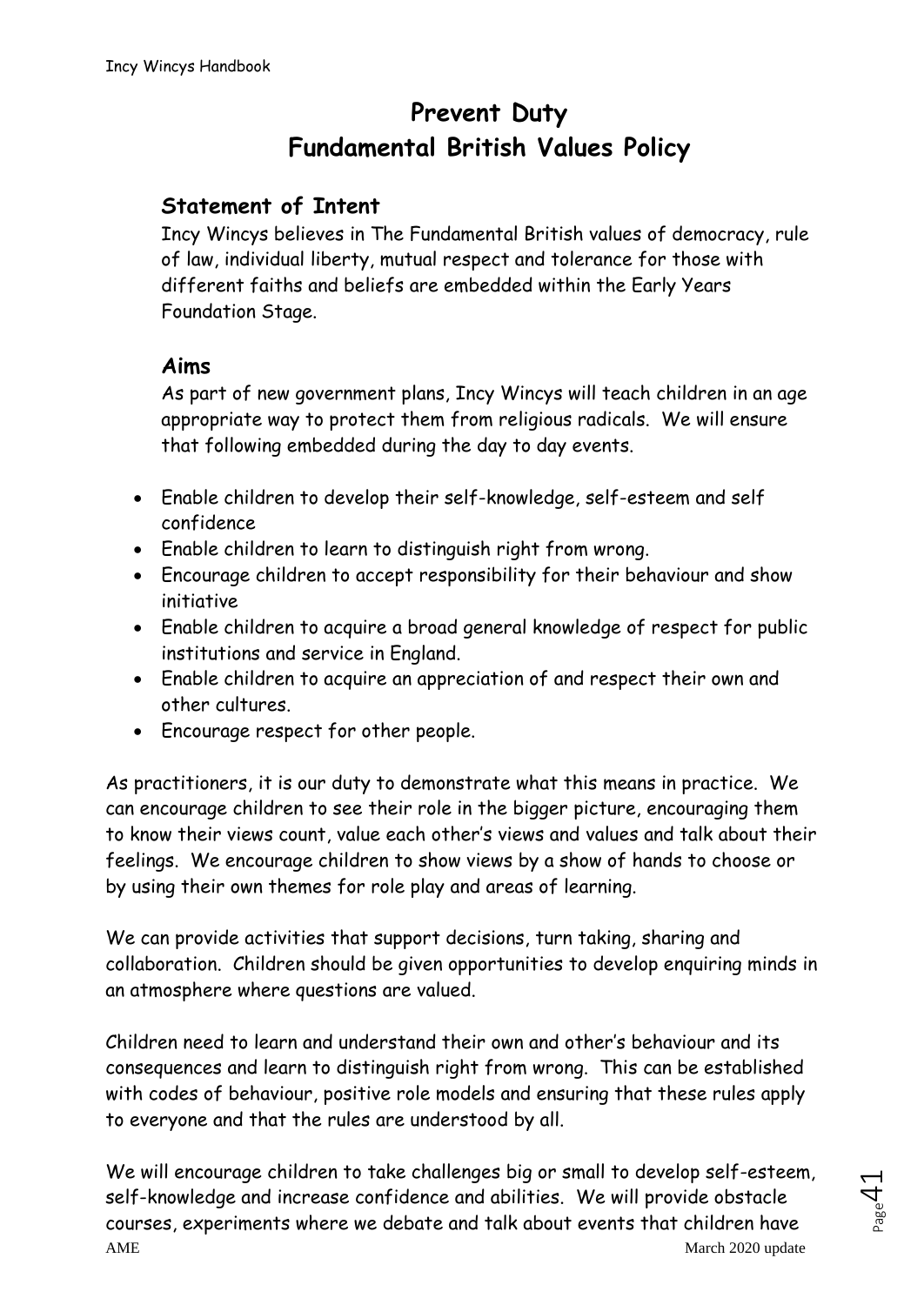# **Prevent Duty Fundamental British Values Policy**

### **Statement of Intent**

Incy Wincys believes in The Fundamental British values of democracy, rule of law, individual liberty, mutual respect and tolerance for those with different faiths and beliefs are embedded within the Early Years Foundation Stage.

### **Aims**

As part of new government plans, Incy Wincys will teach children in an age appropriate way to protect them from religious radicals. We will ensure that following embedded during the day to day events.

- Enable children to develop their self-knowledge, self-esteem and self confidence
- Enable children to learn to distinguish right from wrong.
- Encourage children to accept responsibility for their behaviour and show initiative
- Enable children to acquire a broad general knowledge of respect for public institutions and service in England.
- Enable children to acquire an appreciation of and respect their own and other cultures.
- Encourage respect for other people.

As practitioners, it is our duty to demonstrate what this means in practice. We can encourage children to see their role in the bigger picture, encouraging them to know their views count, value each other's views and values and talk about their feelings. We encourage children to show views by a show of hands to choose or by using their own themes for role play and areas of learning.

We can provide activities that support decisions, turn taking, sharing and collaboration. Children should be given opportunities to develop enquiring minds in an atmosphere where questions are valued.

Children need to learn and understand their own and other's behaviour and its consequences and learn to distinguish right from wrong. This can be established with codes of behaviour, positive role models and ensuring that these rules apply to everyone and that the rules are understood by all.

AME March 2020 update We will encourage children to take challenges big or small to develop self-esteem, self-knowledge and increase confidence and abilities. We will provide obstacle courses, experiments where we debate and talk about events that children have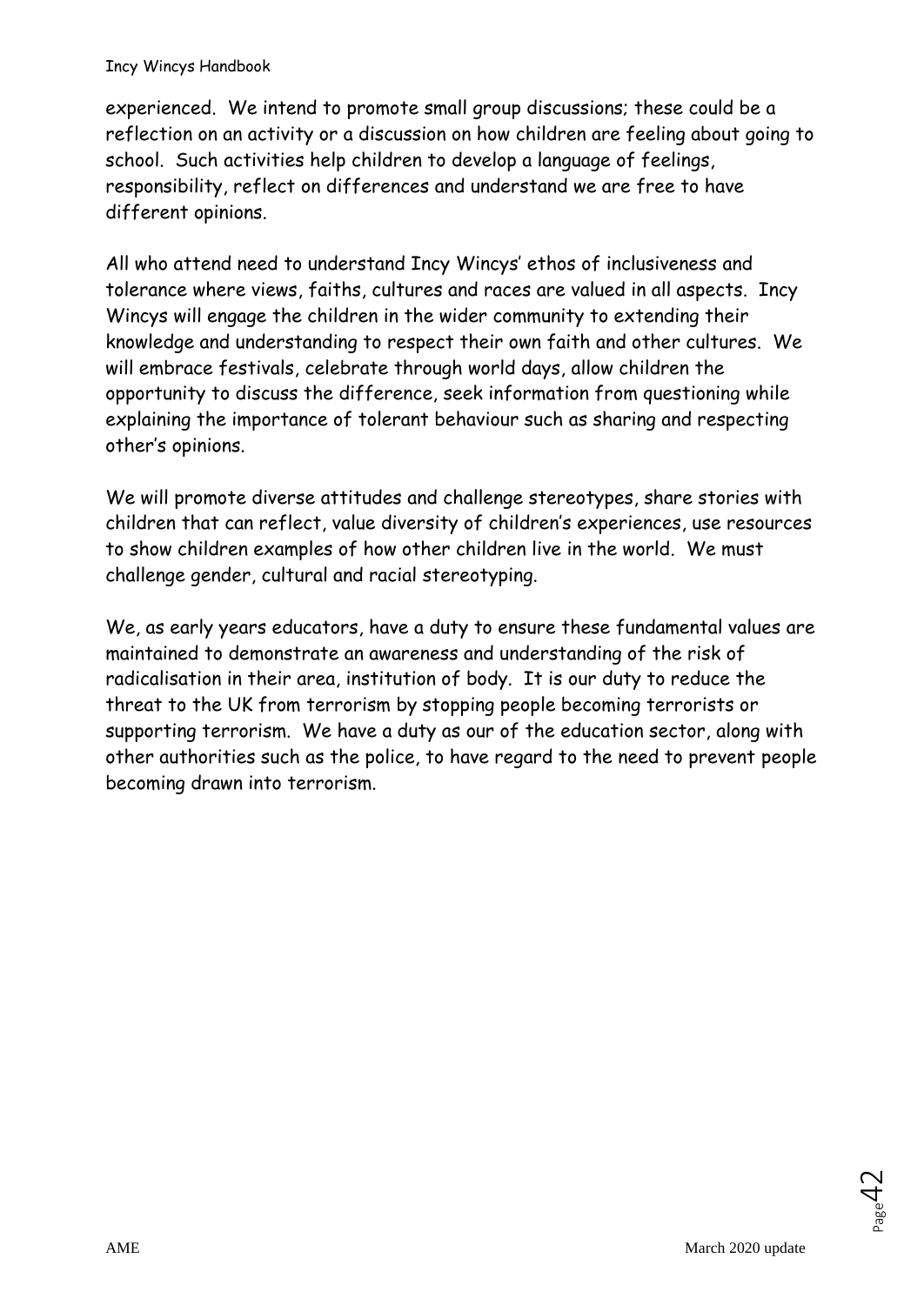#### Incy Wincys Handbook

experienced. We intend to promote small group discussions; these could be a reflection on an activity or a discussion on how children are feeling about going to school. Such activities help children to develop a language of feelings, responsibility, reflect on differences and understand we are free to have different opinions.

All who attend need to understand Incy Wincys' ethos of inclusiveness and tolerance where views, faiths, cultures and races are valued in all aspects. Incy Wincys will engage the children in the wider community to extending their knowledge and understanding to respect their own faith and other cultures. We will embrace festivals, celebrate through world days, allow children the opportunity to discuss the difference, seek information from questioning while explaining the importance of tolerant behaviour such as sharing and respecting other's opinions.

We will promote diverse attitudes and challenge stereotypes, share stories with children that can reflect, value diversity of children's experiences, use resources to show children examples of how other children live in the world. We must challenge gender, cultural and racial stereotyping.

We, as early years educators, have a duty to ensure these fundamental values are maintained to demonstrate an awareness and understanding of the risk of radicalisation in their area, institution of body. It is our duty to reduce the threat to the UK from terrorism by stopping people becoming terrorists or supporting terrorism. We have a duty as our of the education sector, along with other authorities such as the police, to have regard to the need to prevent people becoming drawn into terrorism.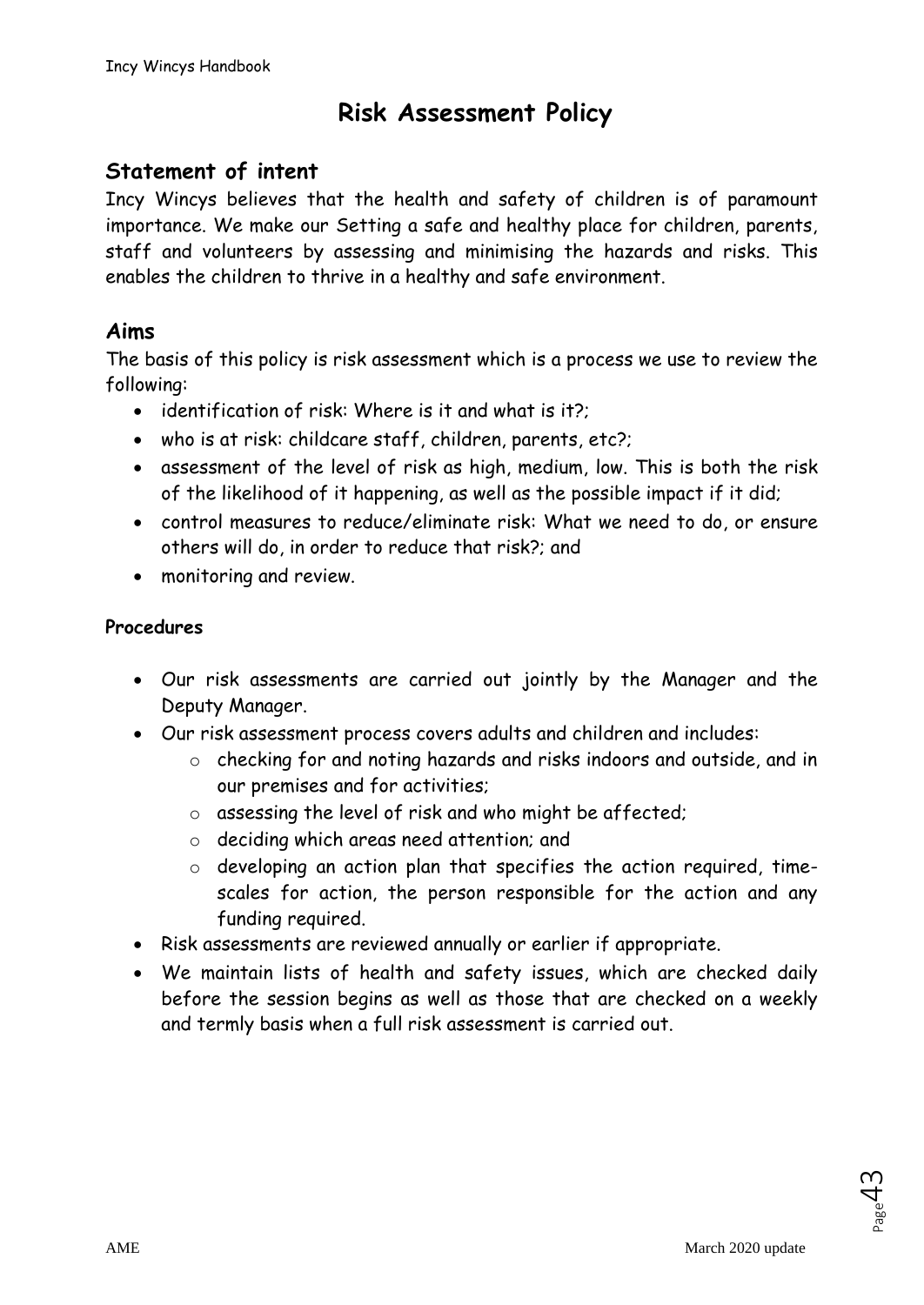# **Risk Assessment Policy**

# **Statement of intent**

Incy Wincys believes that the health and safety of children is of paramount importance. We make our Setting a safe and healthy place for children, parents, staff and volunteers by assessing and minimising the hazards and risks. This enables the children to thrive in a healthy and safe environment.

# **Aims**

The basis of this policy is risk assessment which is a process we use to review the following:

- identification of risk: Where is it and what is it?;
- who is at risk: childcare staff, children, parents, etc?;
- assessment of the level of risk as high, medium, low. This is both the risk of the likelihood of it happening, as well as the possible impact if it did;
- control measures to reduce/eliminate risk: What we need to do, or ensure others will do, in order to reduce that risk?; and
- monitoring and review.

#### **Procedures**

- Our risk assessments are carried out jointly by the Manager and the Deputy Manager.
- Our risk assessment process covers adults and children and includes:
	- o checking for and noting hazards and risks indoors and outside, and in our premises and for activities;
	- o assessing the level of risk and who might be affected;
	- o deciding which areas need attention; and
	- o developing an action plan that specifies the action required, timescales for action, the person responsible for the action and any funding required.
- Risk assessments are reviewed annually or earlier if appropriate.
- We maintain lists of health and safety issues, which are checked daily before the session begins as well as those that are checked on a weekly and termly basis when a full risk assessment is carried out.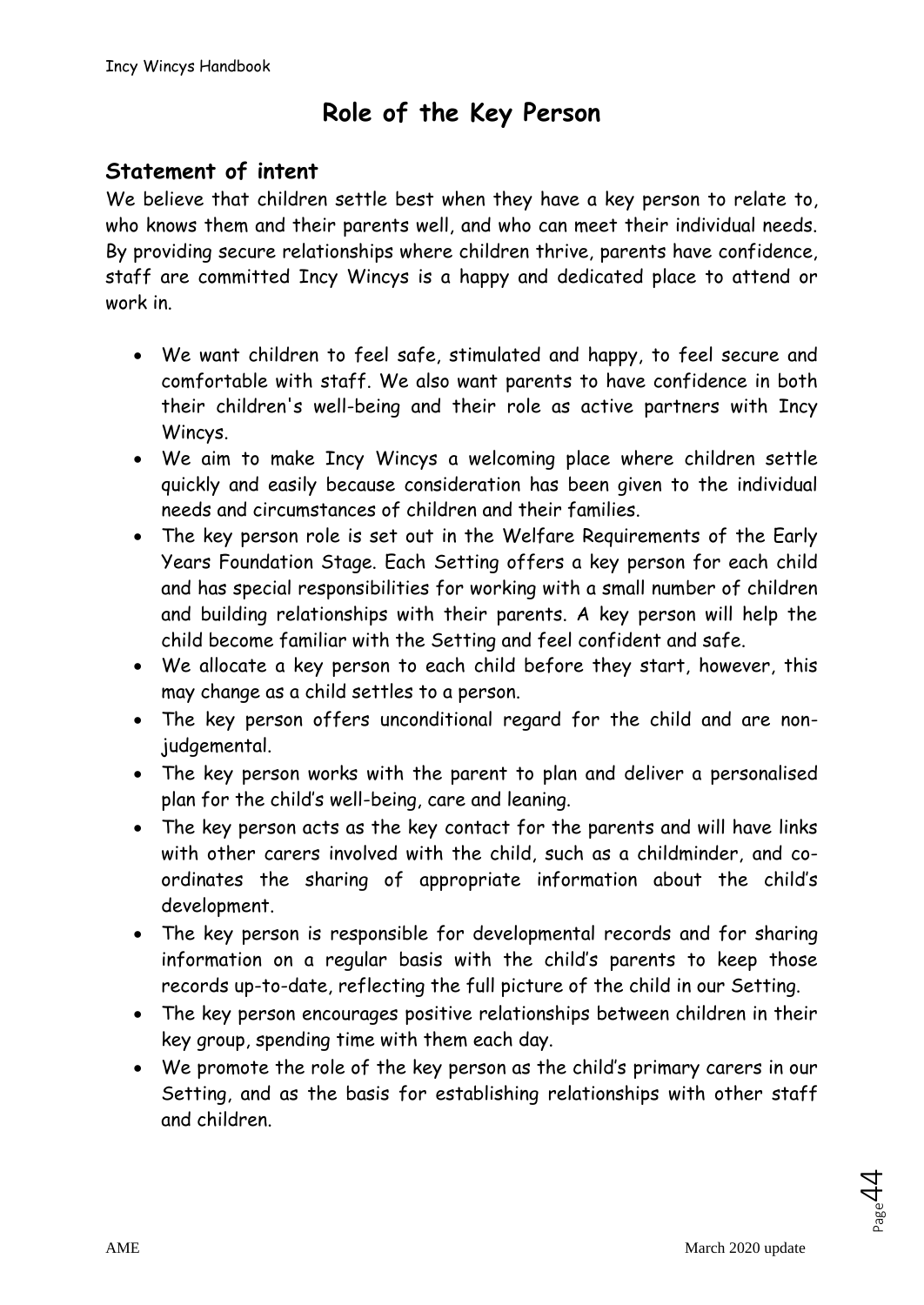# **Role of the Key Person**

# **Statement of intent**

We believe that children settle best when they have a key person to relate to, who knows them and their parents well, and who can meet their individual needs. By providing secure relationships where children thrive, parents have confidence, staff are committed Incy Wincys is a happy and dedicated place to attend or work in.

- We want children to feel safe, stimulated and happy, to feel secure and comfortable with staff. We also want parents to have confidence in both their children's well-being and their role as active partners with Incy Wincys.
- We aim to make Incy Wincys a welcoming place where children settle quickly and easily because consideration has been given to the individual needs and circumstances of children and their families.
- The key person role is set out in the Welfare Requirements of the Early Years Foundation Stage. Each Setting offers a key person for each child and has special responsibilities for working with a small number of children and building relationships with their parents. A key person will help the child become familiar with the Setting and feel confident and safe.
- We allocate a key person to each child before they start, however, this may change as a child settles to a person.
- The key person offers unconditional regard for the child and are nonjudgemental.
- The key person works with the parent to plan and deliver a personalised plan for the child's well-being, care and leaning.
- The key person acts as the key contact for the parents and will have links with other carers involved with the child, such as a childminder, and coordinates the sharing of appropriate information about the child's development.
- The key person is responsible for developmental records and for sharing information on a regular basis with the child's parents to keep those records up-to-date, reflecting the full picture of the child in our Setting.
- The key person encourages positive relationships between children in their key group, spending time with them each day.
- We promote the role of the key person as the child's primary carers in our Setting, and as the basis for establishing relationships with other staff and children.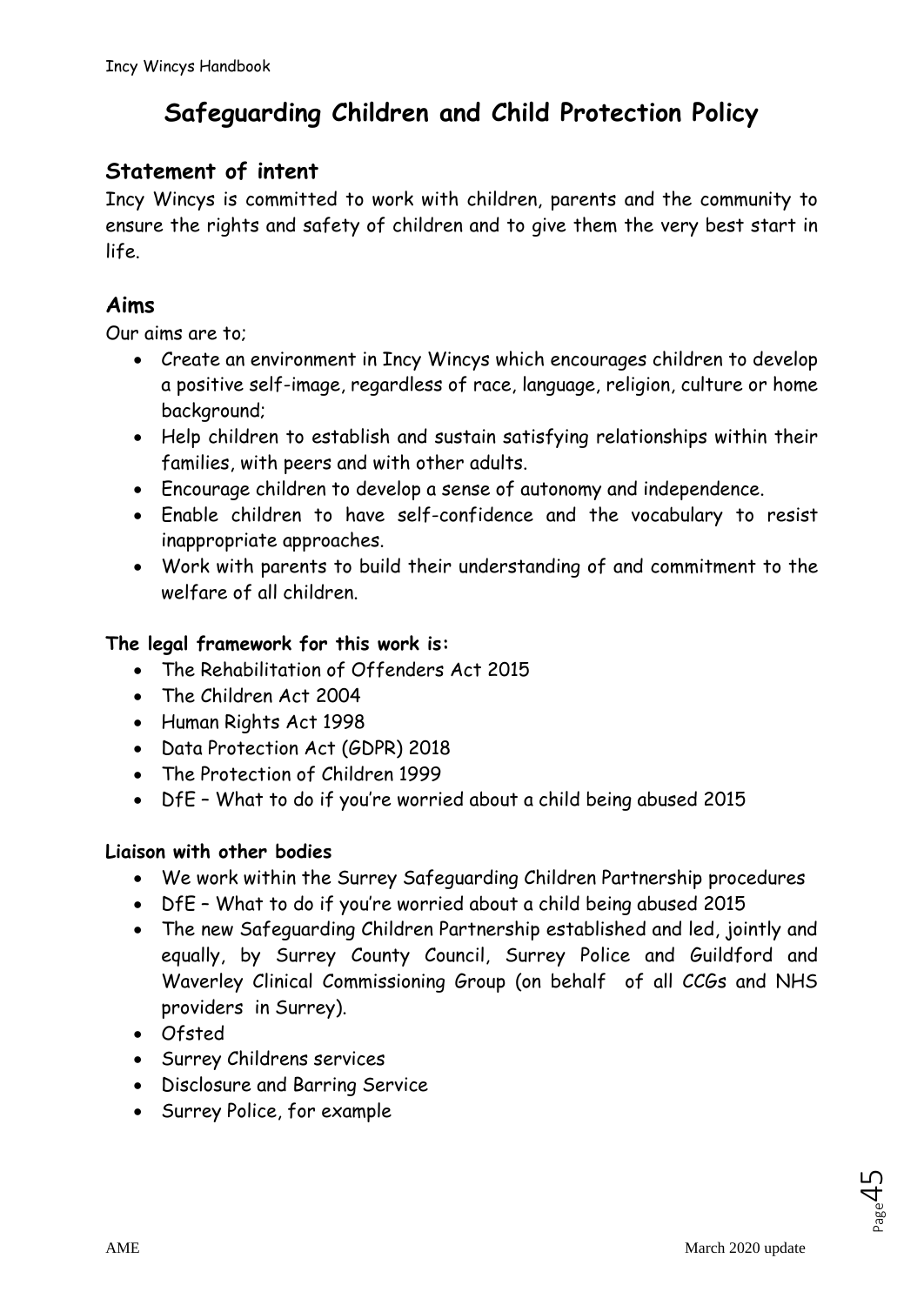# **Safeguarding Children and Child Protection Policy**

# **Statement of intent**

Incy Wincys is committed to work with children, parents and the community to ensure the rights and safety of children and to give them the very best start in life.

# **Aims**

Our aims are to;

- Create an environment in Incy Wincys which encourages children to develop a positive self-image, regardless of race, language, religion, culture or home background;
- Help children to establish and sustain satisfying relationships within their families, with peers and with other adults.
- Encourage children to develop a sense of autonomy and independence.
- Enable children to have self-confidence and the vocabulary to resist inappropriate approaches.
- Work with parents to build their understanding of and commitment to the welfare of all children.

### **The legal framework for this work is:**

- The Rehabilitation of Offenders Act 2015
- The Children Act 2004
- Human Rights Act 1998
- Data Protection Act (GDPR) 2018
- The Protection of Children 1999
- DfE What to do if you're worried about a child being abused 2015

### **Liaison with other bodies**

- We work within the Surrey Safeguarding Children Partnership procedures
- DfE What to do if you're worried about a child being abused 2015
- The new Safeguarding Children Partnership established and led, jointly and equally, by Surrey County Council, Surrey Police and Guildford and Waverley Clinical Commissioning Group (on behalf of all CCGs and NHS providers in Surrey).
- Ofsted
- Surrey Childrens services
- Disclosure and Barring Service
- Surrey Police, for example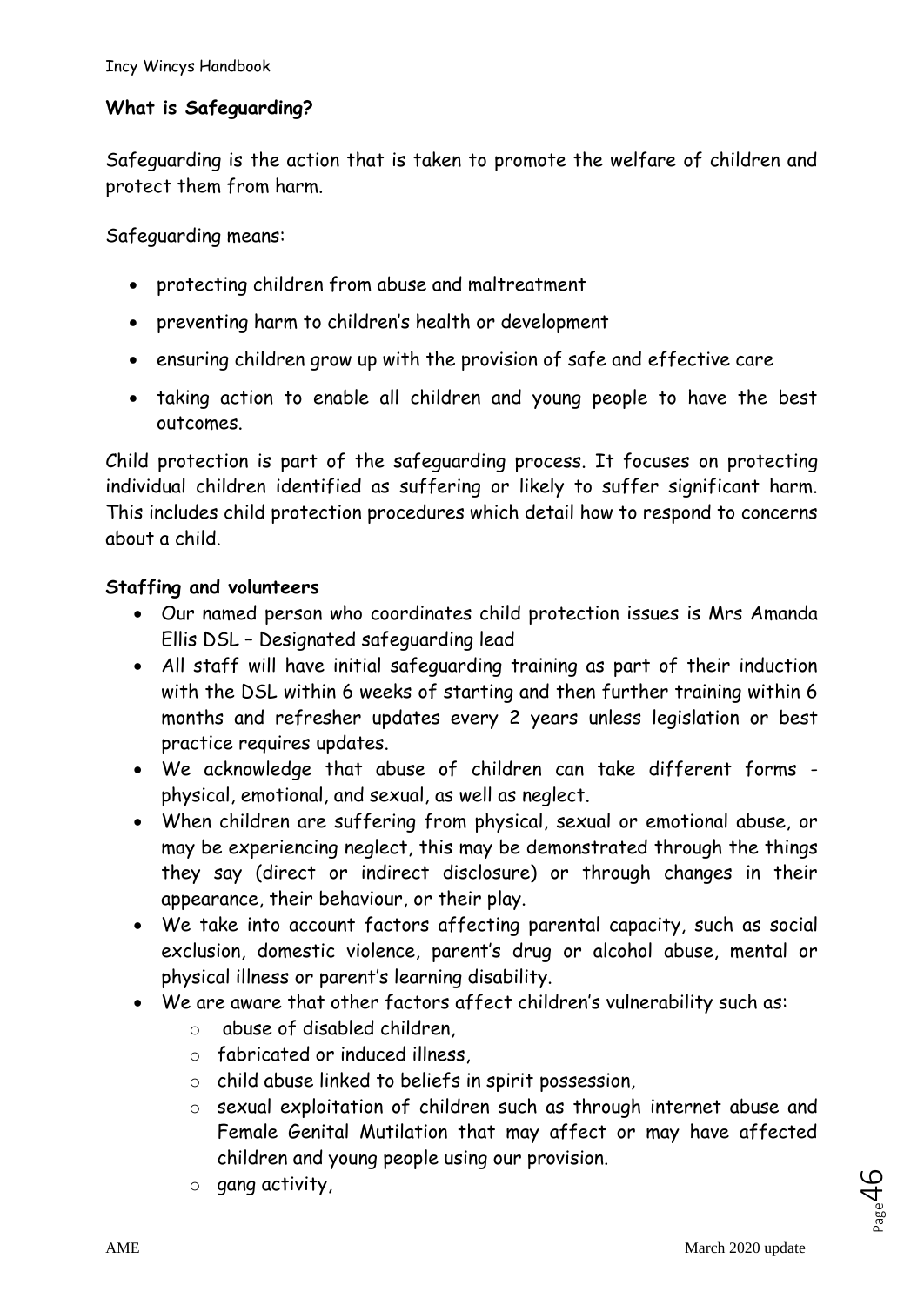### **What is Safeguarding?**

Safeguarding is the action that is taken to promote the welfare of children and protect them from harm.

Safeguarding means:

- protecting children from abuse and maltreatment
- preventing harm to children's health or development
- ensuring children grow up with the provision of safe and effective care
- taking action to enable all children and young people to have the best outcomes.

Child protection is part of the safeguarding process. It focuses on protecting individual children identified as suffering or likely to suffer significant harm. This includes child protection procedures which detail how to respond to concerns about a child.

#### **Staffing and volunteers**

- Our named person who coordinates child protection issues is Mrs Amanda Ellis DSL – Designated safeguarding lead
- All staff will have initial safeguarding training as part of their induction with the DSL within 6 weeks of starting and then further training within 6 months and refresher updates every 2 years unless legislation or best practice requires updates.
- We acknowledge that abuse of children can take different forms physical, emotional, and sexual, as well as neglect.
- When children are suffering from physical, sexual or emotional abuse, or may be experiencing neglect, this may be demonstrated through the things they say (direct or indirect disclosure) or through changes in their appearance, their behaviour, or their play.
- We take into account factors affecting parental capacity, such as social exclusion, domestic violence, parent's drug or alcohol abuse, mental or physical illness or parent's learning disability.
- We are aware that other factors affect children's vulnerability such as:
	- o abuse of disabled children,
	- o fabricated or induced illness,
	- o child abuse linked to beliefs in spirit possession,
	- o sexual exploitation of children such as through internet abuse and Female Genital Mutilation that may affect or may have affected children and young people using our provision.
	- o gang activity,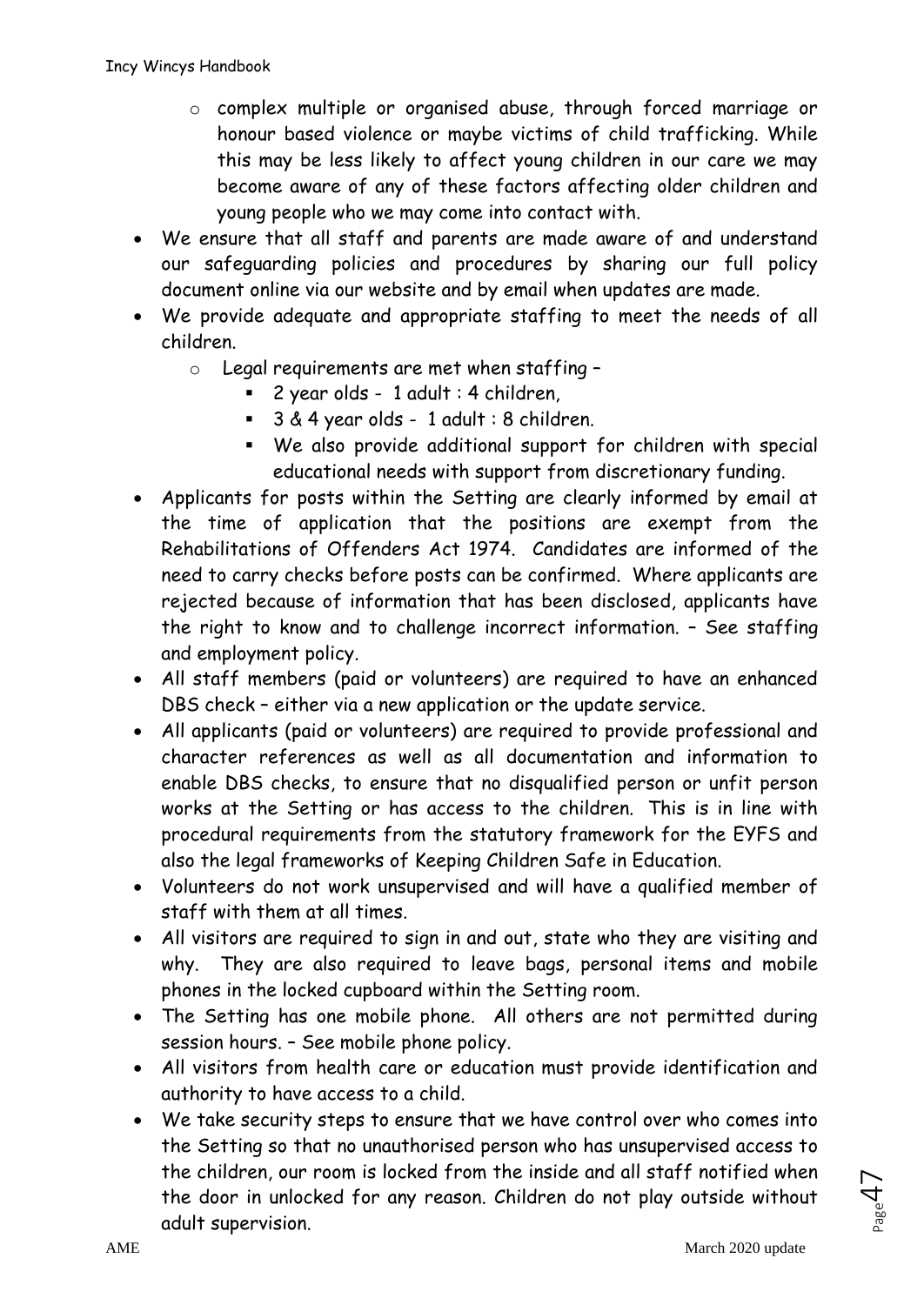- o complex multiple or organised abuse, through forced marriage or honour based violence or maybe victims of child trafficking. While this may be less likely to affect young children in our care we may become aware of any of these factors affecting older children and young people who we may come into contact with.
- We ensure that all staff and parents are made aware of and understand our safeguarding policies and procedures by sharing our full policy document online via our website and by email when updates are made.
- We provide adequate and appropriate staffing to meet the needs of all children.
	- $\circ$  Legal requirements are met when staffing -
		- 2 year olds 1 adult : 4 children,
		- 3 & 4 year olds 1 adult : 8 children.
		- We also provide additional support for children with special educational needs with support from discretionary funding.
- Applicants for posts within the Setting are clearly informed by email at the time of application that the positions are exempt from the Rehabilitations of Offenders Act 1974. Candidates are informed of the need to carry checks before posts can be confirmed. Where applicants are rejected because of information that has been disclosed, applicants have the right to know and to challenge incorrect information. – See staffing and employment policy.
- All staff members (paid or volunteers) are required to have an enhanced DBS check – either via a new application or the update service.
- All applicants (paid or volunteers) are required to provide professional and character references as well as all documentation and information to enable DBS checks, to ensure that no disqualified person or unfit person works at the Setting or has access to the children. This is in line with procedural requirements from the statutory framework for the EYFS and also the legal frameworks of Keeping Children Safe in Education.
- Volunteers do not work unsupervised and will have a qualified member of staff with them at all times.
- All visitors are required to sign in and out, state who they are visiting and why. They are also required to leave bags, personal items and mobile phones in the locked cupboard within the Setting room.
- The Setting has one mobile phone. All others are not permitted during session hours. – See mobile phone policy.
- All visitors from health care or education must provide identification and authority to have access to a child.
- We take security steps to ensure that we have control over who comes into the Setting so that no unauthorised person who has unsupervised access to the children, our room is locked from the inside and all staff notified when the door in unlocked for any reason. Children do not play outside without adult supervision.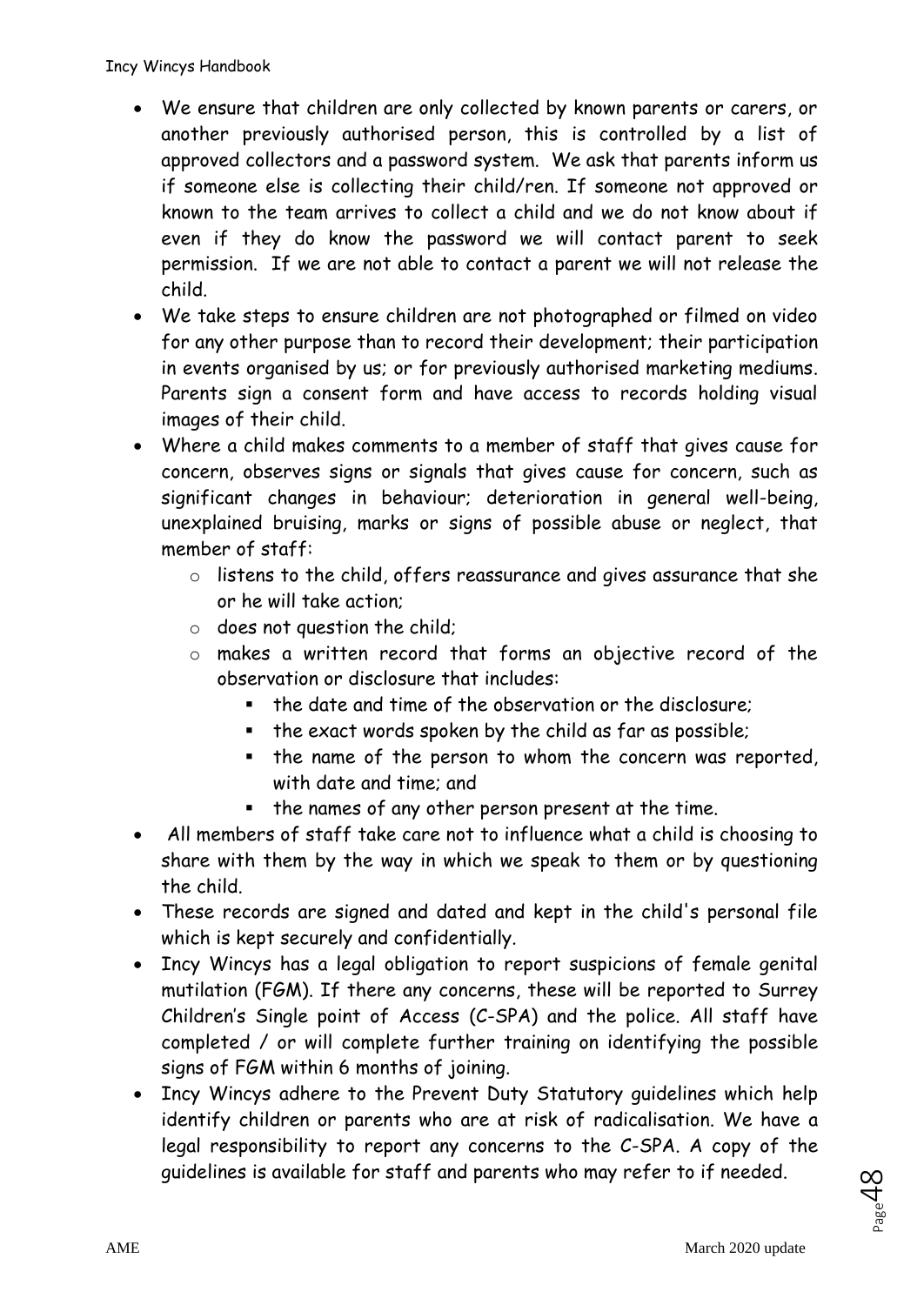- We ensure that children are only collected by known parents or carers, or another previously authorised person, this is controlled by a list of approved collectors and a password system. We ask that parents inform us if someone else is collecting their child/ren. If someone not approved or known to the team arrives to collect a child and we do not know about if even if they do know the password we will contact parent to seek permission. If we are not able to contact a parent we will not release the child.
- We take steps to ensure children are not photographed or filmed on video for any other purpose than to record their development; their participation in events organised by us; or for previously authorised marketing mediums. Parents sign a consent form and have access to records holding visual images of their child.
- Where a child makes comments to a member of staff that gives cause for concern, observes signs or signals that gives cause for concern, such as significant changes in behaviour; deterioration in general well-being, unexplained bruising, marks or signs of possible abuse or neglect, that member of staff:
	- o listens to the child, offers reassurance and gives assurance that she or he will take action;
	- o does not question the child;
	- o makes a written record that forms an objective record of the observation or disclosure that includes:
		- the date and time of the observation or the disclosure;
		- the exact words spoken by the child as far as possible;
		- the name of the person to whom the concern was reported, with date and time; and
		- the names of any other person present at the time.
- All members of staff take care not to influence what a child is choosing to share with them by the way in which we speak to them or by questioning the child.
- These records are signed and dated and kept in the child's personal file which is kept securely and confidentially.
- Incy Wincys has a legal obligation to report suspicions of female genital mutilation (FGM). If there any concerns, these will be reported to Surrey Children's Single point of Access (C-SPA) and the police. All staff have completed / or will complete further training on identifying the possible signs of FGM within 6 months of joining.
- Incy Wincys adhere to the Prevent Duty Statutory guidelines which help identify children or parents who are at risk of radicalisation. We have a legal responsibility to report any concerns to the C-SPA. A copy of the guidelines is available for staff and parents who may refer to if needed.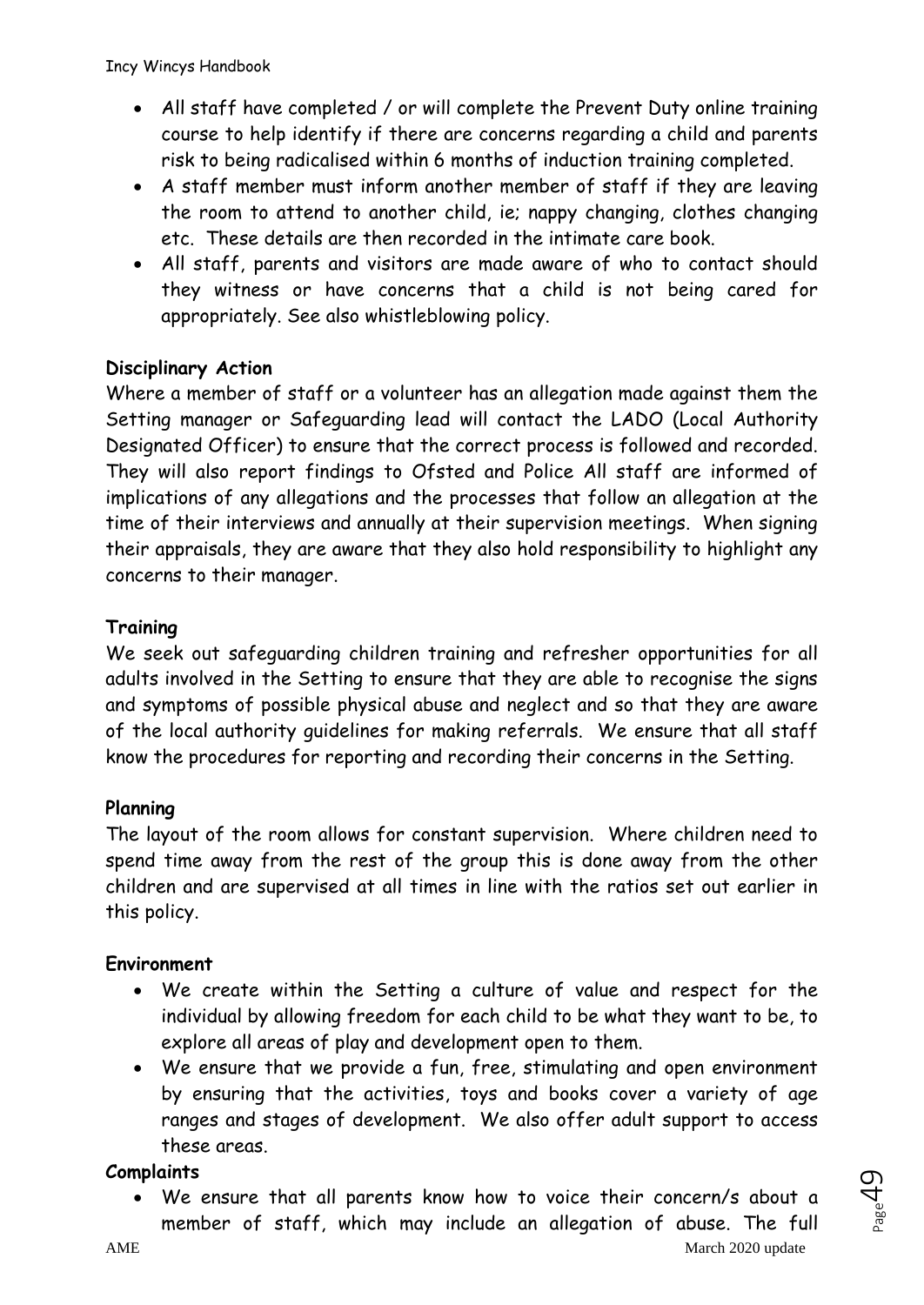- All staff have completed / or will complete the Prevent Duty online training course to help identify if there are concerns regarding a child and parents risk to being radicalised within 6 months of induction training completed.
- A staff member must inform another member of staff if they are leaving the room to attend to another child, ie; nappy changing, clothes changing etc. These details are then recorded in the intimate care book.
- All staff, parents and visitors are made aware of who to contact should they witness or have concerns that a child is not being cared for appropriately. See also whistleblowing policy.

#### **Disciplinary Action**

Where a member of staff or a volunteer has an allegation made against them the Setting manager or Safeguarding lead will contact the LADO (Local Authority Designated Officer) to ensure that the correct process is followed and recorded. They will also report findings to Ofsted and Police All staff are informed of implications of any allegations and the processes that follow an allegation at the time of their interviews and annually at their supervision meetings. When signing their appraisals, they are aware that they also hold responsibility to highlight any concerns to their manager.

### **Training**

We seek out safeguarding children training and refresher opportunities for all adults involved in the Setting to ensure that they are able to recognise the signs and symptoms of possible physical abuse and neglect and so that they are aware of the local authority guidelines for making referrals. We ensure that all staff know the procedures for reporting and recording their concerns in the Setting.

#### **Planning**

The layout of the room allows for constant supervision. Where children need to spend time away from the rest of the group this is done away from the other children and are supervised at all times in line with the ratios set out earlier in this policy.

#### **Environment**

- We create within the Setting a culture of value and respect for the individual by allowing freedom for each child to be what they want to be, to explore all areas of play and development open to them.
- We ensure that we provide a fun, free, stimulating and open environment by ensuring that the activities, toys and books cover a variety of age ranges and stages of development. We also offer adult support to access these areas.

#### **Complaints**

• We ensure that all parents know how to voice their concern/s about a member of staff, which may include an allegation of abuse. The full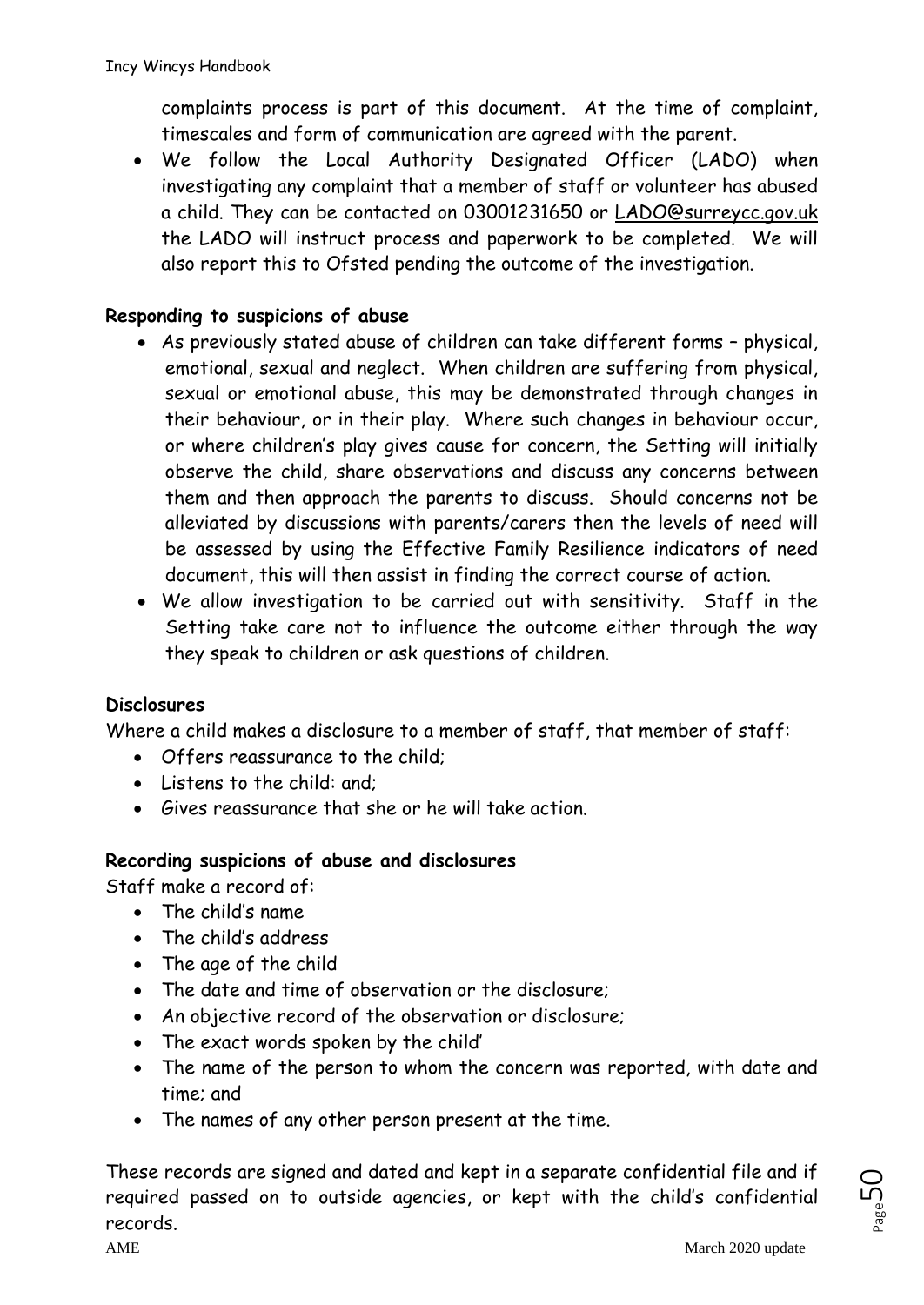complaints process is part of this document. At the time of complaint, timescales and form of communication are agreed with the parent.

• We follow the Local Authority Designated Officer (LADO) when investigating any complaint that a member of staff or volunteer has abused a child. They can be contacted on 03001231650 or [LADO@surreycc.gov.uk](mailto:LADO@surreycc.gov.uk) the LADO will instruct process and paperwork to be completed. We will also report this to Ofsted pending the outcome of the investigation.

### **Responding to suspicions of abuse**

- As previously stated abuse of children can take different forms physical, emotional, sexual and neglect. When children are suffering from physical, sexual or emotional abuse, this may be demonstrated through changes in their behaviour, or in their play. Where such changes in behaviour occur, or where children's play gives cause for concern, the Setting will initially observe the child, share observations and discuss any concerns between them and then approach the parents to discuss. Should concerns not be alleviated by discussions with parents/carers then the levels of need will be assessed by using the Effective Family Resilience indicators of need document, this will then assist in finding the correct course of action.
- We allow investigation to be carried out with sensitivity. Staff in the Setting take care not to influence the outcome either through the way they speak to children or ask questions of children.

#### **Disclosures**

Where a child makes a disclosure to a member of staff, that member of staff:

- Offers reassurance to the child;
- Listens to the child: and;
- Gives reassurance that she or he will take action.

#### **Recording suspicions of abuse and disclosures**

Staff make a record of:

- The child's name
- The child's address
- The age of the child
- The date and time of observation or the disclosure;
- An objective record of the observation or disclosure;
- The exact words spoken by the child'
- The name of the person to whom the concern was reported, with date and time; and
- The names of any other person present at the time.

These records are signed and dated and kept in a separate confidential file and if required passed on to outside agencies, or kept with the child's confidential records.

 $P_{\text{age}}$ 50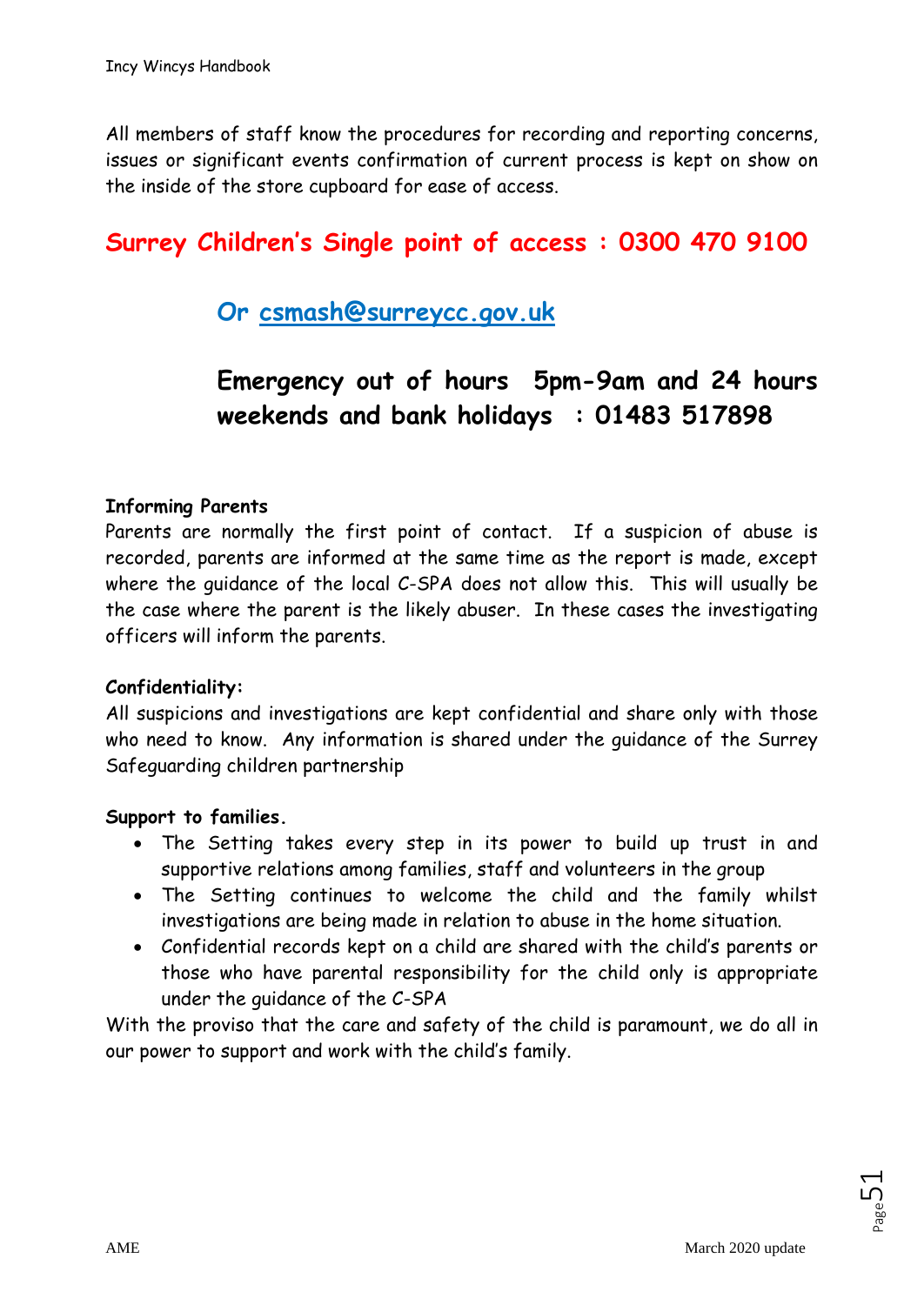All members of staff know the procedures for recording and reporting concerns, issues or significant events confirmation of current process is kept on show on the inside of the store cupboard for ease of access.

# **Surrey Children's Single point of access : 0300 470 9100**

# **Or [csmash@surreycc.gov.uk](mailto:csmash@surreycc.gov.uk)**

# **Emergency out of hours 5pm-9am and 24 hours weekends and bank holidays : 01483 517898**

#### **Informing Parents**

Parents are normally the first point of contact. If a suspicion of abuse is recorded, parents are informed at the same time as the report is made, except where the guidance of the local C-SPA does not allow this. This will usually be the case where the parent is the likely abuser. In these cases the investigating officers will inform the parents.

#### **Confidentiality:**

All suspicions and investigations are kept confidential and share only with those who need to know. Any information is shared under the guidance of the Surrey Safeguarding children partnership

#### **Support to families.**

- The Setting takes every step in its power to build up trust in and supportive relations among families, staff and volunteers in the group
- The Setting continues to welcome the child and the family whilst investigations are being made in relation to abuse in the home situation.
- Confidential records kept on a child are shared with the child's parents or those who have parental responsibility for the child only is appropriate under the guidance of the C-SPA

With the proviso that the care and safety of the child is paramount, we do all in our power to support and work with the child's family.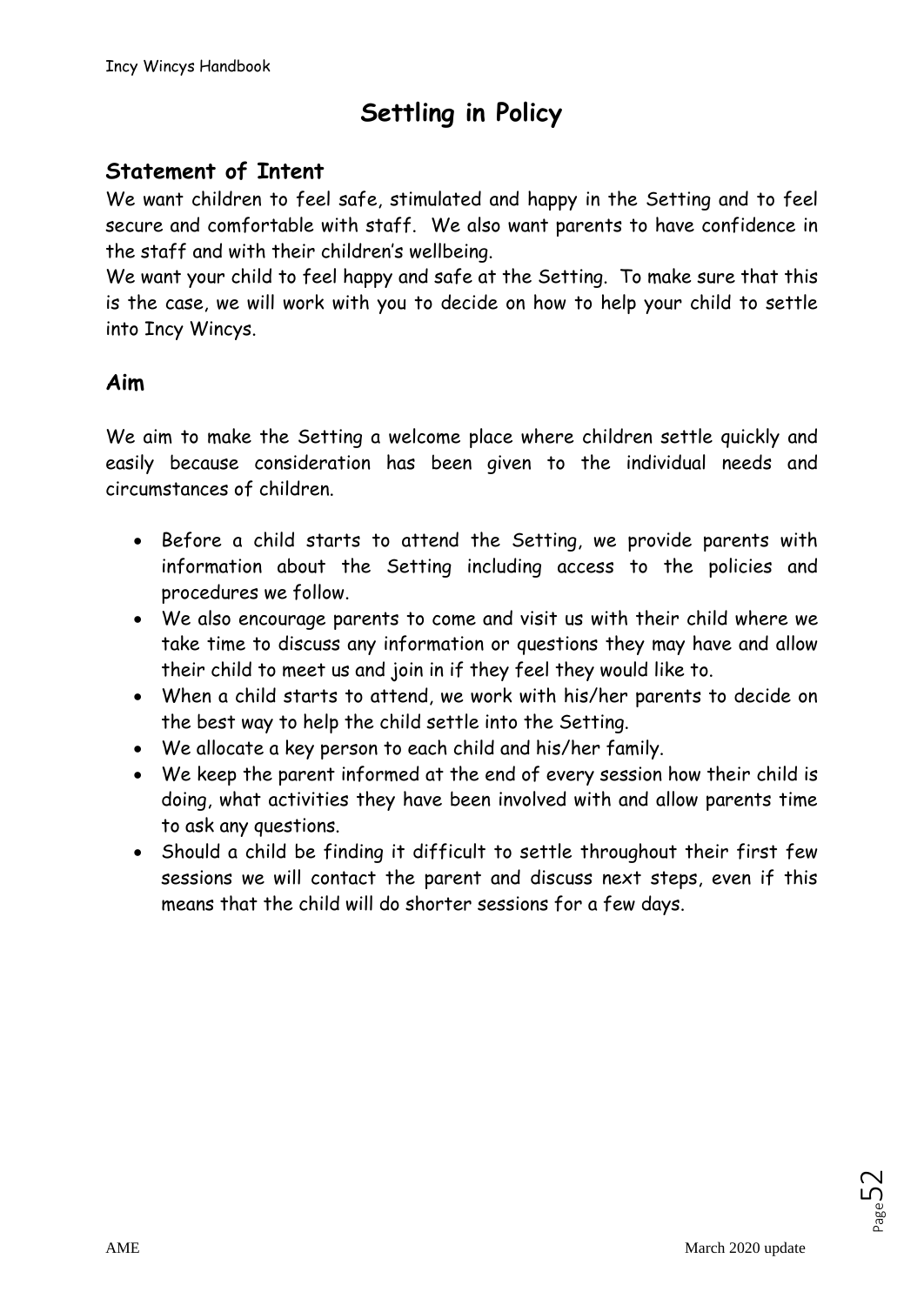# **Settling in Policy**

# **Statement of Intent**

We want children to feel safe, stimulated and happy in the Setting and to feel secure and comfortable with staff. We also want parents to have confidence in the staff and with their children's wellbeing.

We want your child to feel happy and safe at the Setting. To make sure that this is the case, we will work with you to decide on how to help your child to settle into Incy Wincys.

### **Aim**

We aim to make the Setting a welcome place where children settle quickly and easily because consideration has been given to the individual needs and circumstances of children.

- Before a child starts to attend the Setting, we provide parents with information about the Setting including access to the policies and procedures we follow.
- We also encourage parents to come and visit us with their child where we take time to discuss any information or questions they may have and allow their child to meet us and join in if they feel they would like to.
- When a child starts to attend, we work with his/her parents to decide on the best way to help the child settle into the Setting.
- We allocate a key person to each child and his/her family.
- We keep the parent informed at the end of every session how their child is doing, what activities they have been involved with and allow parents time to ask any questions.
- Should a child be finding it difficult to settle throughout their first few sessions we will contact the parent and discuss next steps, even if this means that the child will do shorter sessions for a few days.

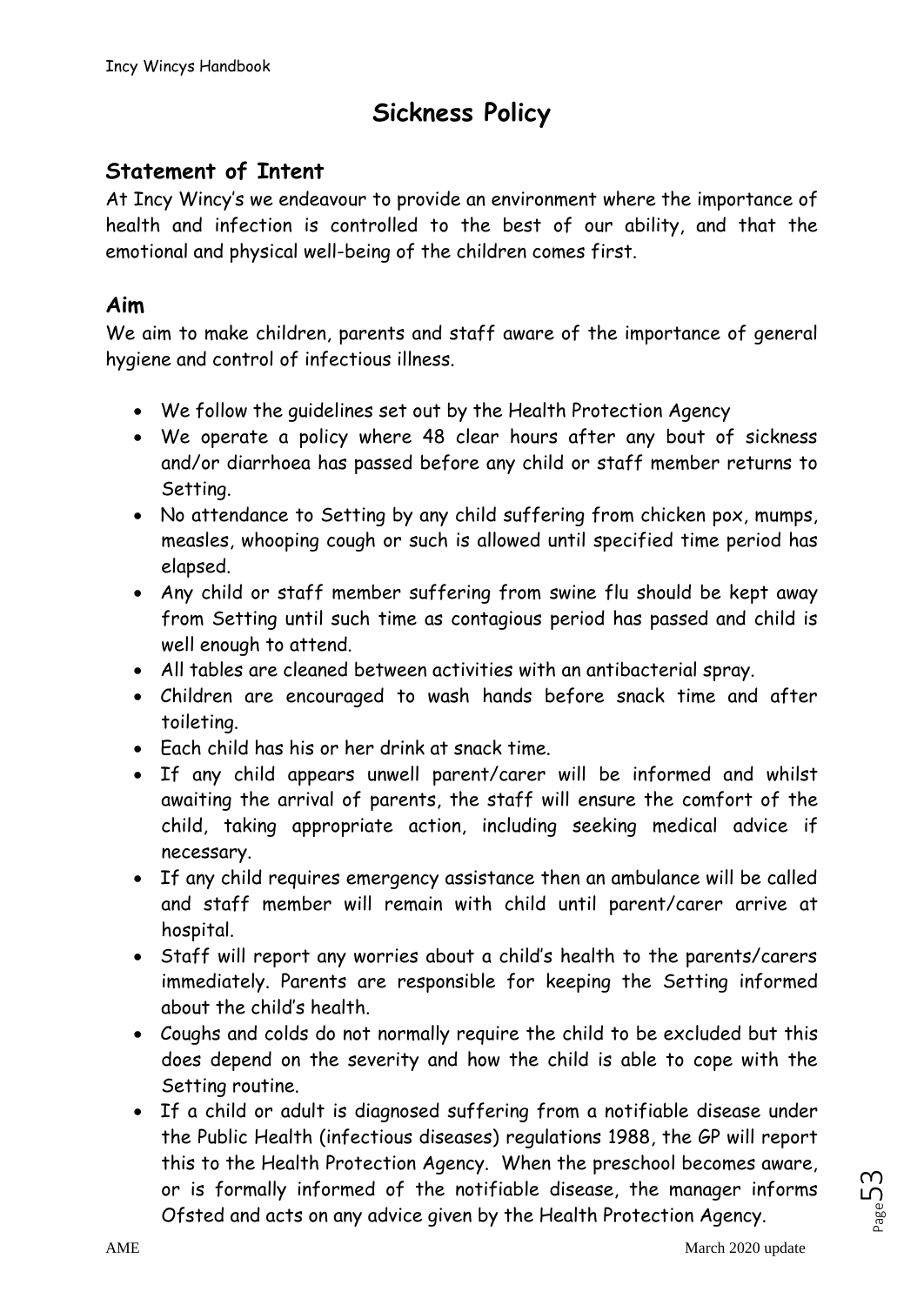# **Sickness Policy**

# **Statement of Intent**

At Incy Wincy's we endeavour to provide an environment where the importance of health and infection is controlled to the best of our ability, and that the emotional and physical well-being of the children comes first.

### **Aim**

We aim to make children, parents and staff aware of the importance of general hygiene and control of infectious illness.

- We follow the guidelines set out by the Health Protection Agency
- We operate a policy where 48 clear hours after any bout of sickness and/or diarrhoea has passed before any child or staff member returns to Setting.
- No attendance to Setting by any child suffering from chicken pox, mumps, measles, whooping cough or such is allowed until specified time period has elapsed.
- Any child or staff member suffering from swine flu should be kept away from Setting until such time as contagious period has passed and child is well enough to attend.
- All tables are cleaned between activities with an antibacterial spray.
- Children are encouraged to wash hands before snack time and after toileting.
- Each child has his or her drink at snack time.
- If any child appears unwell parent/carer will be informed and whilst awaiting the arrival of parents, the staff will ensure the comfort of the child, taking appropriate action, including seeking medical advice if necessary.
- If any child requires emergency assistance then an ambulance will be called and staff member will remain with child until parent/carer arrive at hospital.
- Staff will report any worries about a child's health to the parents/carers immediately. Parents are responsible for keeping the Setting informed about the child's health.
- Coughs and colds do not normally require the child to be excluded but this does depend on the severity and how the child is able to cope with the Setting routine.
- If a child or adult is diagnosed suffering from a notifiable disease under the Public Health (infectious diseases) regulations 1988, the GP will report this to the Health Protection Agency. When the preschool becomes aware, or is formally informed of the notifiable disease, the manager informs Ofsted and acts on any advice given by the Health Protection Agency.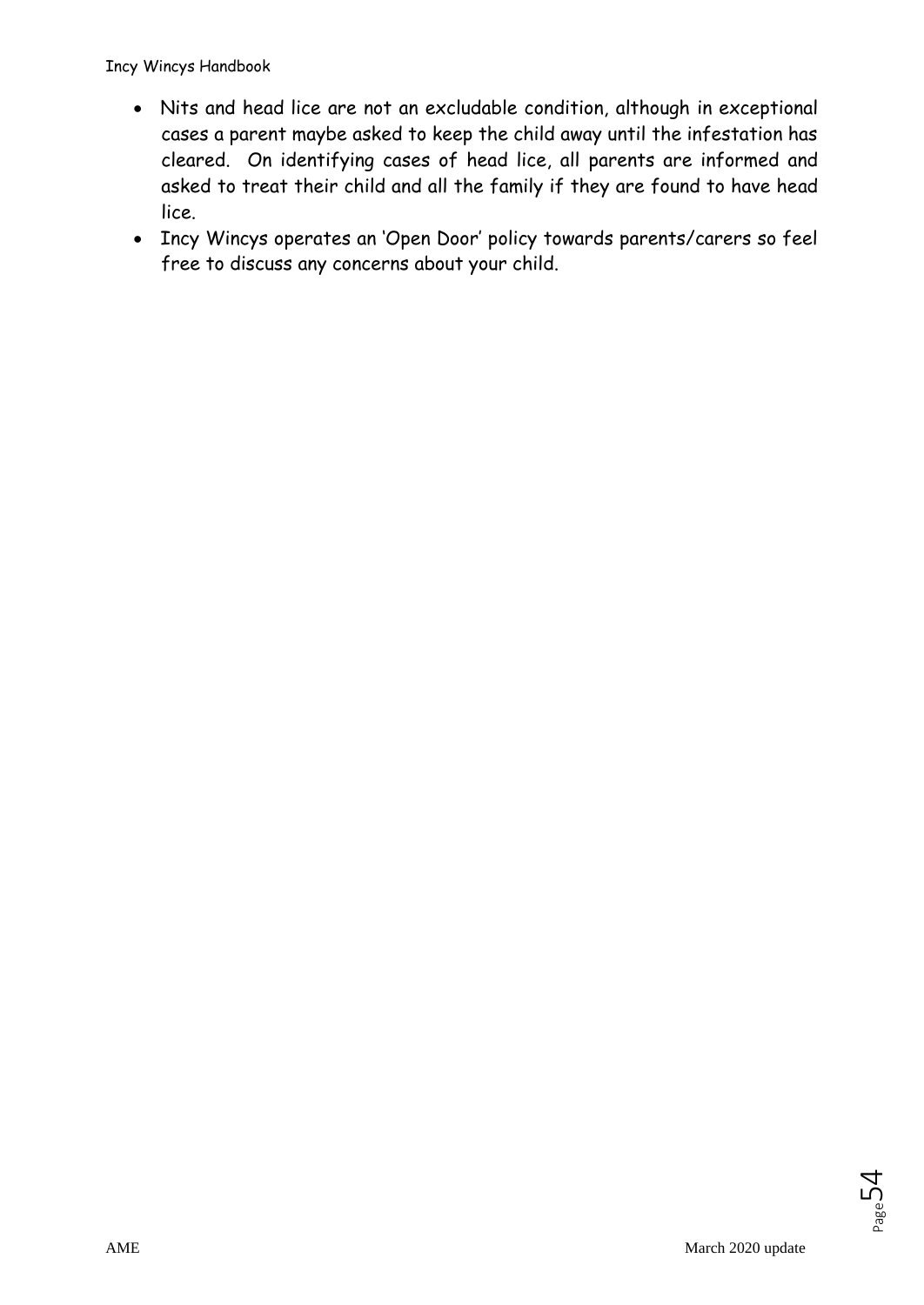- Nits and head lice are not an excludable condition, although in exceptional cases a parent maybe asked to keep the child away until the infestation has cleared. On identifying cases of head lice, all parents are informed and asked to treat their child and all the family if they are found to have head lice.
- Incy Wincys operates an 'Open Door' policy towards parents/carers so feel free to discuss any concerns about your child.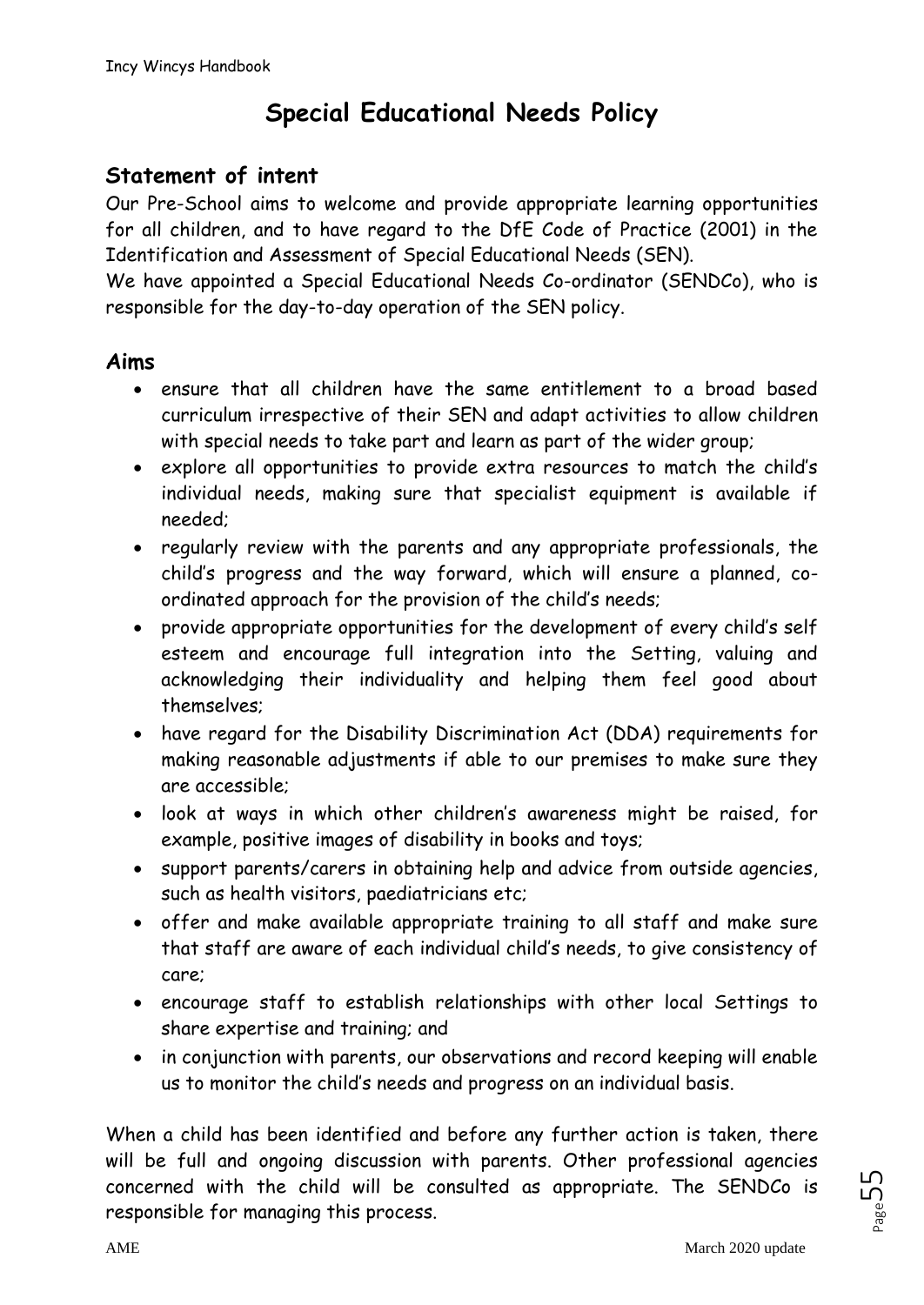# **Special Educational Needs Policy**

# **Statement of intent**

Our Pre-School aims to welcome and provide appropriate learning opportunities for all children, and to have regard to the DfE Code of Practice (2001) in the Identification and Assessment of Special Educational Needs (SEN).

We have appointed a Special Educational Needs Co-ordinator (SENDCo), who is responsible for the day-to-day operation of the SEN policy.

### **Aims**

- ensure that all children have the same entitlement to a broad based curriculum irrespective of their SEN and adapt activities to allow children with special needs to take part and learn as part of the wider group;
- explore all opportunities to provide extra resources to match the child's individual needs, making sure that specialist equipment is available if needed;
- regularly review with the parents and any appropriate professionals, the child's progress and the way forward, which will ensure a planned, coordinated approach for the provision of the child's needs;
- provide appropriate opportunities for the development of every child's self esteem and encourage full integration into the Setting, valuing and acknowledging their individuality and helping them feel good about themselves;
- have regard for the Disability Discrimination Act (DDA) requirements for making reasonable adjustments if able to our premises to make sure they are accessible;
- look at ways in which other children's awareness might be raised, for example, positive images of disability in books and toys;
- support parents/carers in obtaining help and advice from outside agencies, such as health visitors, paediatricians etc;
- offer and make available appropriate training to all staff and make sure that staff are aware of each individual child's needs, to give consistency of care;
- encourage staff to establish relationships with other local Settings to share expertise and training; and
- in conjunction with parents, our observations and record keeping will enable us to monitor the child's needs and progress on an individual basis.

When a child has been identified and before any further action is taken, there will be full and ongoing discussion with parents. Other professional agencies concerned with the child will be consulted as appropriate. The SENDCo is responsible for managing this process.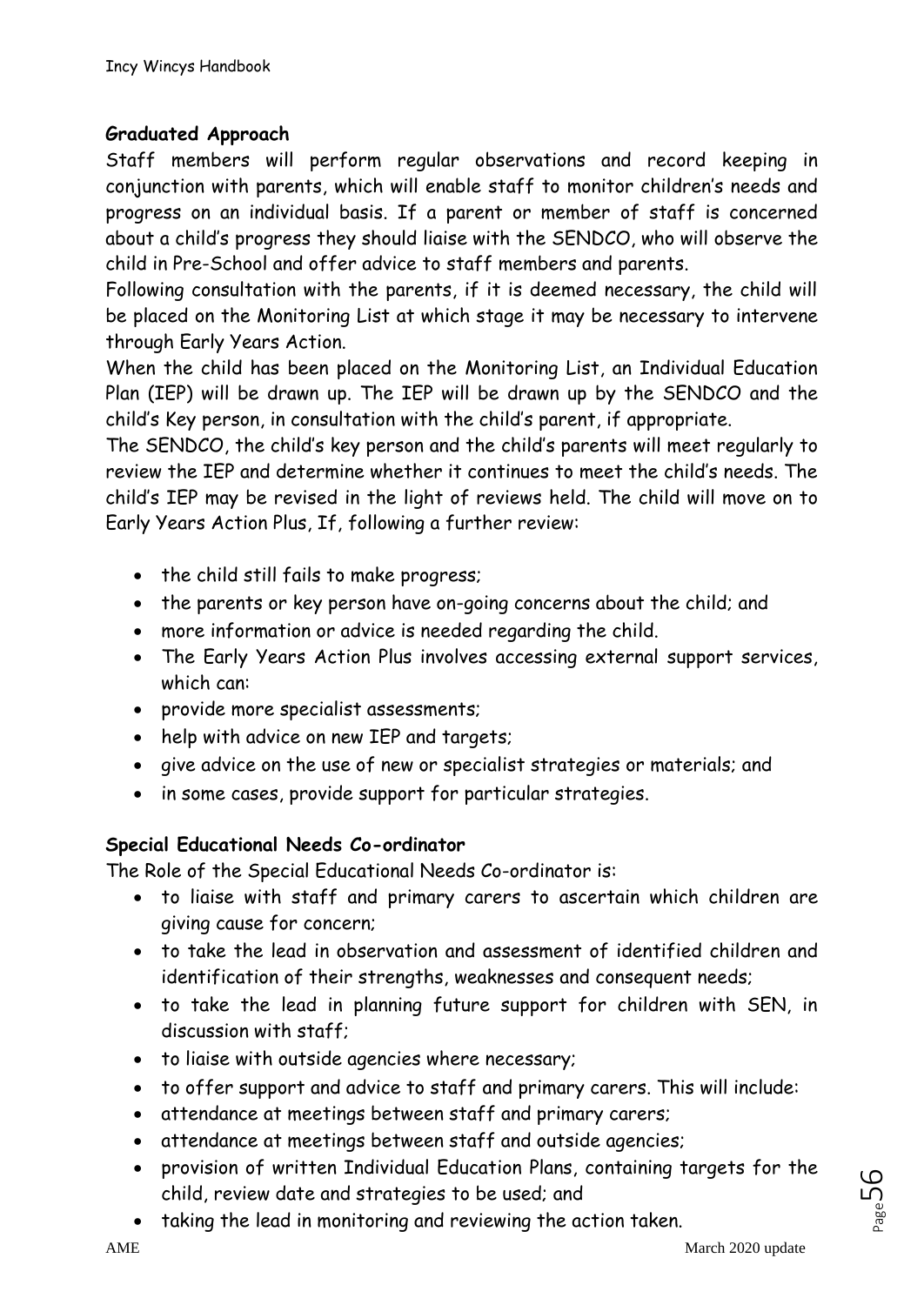#### **Graduated Approach**

Staff members will perform regular observations and record keeping in conjunction with parents, which will enable staff to monitor children's needs and progress on an individual basis. If a parent or member of staff is concerned about a child's progress they should liaise with the SENDCO, who will observe the child in Pre-School and offer advice to staff members and parents.

Following consultation with the parents, if it is deemed necessary, the child will be placed on the Monitoring List at which stage it may be necessary to intervene through Early Years Action.

When the child has been placed on the Monitoring List, an Individual Education Plan (IEP) will be drawn up. The IEP will be drawn up by the SENDCO and the child's Key person, in consultation with the child's parent, if appropriate.

The SENDCO, the child's key person and the child's parents will meet regularly to review the IEP and determine whether it continues to meet the child's needs. The child's IEP may be revised in the light of reviews held. The child will move on to Early Years Action Plus, If, following a further review:

- the child still fails to make progress;
- the parents or key person have on-going concerns about the child; and
- more information or advice is needed regarding the child.
- The Early Years Action Plus involves accessing external support services, which can:
- provide more specialist assessments;
- help with advice on new IEP and targets;
- give advice on the use of new or specialist strategies or materials; and
- in some cases, provide support for particular strategies.

#### **Special Educational Needs Co-ordinator**

The Role of the Special Educational Needs Co-ordinator is:

- to liaise with staff and primary carers to ascertain which children are giving cause for concern;
- to take the lead in observation and assessment of identified children and identification of their strengths, weaknesses and consequent needs;
- to take the lead in planning future support for children with SEN, in discussion with staff;
- to liaise with outside agencies where necessary;
- to offer support and advice to staff and primary carers. This will include:
- attendance at meetings between staff and primary carers;
- attendance at meetings between staff and outside agencies;
- provision of written Individual Education Plans, containing targets for the child, review date and strategies to be used; and
- taking the lead in monitoring and reviewing the action taken.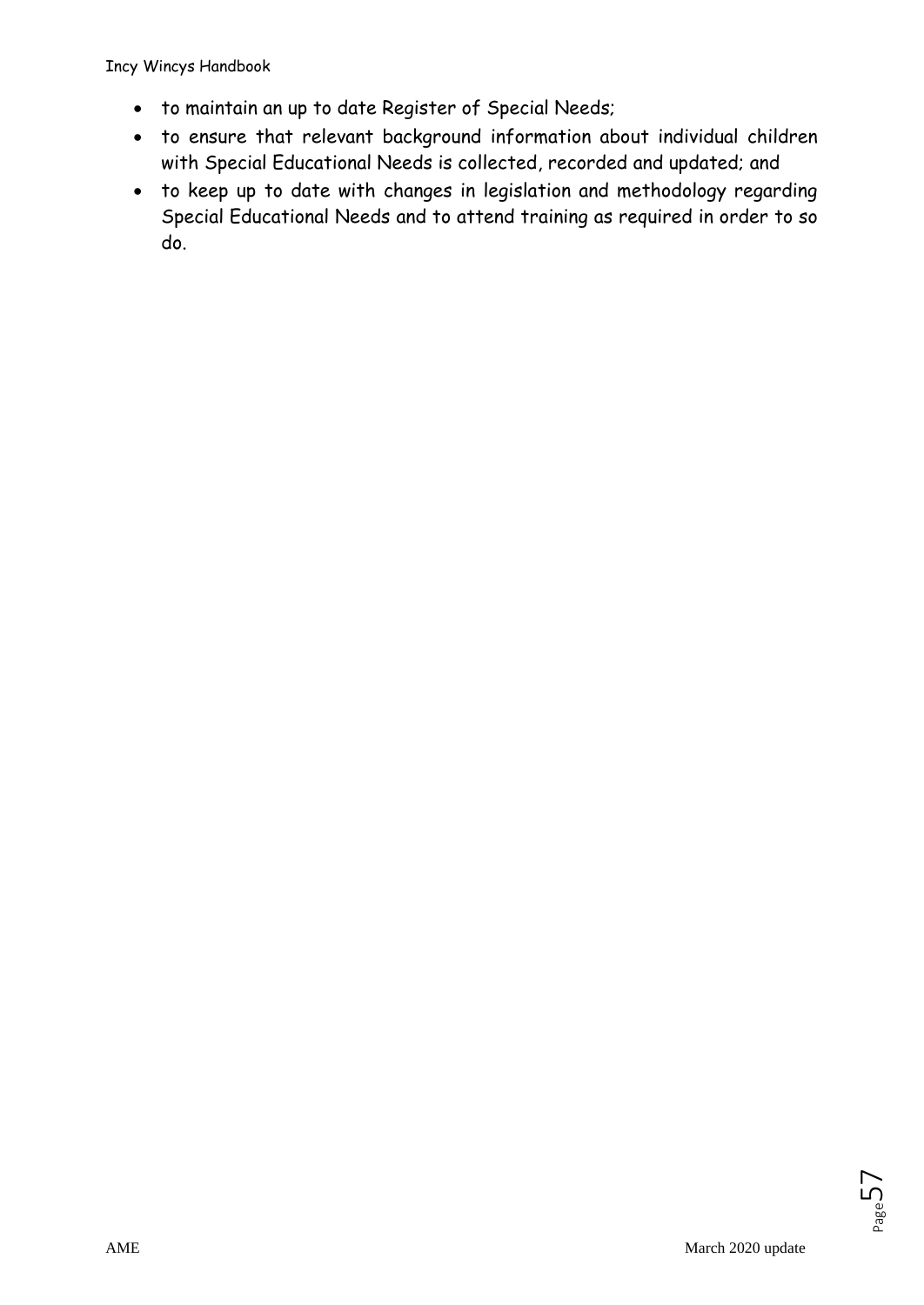Incy Wincys Handbook

- to maintain an up to date Register of Special Needs;
- to ensure that relevant background information about individual children with Special Educational Needs is collected, recorded and updated; and
- to keep up to date with changes in legislation and methodology regarding Special Educational Needs and to attend training as required in order to so do.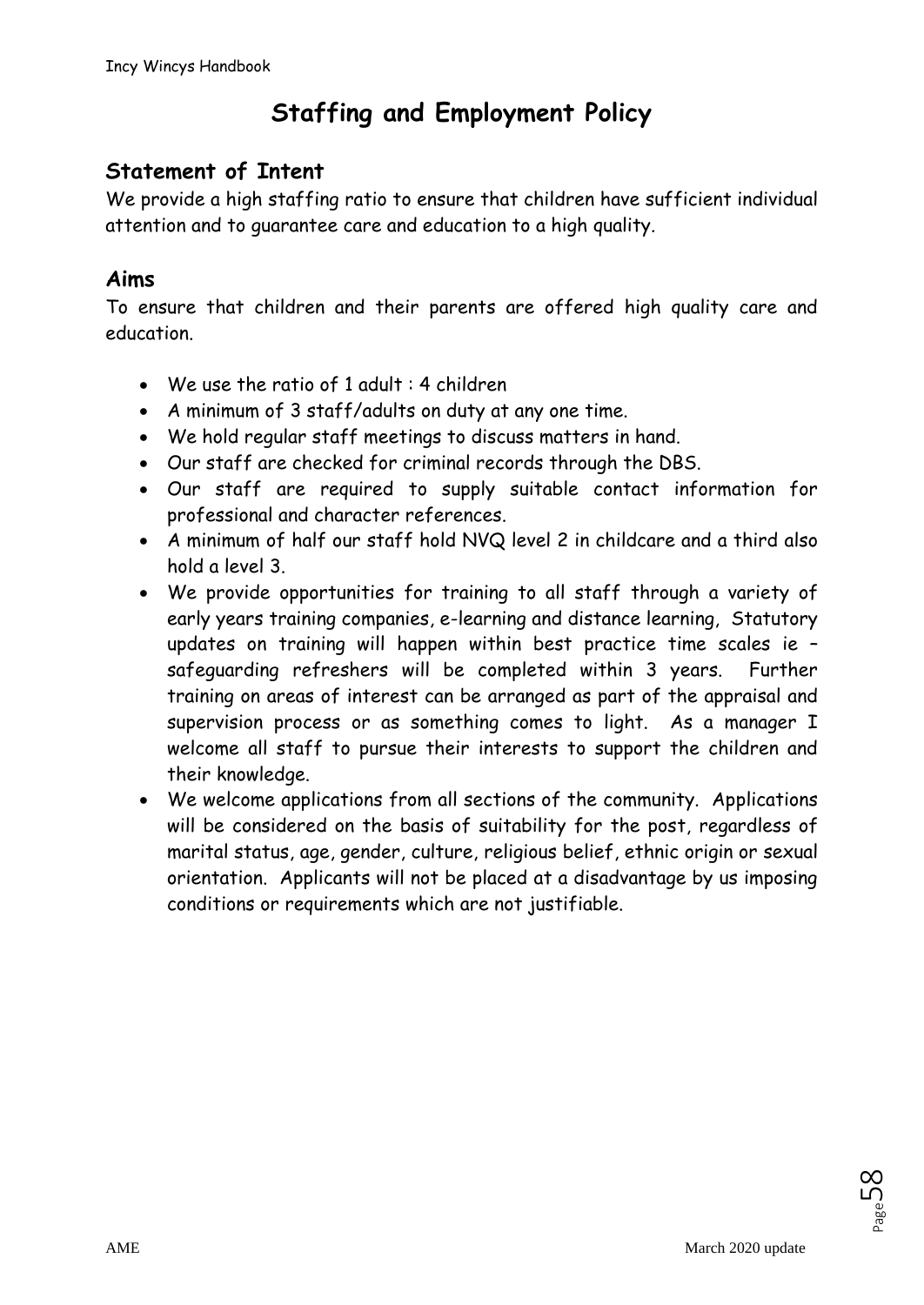# **Staffing and Employment Policy**

# **Statement of Intent**

We provide a high staffing ratio to ensure that children have sufficient individual attention and to guarantee care and education to a high quality.

### **Aims**

To ensure that children and their parents are offered high quality care and education.

- We use the ratio of 1 adult : 4 children
- A minimum of 3 staff/adults on duty at any one time.
- We hold regular staff meetings to discuss matters in hand.
- Our staff are checked for criminal records through the DBS.
- Our staff are required to supply suitable contact information for professional and character references.
- A minimum of half our staff hold NVQ level 2 in childcare and a third also hold a level 3.
- We provide opportunities for training to all staff through a variety of early years training companies, e-learning and distance learning, Statutory updates on training will happen within best practice time scales ie – safeguarding refreshers will be completed within 3 years. Further training on areas of interest can be arranged as part of the appraisal and supervision process or as something comes to light. As a manager I welcome all staff to pursue their interests to support the children and their knowledge.
- We welcome applications from all sections of the community. Applications will be considered on the basis of suitability for the post, regardless of marital status, age, gender, culture, religious belief, ethnic origin or sexual orientation. Applicants will not be placed at a disadvantage by us imposing conditions or requirements which are not justifiable.

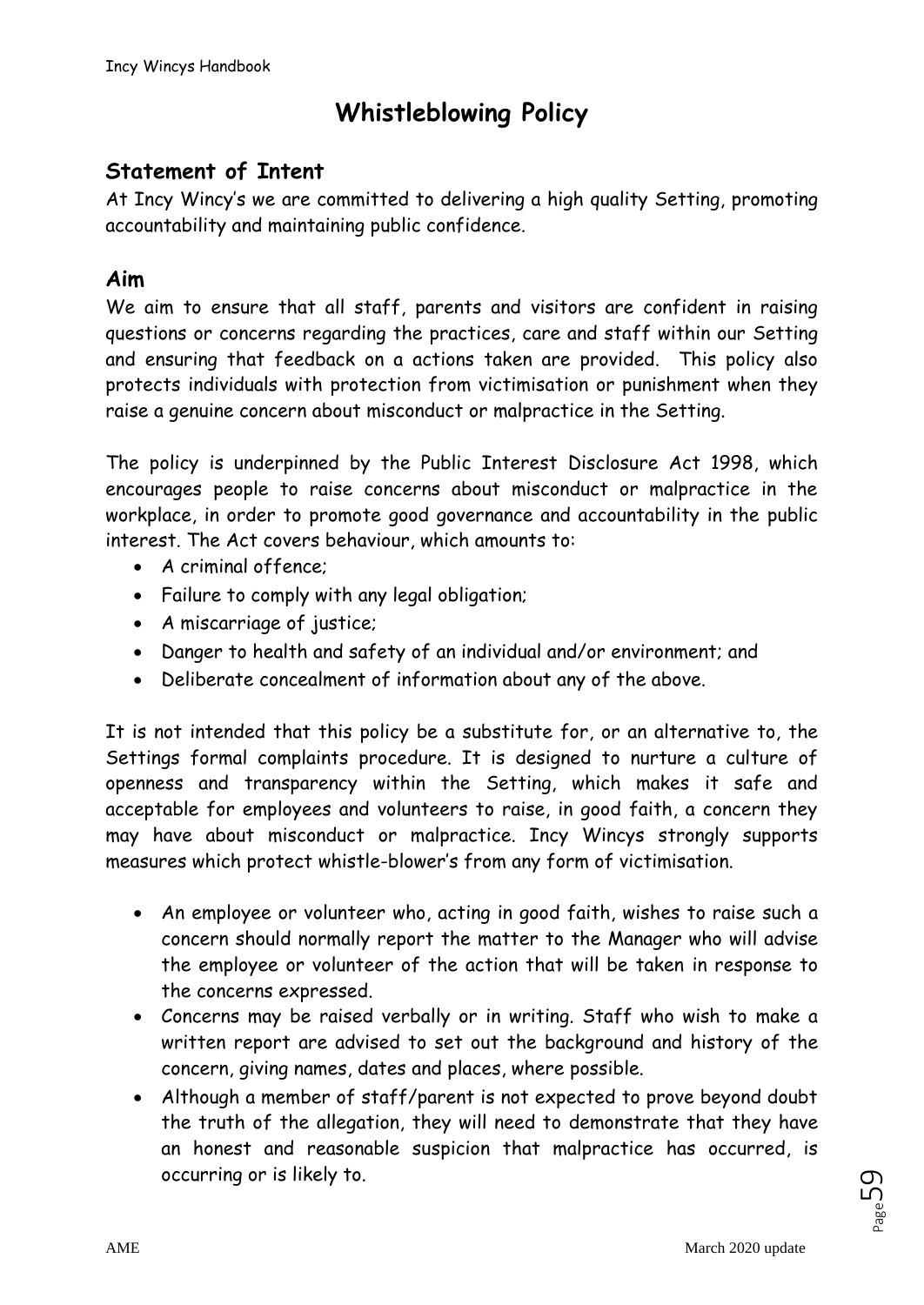# **Whistleblowing Policy**

# **Statement of Intent**

At Incy Wincy's we are committed to delivering a high quality Setting, promoting accountability and maintaining public confidence.

### **Aim**

We aim to ensure that all staff, parents and visitors are confident in raising questions or concerns regarding the practices, care and staff within our Setting and ensuring that feedback on a actions taken are provided. This policy also protects individuals with protection from victimisation or punishment when they raise a genuine concern about misconduct or malpractice in the Setting.

The policy is underpinned by the Public Interest Disclosure Act 1998, which encourages people to raise concerns about misconduct or malpractice in the workplace, in order to promote good governance and accountability in the public interest. The Act covers behaviour, which amounts to:

- A criminal offence;
- Failure to comply with any legal obligation;
- A miscarriage of justice;
- Danger to health and safety of an individual and/or environment; and
- Deliberate concealment of information about any of the above.

It is not intended that this policy be a substitute for, or an alternative to, the Settings formal complaints procedure. It is designed to nurture a culture of openness and transparency within the Setting, which makes it safe and acceptable for employees and volunteers to raise, in good faith, a concern they may have about misconduct or malpractice. Incy Wincys strongly supports measures which protect whistle-blower's from any form of victimisation.

- An employee or volunteer who, acting in good faith, wishes to raise such a concern should normally report the matter to the Manager who will advise the employee or volunteer of the action that will be taken in response to the concerns expressed.
- Concerns may be raised verbally or in writing. Staff who wish to make a written report are advised to set out the background and history of the concern, giving names, dates and places, where possible.
- Although a member of staff/parent is not expected to prove beyond doubt the truth of the allegation, they will need to demonstrate that they have an honest and reasonable suspicion that malpractice has occurred, is occurring or is likely to.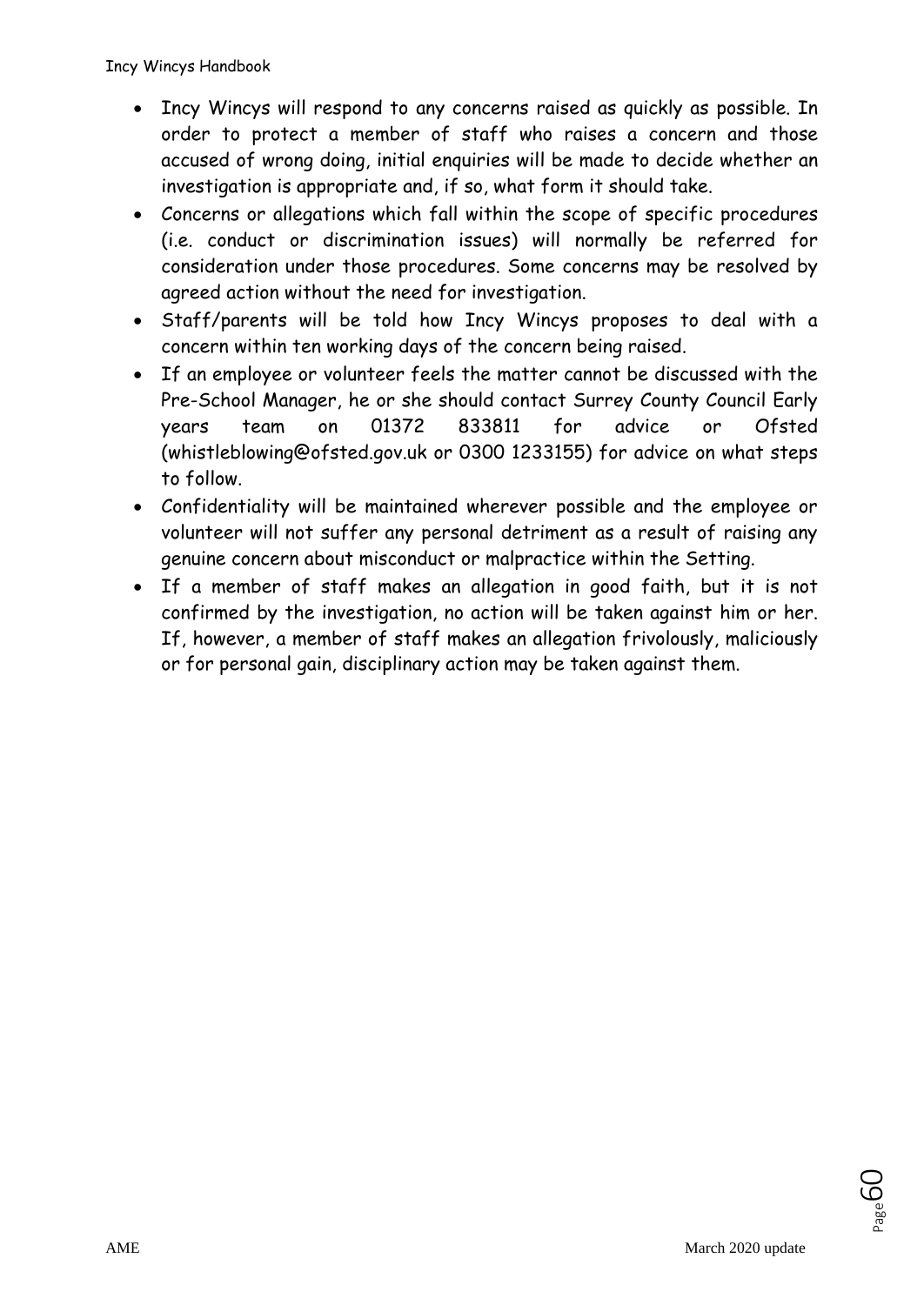- Incy Wincys will respond to any concerns raised as quickly as possible. In order to protect a member of staff who raises a concern and those accused of wrong doing, initial enquiries will be made to decide whether an investigation is appropriate and, if so, what form it should take.
- Concerns or allegations which fall within the scope of specific procedures (i.e. conduct or discrimination issues) will normally be referred for consideration under those procedures. Some concerns may be resolved by agreed action without the need for investigation.
- Staff/parents will be told how Incy Wincys proposes to deal with a concern within ten working days of the concern being raised.
- If an employee or volunteer feels the matter cannot be discussed with the Pre-School Manager, he or she should contact Surrey County Council Early years team on 01372 833811 for advice or Ofsted (whistleblowing@ofsted.gov.uk or 0300 1233155) for advice on what steps to follow.
- Confidentiality will be maintained wherever possible and the employee or volunteer will not suffer any personal detriment as a result of raising any genuine concern about misconduct or malpractice within the Setting.
- If a member of staff makes an allegation in good faith, but it is not confirmed by the investigation, no action will be taken against him or her. If, however, a member of staff makes an allegation frivolously, maliciously or for personal gain, disciplinary action may be taken against them.